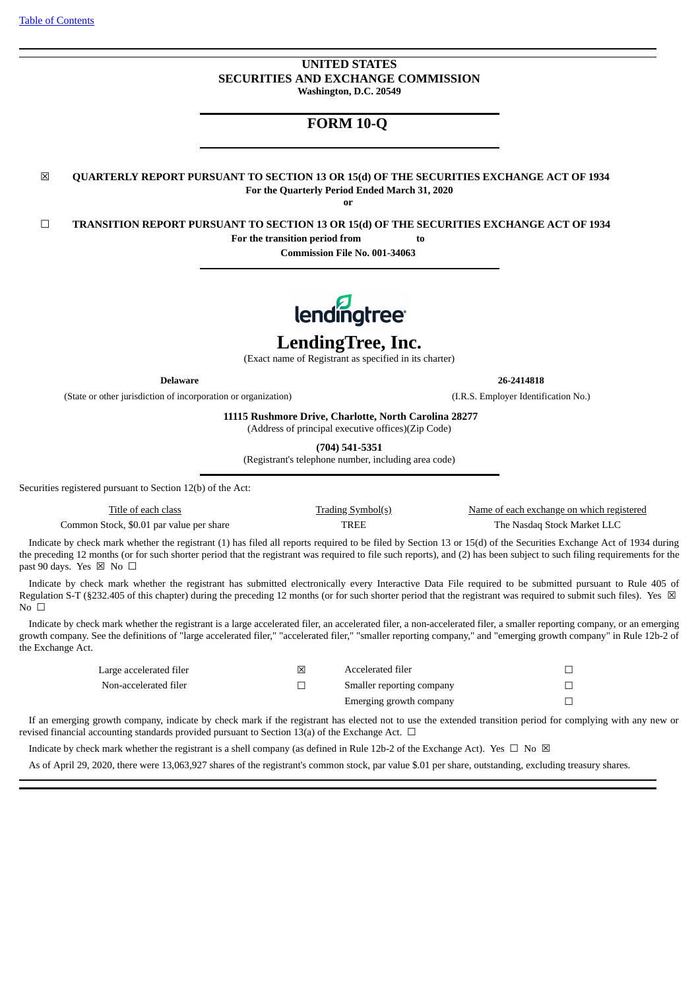### **UNITED STATES SECURITIES AND EXCHANGE COMMISSION Washington, D.C. 20549**

### **FORM 10-Q**

☒ **QUARTERLY REPORT PURSUANT TO SECTION 13 OR 15(d) OF THE SECURITIES EXCHANGE ACT OF 1934 For the Quarterly Period Ended March 31, 2020**

**or**

☐ **TRANSITION REPORT PURSUANT TO SECTION 13 OR 15(d) OF THE SECURITIES EXCHANGE ACT OF 1934**

**For the transition period from to**

**Commission File No. 001-34063**



# **LendingTree, Inc.**

(Exact name of Registrant as specified in its charter)

(State or other jurisdiction of incorporation or organization) (I.R.S. Employer Identification No.)

**Delaware 26-2414818**

**11115 Rushmore Drive, Charlotte, North Carolina 28277** (Address of principal executive offices)(Zip Code)

**(704) 541-5351**

(Registrant's telephone number, including area code)

Securities registered pursuant to Section 12(b) of the Act:

Trading Symbol(s) Name of each exchange on which registered Name of each exchange on which registered Common Stock, \$0.01 par value per share The Nasdaq Stock Market LLC

Indicate by check mark whether the registrant (1) has filed all reports required to be filed by Section 13 or 15(d) of the Securities Exchange Act of 1934 during the preceding 12 months (or for such shorter period that the registrant was required to file such reports), and (2) has been subject to such filing requirements for the past 90 days. Yes  $\boxtimes$  No  $\Box$ 

Indicate by check mark whether the registrant has submitted electronically every Interactive Data File required to be submitted pursuant to Rule 405 of Regulation S-T (§232.405 of this chapter) during the preceding 12 months (or for such shorter period that the registrant was required to submit such files). Yes  $\boxtimes$ No  $\Box$ 

Indicate by check mark whether the registrant is a large accelerated filer, an accelerated filer, a non-accelerated filer, a smaller reporting company, or an emerging growth company. See the definitions of "large accelerated filer," "accelerated filer," "smaller reporting company," and "emerging growth company" in Rule 12b-2 of the Exchange Act.

| Large accelerated filer | 冈 | Accelerated filer         |  |
|-------------------------|---|---------------------------|--|
| Non-accelerated filer   |   | Smaller reporting company |  |
|                         |   | Emerging growth company   |  |

If an emerging growth company, indicate by check mark if the registrant has elected not to use the extended transition period for complying with any new or revised financial accounting standards provided pursuant to Section 13(a) of the Exchange Act.  $\Box$ 

Indicate by check mark whether the registrant is a shell company (as defined in Rule 12b-2 of the Exchange Act). Yes  $\Box$  No  $\boxtimes$ 

As of April 29, 2020, there were 13,063,927 shares of the registrant's common stock, par value \$.01 per share, outstanding, excluding treasury shares.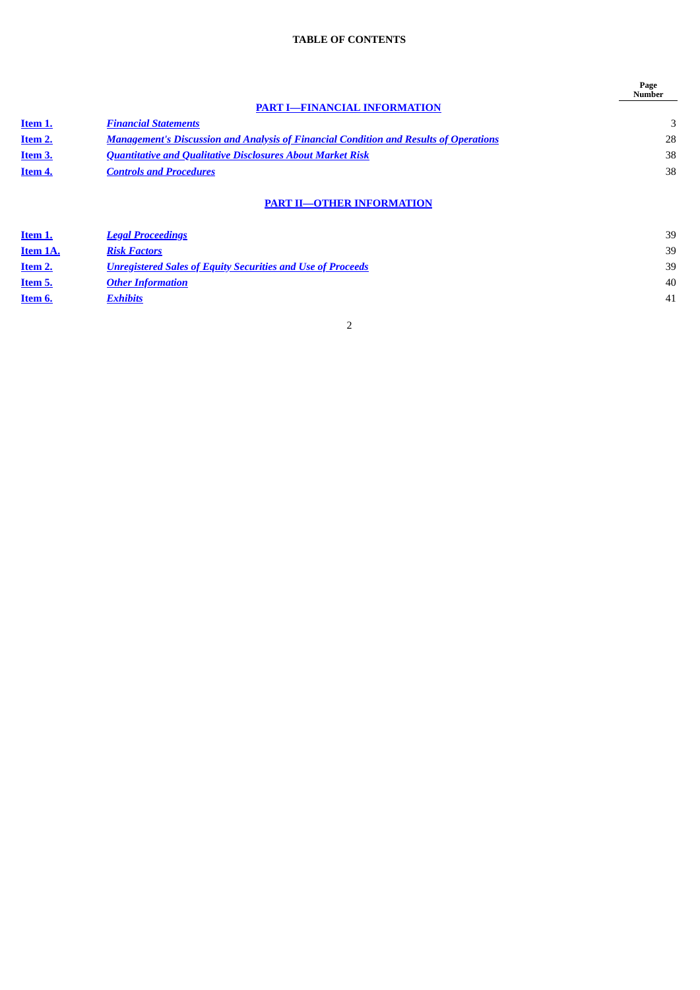### **TABLE OF CONTENTS**

<span id="page-1-0"></span>

|          |                                                                                              | Page<br>Number |
|----------|----------------------------------------------------------------------------------------------|----------------|
|          | <b>PART I-FINANCIAL INFORMATION</b>                                                          |                |
| Item 1.  | <b>Financial Statements</b>                                                                  | 3              |
| Item 2.  | <u>Management's Discussion and Analysis of Financial Condition and Results of Operations</u> | 28             |
| Item 3.  | <b>Quantitative and Qualitative Disclosures About Market Risk</b>                            | 38             |
| Item 4.  | <b>Controls and Procedures</b>                                                               | 38             |
|          | <b>PART II-OTHER INFORMATION</b>                                                             |                |
| Item 1.  | <b>Legal Proceedings</b>                                                                     | 39             |
| Item 1A. | <b>Risk Factors</b>                                                                          | 39             |
| Item 2.  | <b>Unregistered Sales of Equity Securities and Use of Proceeds</b>                           | 39             |
| Item 5.  | <b>Other Information</b>                                                                     | 40             |

2

**[Item](#page-40-0) 6.** *[Exhibits](#page-40-0)* [41](#page-40-0)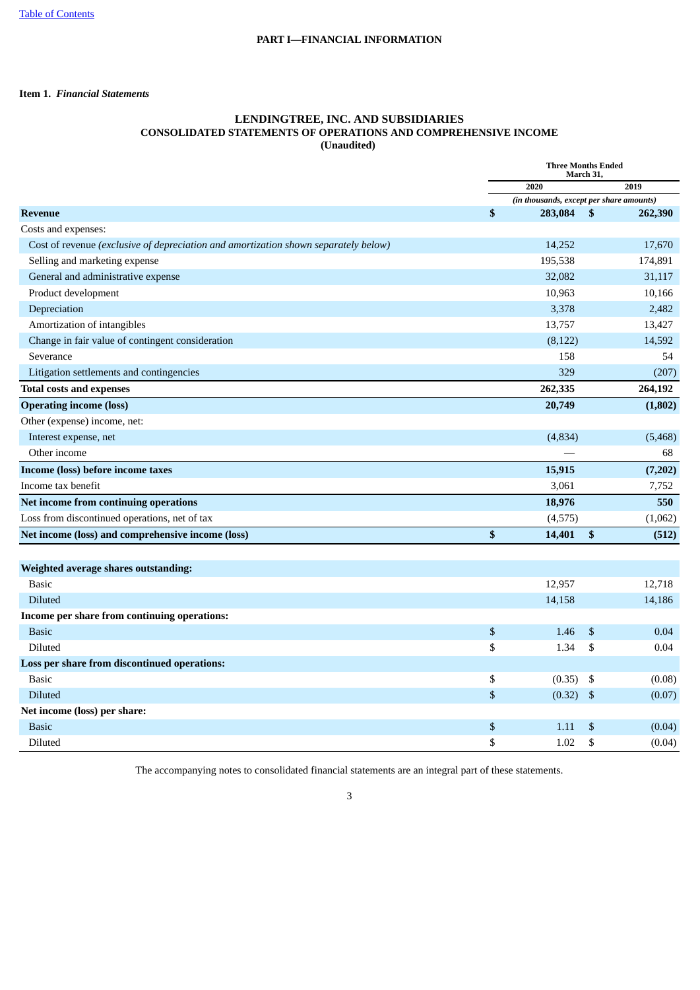### <span id="page-2-1"></span><span id="page-2-0"></span>**Item 1.** *Financial Statements*

### **LENDINGTREE, INC. AND SUBSIDIARIES CONSOLIDATED STATEMENTS OF OPERATIONS AND COMPREHENSIVE INCOME (Unaudited)**

|                                                                                     | <b>Three Months Ended</b><br>March 31, |          |                                          |         |  |
|-------------------------------------------------------------------------------------|----------------------------------------|----------|------------------------------------------|---------|--|
|                                                                                     |                                        | 2019     |                                          |         |  |
|                                                                                     |                                        |          | (in thousands, except per share amounts) |         |  |
| <b>Revenue</b>                                                                      | \$                                     | 283,084  | \$                                       | 262,390 |  |
| Costs and expenses:                                                                 |                                        |          |                                          |         |  |
| Cost of revenue (exclusive of depreciation and amortization shown separately below) |                                        | 14,252   |                                          | 17,670  |  |
| Selling and marketing expense                                                       |                                        | 195,538  |                                          | 174,891 |  |
| General and administrative expense                                                  |                                        | 32,082   |                                          | 31,117  |  |
| Product development                                                                 |                                        | 10,963   |                                          | 10,166  |  |
| Depreciation                                                                        |                                        | 3,378    |                                          | 2,482   |  |
| Amortization of intangibles                                                         |                                        | 13,757   |                                          | 13,427  |  |
| Change in fair value of contingent consideration                                    |                                        | (8, 122) |                                          | 14,592  |  |
| Severance                                                                           |                                        | 158      |                                          | 54      |  |
| Litigation settlements and contingencies                                            |                                        | 329      |                                          | (207)   |  |
| <b>Total costs and expenses</b>                                                     |                                        | 262,335  |                                          | 264,192 |  |
| <b>Operating income (loss)</b>                                                      |                                        | 20,749   |                                          | (1,802) |  |
| Other (expense) income, net:                                                        |                                        |          |                                          |         |  |
| Interest expense, net                                                               |                                        | (4,834)  |                                          | (5,468) |  |
| Other income                                                                        |                                        |          |                                          | 68      |  |
| Income (loss) before income taxes                                                   |                                        | 15,915   |                                          | (7,202) |  |
| Income tax benefit                                                                  |                                        | 3,061    |                                          | 7,752   |  |
| Net income from continuing operations                                               |                                        | 18,976   |                                          | 550     |  |
| Loss from discontinued operations, net of tax                                       |                                        | (4, 575) |                                          | (1,062) |  |
| Net income (loss) and comprehensive income (loss)                                   | \$                                     | 14,401   | \$                                       | (512)   |  |
|                                                                                     |                                        |          |                                          |         |  |
| Weighted average shares outstanding:                                                |                                        |          |                                          |         |  |
| <b>Basic</b>                                                                        |                                        | 12,957   |                                          | 12,718  |  |
| <b>Diluted</b>                                                                      |                                        | 14,158   |                                          | 14,186  |  |
| Income per share from continuing operations:                                        |                                        |          |                                          |         |  |
| <b>Basic</b>                                                                        | \$                                     | 1.46     | \$                                       | 0.04    |  |
| <b>Diluted</b>                                                                      | \$                                     | 1.34     | \$                                       | 0.04    |  |
| Loss per share from discontinued operations:                                        |                                        |          |                                          |         |  |
| <b>Basic</b>                                                                        | \$                                     | (0.35)   | $\boldsymbol{\mathsf{S}}$                | (0.08)  |  |
| <b>Diluted</b>                                                                      | \$                                     | (0.32)   | $\mathfrak s$                            | (0.07)  |  |
| Net income (loss) per share:                                                        |                                        |          |                                          |         |  |
| <b>Basic</b>                                                                        | \$                                     | 1.11     | \$                                       | (0.04)  |  |
| <b>Diluted</b>                                                                      | \$                                     | 1.02     | \$                                       | (0.04)  |  |

The accompanying notes to consolidated financial statements are an integral part of these statements.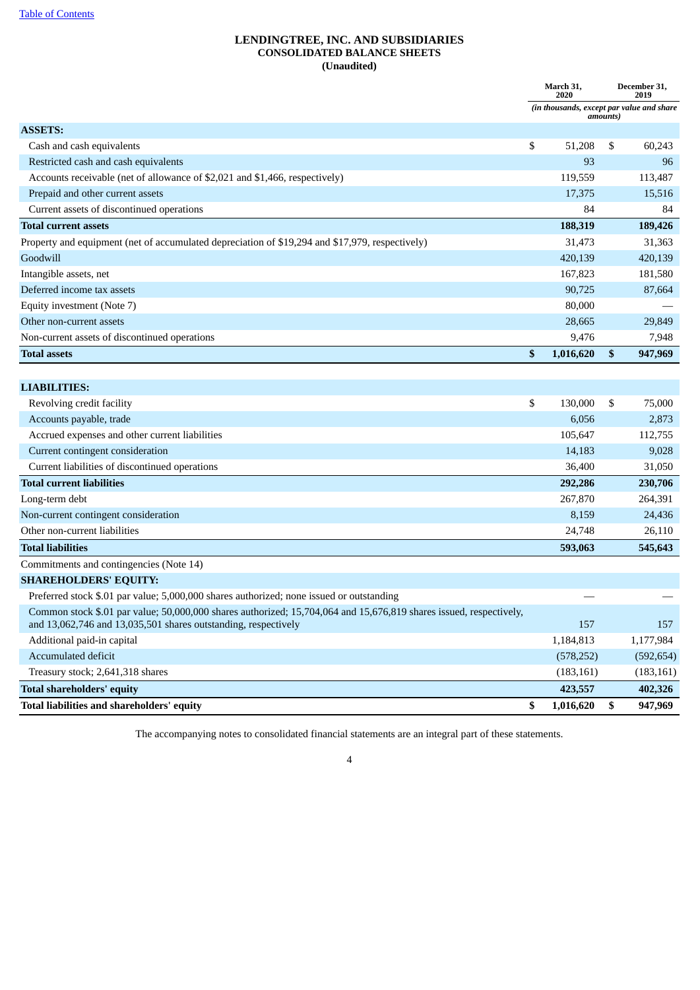### **LENDINGTREE, INC. AND SUBSIDIARIES CONSOLIDATED BALANCE SHEETS (Unaudited)**

|                                                                                                                                                                                      | March 31,<br>2020                         |          | December 31,<br>2019 |
|--------------------------------------------------------------------------------------------------------------------------------------------------------------------------------------|-------------------------------------------|----------|----------------------|
|                                                                                                                                                                                      | (in thousands, except par value and share | amounts) |                      |
| <b>ASSETS:</b>                                                                                                                                                                       |                                           |          |                      |
| Cash and cash equivalents                                                                                                                                                            | \$<br>51,208                              | \$       | 60,243               |
| Restricted cash and cash equivalents                                                                                                                                                 | 93                                        |          | 96                   |
| Accounts receivable (net of allowance of \$2,021 and \$1,466, respectively)                                                                                                          | 119,559                                   |          | 113,487              |
| Prepaid and other current assets                                                                                                                                                     | 17,375                                    |          | 15,516               |
| Current assets of discontinued operations                                                                                                                                            | 84                                        |          | 84                   |
| <b>Total current assets</b>                                                                                                                                                          | 188,319                                   |          | 189,426              |
| Property and equipment (net of accumulated depreciation of \$19,294 and \$17,979, respectively)                                                                                      | 31,473                                    |          | 31,363               |
| Goodwill                                                                                                                                                                             | 420,139                                   |          | 420,139              |
| Intangible assets, net                                                                                                                                                               | 167,823                                   |          | 181,580              |
| Deferred income tax assets                                                                                                                                                           | 90,725                                    |          | 87,664               |
| Equity investment (Note 7)                                                                                                                                                           | 80,000                                    |          |                      |
| Other non-current assets                                                                                                                                                             | 28,665                                    |          | 29,849               |
| Non-current assets of discontinued operations                                                                                                                                        | 9,476                                     |          | 7,948                |
| <b>Total assets</b>                                                                                                                                                                  | \$<br>1,016,620                           | \$       | 947,969              |
|                                                                                                                                                                                      |                                           |          |                      |
| <b>LIABILITIES:</b>                                                                                                                                                                  |                                           |          |                      |
| Revolving credit facility                                                                                                                                                            | \$<br>130,000                             | \$       | 75,000               |
| Accounts payable, trade                                                                                                                                                              | 6,056                                     |          | 2,873                |
| Accrued expenses and other current liabilities                                                                                                                                       | 105,647                                   |          | 112,755              |
| Current contingent consideration                                                                                                                                                     | 14,183                                    |          | 9,028                |
| Current liabilities of discontinued operations                                                                                                                                       | 36,400                                    |          | 31,050               |
| <b>Total current liabilities</b>                                                                                                                                                     | 292,286                                   |          | 230,706              |
| Long-term debt                                                                                                                                                                       | 267,870                                   |          | 264,391              |
| Non-current contingent consideration                                                                                                                                                 | 8,159                                     |          | 24,436               |
| Other non-current liabilities                                                                                                                                                        | 24,748                                    |          | 26,110               |
| <b>Total liabilities</b>                                                                                                                                                             | 593,063                                   |          | 545,643              |
| Commitments and contingencies (Note 14)                                                                                                                                              |                                           |          |                      |
| <b>SHAREHOLDERS' EQUITY:</b>                                                                                                                                                         |                                           |          |                      |
| Preferred stock \$.01 par value; 5,000,000 shares authorized; none issued or outstanding                                                                                             |                                           |          |                      |
| Common stock \$.01 par value; 50,000,000 shares authorized; 15,704,064 and 15,676,819 shares issued, respectively,<br>and 13,062,746 and 13,035,501 shares outstanding, respectively | 157                                       |          | 157                  |
| Additional paid-in capital                                                                                                                                                           | 1,184,813                                 |          | 1,177,984            |
| Accumulated deficit                                                                                                                                                                  | (578, 252)                                |          | (592, 654)           |
| Treasury stock; 2,641,318 shares                                                                                                                                                     | (183, 161)                                |          | (183, 161)           |
| <b>Total shareholders' equity</b>                                                                                                                                                    | 423,557                                   |          | 402,326              |
| Total liabilities and shareholders' equity                                                                                                                                           | \$<br>1,016,620                           | \$       | 947,969              |

The accompanying notes to consolidated financial statements are an integral part of these statements.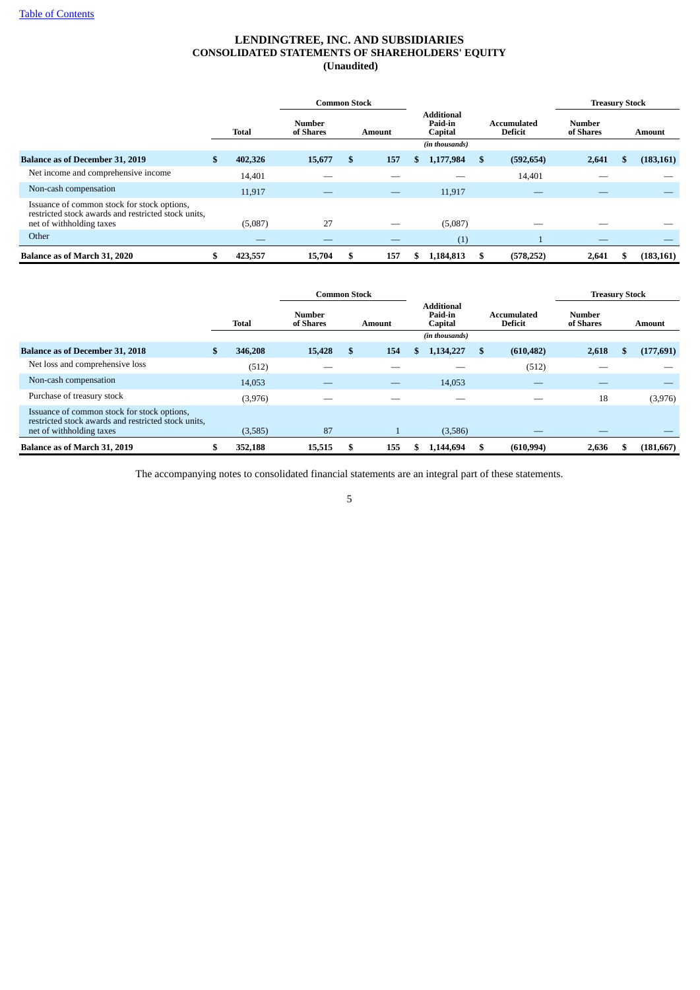### **LENDINGTREE, INC. AND SUBSIDIARIES CONSOLIDATED STATEMENTS OF SHAREHOLDERS' EQUITY (Unaudited)**

|                                                                                                                                |               |                            | <b>Common Stock</b> |        |                                         |                |     |                               | <b>Treasury Stock</b> |   |            |
|--------------------------------------------------------------------------------------------------------------------------------|---------------|----------------------------|---------------------|--------|-----------------------------------------|----------------|-----|-------------------------------|-----------------------|---|------------|
|                                                                                                                                | <b>Total</b>  | <b>Number</b><br>of Shares |                     | Amount | <b>Additional</b><br>Paid-in<br>Capital |                |     | Accumulated<br><b>Deficit</b> | Number<br>of Shares   |   | Amount     |
|                                                                                                                                |               |                            |                     |        |                                         | (in thousands) |     |                               |                       |   |            |
| <b>Balance as of December 31, 2019</b>                                                                                         | \$<br>402,326 | 15,677                     | <sup>\$</sup>       | 157    | S.                                      | 1,177,984      | \$. | (592, 654)                    | 2,641                 | S | (183, 161) |
| Net income and comprehensive income                                                                                            | 14,401        |                            |                     |        |                                         |                |     | 14,401                        |                       |   |            |
| Non-cash compensation                                                                                                          | 11,917        |                            |                     |        |                                         | 11,917         |     |                               |                       |   |            |
| Issuance of common stock for stock options,<br>restricted stock awards and restricted stock units,<br>net of withholding taxes | (5,087)       | 27                         |                     |        |                                         | (5,087)        |     |                               |                       |   |            |
| Other                                                                                                                          |               |                            |                     |        |                                         | (1)            |     |                               |                       |   |            |
| Balance as of March 31, 2020                                                                                                   | \$<br>423,557 | 15,704                     | \$.                 | 157    | S.                                      | 1,184,813      | S   | (578, 252)                    | 2,641                 |   | (183, 161) |

|                                                                                                                                |    |              | <b>Common Stock</b>        |     |        |    |                                         |      |                        | <b>Treasury Stock</b> |    |            |
|--------------------------------------------------------------------------------------------------------------------------------|----|--------------|----------------------------|-----|--------|----|-----------------------------------------|------|------------------------|-----------------------|----|------------|
|                                                                                                                                |    | <b>Total</b> | <b>Number</b><br>of Shares |     | Amount |    | <b>Additional</b><br>Paid-in<br>Capital |      | Accumulated<br>Deficit | Number<br>of Shares   |    | Amount     |
|                                                                                                                                |    |              |                            |     |        |    | (in thousands)                          |      |                        |                       |    |            |
| <b>Balance as of December 31, 2018</b>                                                                                         | \$ | 346,208      | 15,428                     | \$. | 154    | Эb | 1,134,227                               | \$   | (610, 482)             | 2,618                 | J. | (177, 691) |
| Net loss and comprehensive loss                                                                                                |    | (512)        |                            |     |        |    |                                         |      | (512)                  |                       |    |            |
| Non-cash compensation                                                                                                          |    | 14,053       |                            |     | –      |    | 14,053                                  |      |                        |                       |    |            |
| Purchase of treasury stock                                                                                                     |    | (3,976)      |                            |     |        |    |                                         |      |                        | 18                    |    | (3,976)    |
| Issuance of common stock for stock options,<br>restricted stock awards and restricted stock units,<br>net of withholding taxes |    | (3,585)      | 87                         |     |        |    | (3,586)                                 |      |                        |                       |    |            |
| Balance as of March 31, 2019                                                                                                   | Э  | 352,188      | 15,515                     | \$  | 155    | э  | 1,144,694                               | - \$ | (610, 994)             | 2,636                 |    | (181, 667) |

The accompanying notes to consolidated financial statements are an integral part of these statements.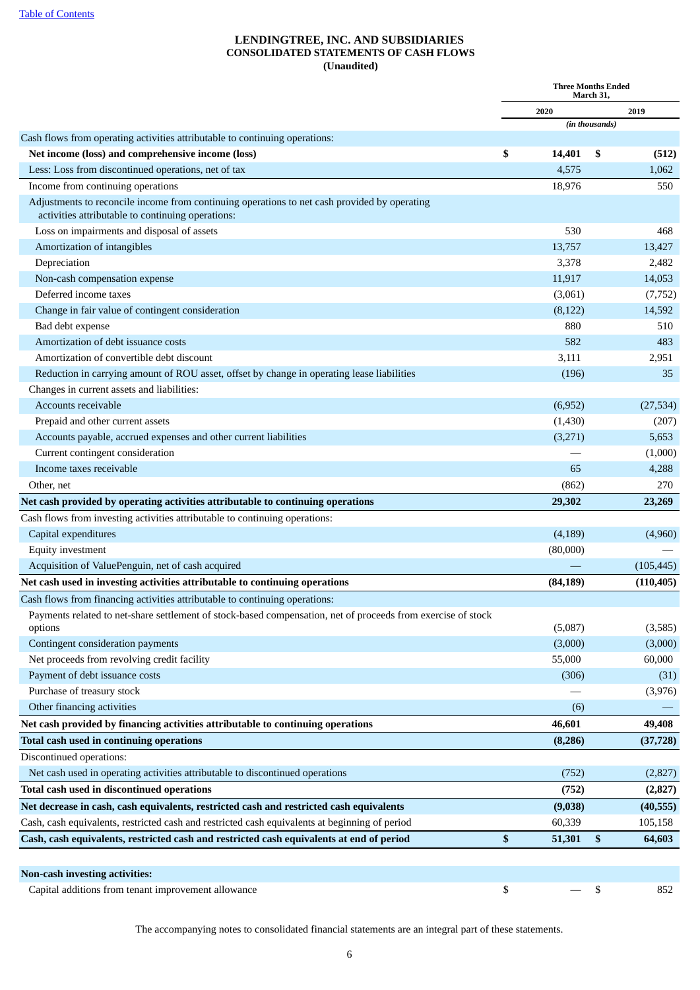### **LENDINGTREE, INC. AND SUBSIDIARIES CONSOLIDATED STATEMENTS OF CASH FLOWS (Unaudited)**

|                                                                                                                                                   | <b>Three Months Ended</b><br>March 31, |                |            |
|---------------------------------------------------------------------------------------------------------------------------------------------------|----------------------------------------|----------------|------------|
|                                                                                                                                                   | 2020                                   |                | 2019       |
|                                                                                                                                                   |                                        | (in thousands) |            |
| Cash flows from operating activities attributable to continuing operations:                                                                       |                                        |                |            |
| Net income (loss) and comprehensive income (loss)                                                                                                 | \$<br>14,401                           | - \$           | (512)      |
| Less: Loss from discontinued operations, net of tax                                                                                               | 4,575                                  |                | 1,062      |
| Income from continuing operations                                                                                                                 | 18,976                                 |                | 550        |
| Adjustments to reconcile income from continuing operations to net cash provided by operating<br>activities attributable to continuing operations: |                                        |                |            |
| Loss on impairments and disposal of assets                                                                                                        | 530                                    |                | 468        |
| Amortization of intangibles                                                                                                                       | 13,757                                 |                | 13,427     |
| Depreciation                                                                                                                                      | 3,378                                  |                | 2,482      |
| Non-cash compensation expense                                                                                                                     | 11,917                                 |                | 14,053     |
| Deferred income taxes                                                                                                                             | (3,061)                                |                | (7, 752)   |
| Change in fair value of contingent consideration                                                                                                  | (8, 122)                               |                | 14,592     |
| Bad debt expense                                                                                                                                  | 880                                    |                | 510        |
| Amortization of debt issuance costs                                                                                                               | 582                                    |                | 483        |
| Amortization of convertible debt discount                                                                                                         | 3,111                                  |                | 2,951      |
| Reduction in carrying amount of ROU asset, offset by change in operating lease liabilities                                                        | (196)                                  |                | 35         |
| Changes in current assets and liabilities:                                                                                                        |                                        |                |            |
| Accounts receivable                                                                                                                               | (6,952)                                |                | (27, 534)  |
| Prepaid and other current assets                                                                                                                  | (1, 430)                               |                | (207)      |
| Accounts payable, accrued expenses and other current liabilities                                                                                  | (3,271)                                |                | 5,653      |
| Current contingent consideration                                                                                                                  |                                        |                | (1,000)    |
| Income taxes receivable                                                                                                                           | 65                                     |                | 4,288      |
| Other, net                                                                                                                                        | (862)                                  |                | 270        |
| Net cash provided by operating activities attributable to continuing operations                                                                   | 29,302                                 |                | 23,269     |
| Cash flows from investing activities attributable to continuing operations:                                                                       |                                        |                |            |
| Capital expenditures                                                                                                                              | (4, 189)                               |                | (4,960)    |
| Equity investment                                                                                                                                 | (80,000)                               |                |            |
| Acquisition of ValuePenguin, net of cash acquired                                                                                                 |                                        |                | (105, 445) |
| Net cash used in investing activities attributable to continuing operations                                                                       | (84, 189)                              |                | (110, 405) |
| Cash flows from financing activities attributable to continuing operations:                                                                       |                                        |                |            |
| Payments related to net-share settlement of stock-based compensation, net of proceeds from exercise of stock                                      |                                        |                |            |
| options                                                                                                                                           | (5,087)                                |                | (3,585)    |
| Contingent consideration payments                                                                                                                 | (3,000)                                |                | (3,000)    |
| Net proceeds from revolving credit facility                                                                                                       | 55,000                                 |                | 60,000     |
| Payment of debt issuance costs                                                                                                                    | (306)                                  |                | (31)       |
| Purchase of treasury stock                                                                                                                        |                                        |                | (3,976)    |
| Other financing activities                                                                                                                        | (6)                                    |                |            |
| Net cash provided by financing activities attributable to continuing operations                                                                   | 46,601                                 |                | 49,408     |
| Total cash used in continuing operations                                                                                                          | (8, 286)                               |                | (37, 728)  |
| Discontinued operations:                                                                                                                          |                                        |                |            |
| Net cash used in operating activities attributable to discontinued operations                                                                     | (752)                                  |                | (2,827)    |
| <b>Total cash used in discontinued operations</b>                                                                                                 | (752)                                  |                | (2,827)    |
| Net decrease in cash, cash equivalents, restricted cash and restricted cash equivalents                                                           |                                        |                |            |
|                                                                                                                                                   | (9,038)                                |                | (40, 555)  |
| Cash, cash equivalents, restricted cash and restricted cash equivalents at beginning of period                                                    | 60,339                                 |                | 105,158    |
| Cash, cash equivalents, restricted cash and restricted cash equivalents at end of period                                                          | \$<br>51,301                           | \$             | 64,603     |
|                                                                                                                                                   |                                        |                |            |
| <b>Non-cash investing activities:</b>                                                                                                             |                                        |                |            |
| Capital additions from tenant improvement allowance                                                                                               | \$                                     | \$             | 852        |

The accompanying notes to consolidated financial statements are an integral part of these statements.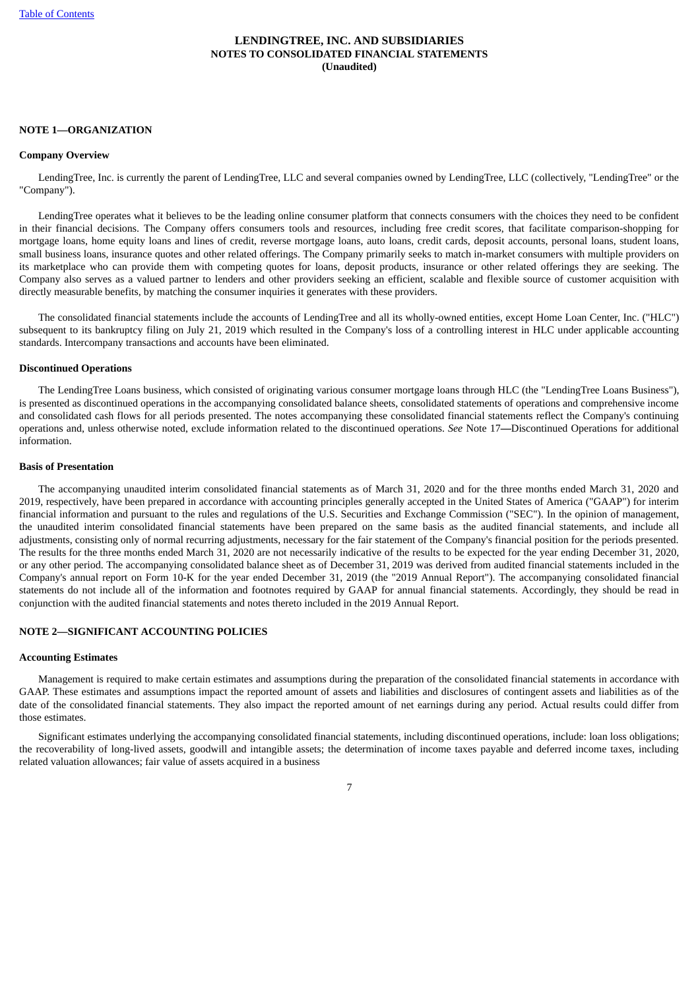#### **NOTE 1—ORGANIZATION**

#### **Company Overview**

LendingTree, Inc. is currently the parent of LendingTree, LLC and several companies owned by LendingTree, LLC (collectively, "LendingTree" or the "Company").

LendingTree operates what it believes to be the leading online consumer platform that connects consumers with the choices they need to be confident in their financial decisions. The Company offers consumers tools and resources, including free credit scores, that facilitate comparison-shopping for mortgage loans, home equity loans and lines of credit, reverse mortgage loans, auto loans, credit cards, deposit accounts, personal loans, student loans, small business loans, insurance quotes and other related offerings. The Company primarily seeks to match in-market consumers with multiple providers on its marketplace who can provide them with competing quotes for loans, deposit products, insurance or other related offerings they are seeking. The Company also serves as a valued partner to lenders and other providers seeking an efficient, scalable and flexible source of customer acquisition with directly measurable benefits, by matching the consumer inquiries it generates with these providers.

The consolidated financial statements include the accounts of LendingTree and all its wholly-owned entities, except Home Loan Center, Inc. ("HLC") subsequent to its bankruptcy filing on July 21, 2019 which resulted in the Company's loss of a controlling interest in HLC under applicable accounting standards. Intercompany transactions and accounts have been eliminated.

#### **Discontinued Operations**

The LendingTree Loans business, which consisted of originating various consumer mortgage loans through HLC (the "LendingTree Loans Business"), is presented as discontinued operations in the accompanying consolidated balance sheets, consolidated statements of operations and comprehensive income and consolidated cash flows for all periods presented. The notes accompanying these consolidated financial statements reflect the Company's continuing operations and, unless otherwise noted, exclude information related to the discontinued operations. *See* Note 17**—**Discontinued Operations for additional information.

#### **Basis of Presentation**

The accompanying unaudited interim consolidated financial statements as of March 31, 2020 and for the three months ended March 31, 2020 and 2019, respectively, have been prepared in accordance with accounting principles generally accepted in the United States of America ("GAAP") for interim financial information and pursuant to the rules and regulations of the U.S. Securities and Exchange Commission ("SEC"). In the opinion of management, the unaudited interim consolidated financial statements have been prepared on the same basis as the audited financial statements, and include all adjustments, consisting only of normal recurring adjustments, necessary for the fair statement of the Company's financial position for the periods presented. The results for the three months ended March 31, 2020 are not necessarily indicative of the results to be expected for the year ending December 31, 2020, or any other period. The accompanying consolidated balance sheet as of December 31, 2019 was derived from audited financial statements included in the Company's annual report on Form 10-K for the year ended December 31, 2019 (the "2019 Annual Report"). The accompanying consolidated financial statements do not include all of the information and footnotes required by GAAP for annual financial statements. Accordingly, they should be read in conjunction with the audited financial statements and notes thereto included in the 2019 Annual Report.

#### **NOTE 2—SIGNIFICANT ACCOUNTING POLICIES**

#### **Accounting Estimates**

Management is required to make certain estimates and assumptions during the preparation of the consolidated financial statements in accordance with GAAP. These estimates and assumptions impact the reported amount of assets and liabilities and disclosures of contingent assets and liabilities as of the date of the consolidated financial statements. They also impact the reported amount of net earnings during any period. Actual results could differ from those estimates.

Significant estimates underlying the accompanying consolidated financial statements, including discontinued operations, include: loan loss obligations; the recoverability of long-lived assets, goodwill and intangible assets; the determination of income taxes payable and deferred income taxes, including related valuation allowances; fair value of assets acquired in a business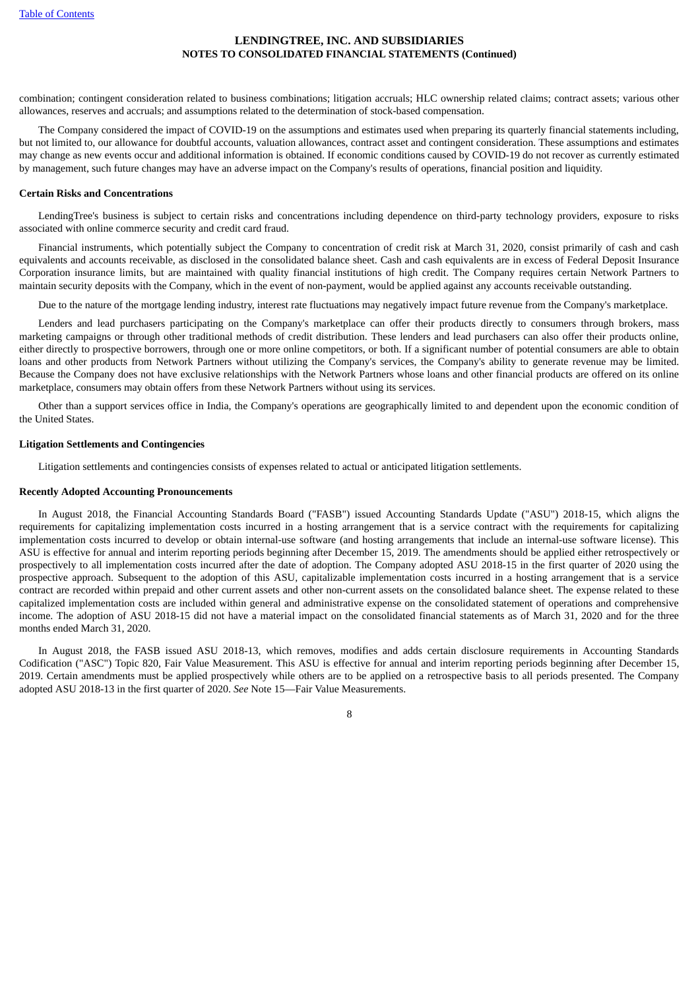combination; contingent consideration related to business combinations; litigation accruals; HLC ownership related claims; contract assets; various other allowances, reserves and accruals; and assumptions related to the determination of stock-based compensation.

The Company considered the impact of COVID-19 on the assumptions and estimates used when preparing its quarterly financial statements including, but not limited to, our allowance for doubtful accounts, valuation allowances, contract asset and contingent consideration. These assumptions and estimates may change as new events occur and additional information is obtained. If economic conditions caused by COVID-19 do not recover as currently estimated by management, such future changes may have an adverse impact on the Company's results of operations, financial position and liquidity.

#### **Certain Risks and Concentrations**

LendingTree's business is subject to certain risks and concentrations including dependence on third-party technology providers, exposure to risks associated with online commerce security and credit card fraud.

Financial instruments, which potentially subject the Company to concentration of credit risk at March 31, 2020, consist primarily of cash and cash equivalents and accounts receivable, as disclosed in the consolidated balance sheet. Cash and cash equivalents are in excess of Federal Deposit Insurance Corporation insurance limits, but are maintained with quality financial institutions of high credit. The Company requires certain Network Partners to maintain security deposits with the Company, which in the event of non-payment, would be applied against any accounts receivable outstanding.

Due to the nature of the mortgage lending industry, interest rate fluctuations may negatively impact future revenue from the Company's marketplace.

Lenders and lead purchasers participating on the Company's marketplace can offer their products directly to consumers through brokers, mass marketing campaigns or through other traditional methods of credit distribution. These lenders and lead purchasers can also offer their products online, either directly to prospective borrowers, through one or more online competitors, or both. If a significant number of potential consumers are able to obtain loans and other products from Network Partners without utilizing the Company's services, the Company's ability to generate revenue may be limited. Because the Company does not have exclusive relationships with the Network Partners whose loans and other financial products are offered on its online marketplace, consumers may obtain offers from these Network Partners without using its services.

Other than a support services office in India, the Company's operations are geographically limited to and dependent upon the economic condition of the United States.

#### **Litigation Settlements and Contingencies**

Litigation settlements and contingencies consists of expenses related to actual or anticipated litigation settlements.

#### **Recently Adopted Accounting Pronouncements**

In August 2018, the Financial Accounting Standards Board ("FASB") issued Accounting Standards Update ("ASU") 2018-15, which aligns the requirements for capitalizing implementation costs incurred in a hosting arrangement that is a service contract with the requirements for capitalizing implementation costs incurred to develop or obtain internal-use software (and hosting arrangements that include an internal-use software license). This ASU is effective for annual and interim reporting periods beginning after December 15, 2019. The amendments should be applied either retrospectively or prospectively to all implementation costs incurred after the date of adoption. The Company adopted ASU 2018-15 in the first quarter of 2020 using the prospective approach. Subsequent to the adoption of this ASU, capitalizable implementation costs incurred in a hosting arrangement that is a service contract are recorded within prepaid and other current assets and other non-current assets on the consolidated balance sheet. The expense related to these capitalized implementation costs are included within general and administrative expense on the consolidated statement of operations and comprehensive income. The adoption of ASU 2018-15 did not have a material impact on the consolidated financial statements as of March 31, 2020 and for the three months ended March 31, 2020.

In August 2018, the FASB issued ASU 2018-13, which removes, modifies and adds certain disclosure requirements in Accounting Standards Codification ("ASC") Topic 820, Fair Value Measurement. This ASU is effective for annual and interim reporting periods beginning after December 15, 2019. Certain amendments must be applied prospectively while others are to be applied on a retrospective basis to all periods presented. The Company adopted ASU 2018-13 in the first quarter of 2020. *See* Note 15—Fair Value Measurements.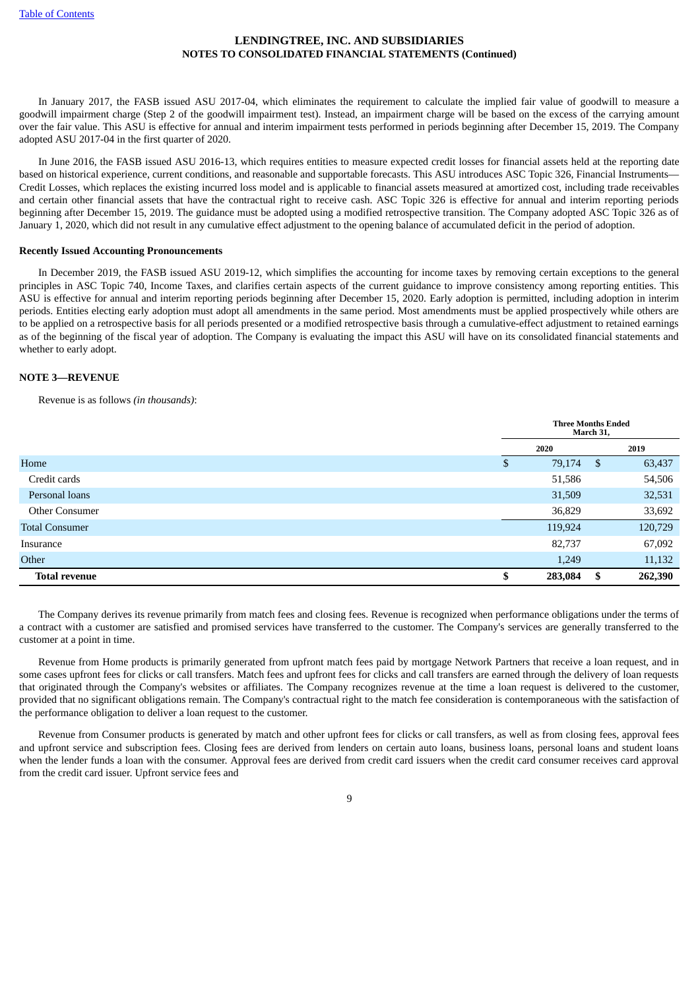In January 2017, the FASB issued ASU 2017-04, which eliminates the requirement to calculate the implied fair value of goodwill to measure a goodwill impairment charge (Step 2 of the goodwill impairment test). Instead, an impairment charge will be based on the excess of the carrying amount over the fair value. This ASU is effective for annual and interim impairment tests performed in periods beginning after December 15, 2019. The Company adopted ASU 2017-04 in the first quarter of 2020.

In June 2016, the FASB issued ASU 2016-13, which requires entities to measure expected credit losses for financial assets held at the reporting date based on historical experience, current conditions, and reasonable and supportable forecasts. This ASU introduces ASC Topic 326, Financial Instruments— Credit Losses, which replaces the existing incurred loss model and is applicable to financial assets measured at amortized cost, including trade receivables and certain other financial assets that have the contractual right to receive cash. ASC Topic 326 is effective for annual and interim reporting periods beginning after December 15, 2019. The guidance must be adopted using a modified retrospective transition. The Company adopted ASC Topic 326 as of January 1, 2020, which did not result in any cumulative effect adjustment to the opening balance of accumulated deficit in the period of adoption.

### **Recently Issued Accounting Pronouncements**

In December 2019, the FASB issued ASU 2019-12, which simplifies the accounting for income taxes by removing certain exceptions to the general principles in ASC Topic 740, Income Taxes, and clarifies certain aspects of the current guidance to improve consistency among reporting entities. This ASU is effective for annual and interim reporting periods beginning after December 15, 2020. Early adoption is permitted, including adoption in interim periods. Entities electing early adoption must adopt all amendments in the same period. Most amendments must be applied prospectively while others are to be applied on a retrospective basis for all periods presented or a modified retrospective basis through a cumulative-effect adjustment to retained earnings as of the beginning of the fiscal year of adoption. The Company is evaluating the impact this ASU will have on its consolidated financial statements and whether to early adopt.

### **NOTE 3—REVENUE**

Revenue is as follows *(in thousands)*:

|                       |        | <b>Three Months Ended</b><br>March 31, |     |         |  |  |
|-----------------------|--------|----------------------------------------|-----|---------|--|--|
|                       |        | 2020                                   |     | 2019    |  |  |
| Home                  | P      | 79,174                                 | \$. | 63,437  |  |  |
| Credit cards          |        | 51,586                                 |     | 54,506  |  |  |
| Personal loans        |        | 31,509                                 |     | 32,531  |  |  |
| Other Consumer        |        | 36,829                                 |     | 33,692  |  |  |
| <b>Total Consumer</b> |        | 119,924                                |     | 120,729 |  |  |
| Insurance             |        | 82,737                                 |     | 67,092  |  |  |
| Other                 |        | 1,249                                  |     | 11,132  |  |  |
| <b>Total revenue</b>  | Φ<br>ъ | 283,084                                | \$  | 262,390 |  |  |

The Company derives its revenue primarily from match fees and closing fees. Revenue is recognized when performance obligations under the terms of a contract with a customer are satisfied and promised services have transferred to the customer. The Company's services are generally transferred to the customer at a point in time.

Revenue from Home products is primarily generated from upfront match fees paid by mortgage Network Partners that receive a loan request, and in some cases upfront fees for clicks or call transfers. Match fees and upfront fees for clicks and call transfers are earned through the delivery of loan requests that originated through the Company's websites or affiliates. The Company recognizes revenue at the time a loan request is delivered to the customer, provided that no significant obligations remain. The Company's contractual right to the match fee consideration is contemporaneous with the satisfaction of the performance obligation to deliver a loan request to the customer.

Revenue from Consumer products is generated by match and other upfront fees for clicks or call transfers, as well as from closing fees, approval fees and upfront service and subscription fees. Closing fees are derived from lenders on certain auto loans, business loans, personal loans and student loans when the lender funds a loan with the consumer. Approval fees are derived from credit card issuers when the credit card consumer receives card approval from the credit card issuer. Upfront service fees and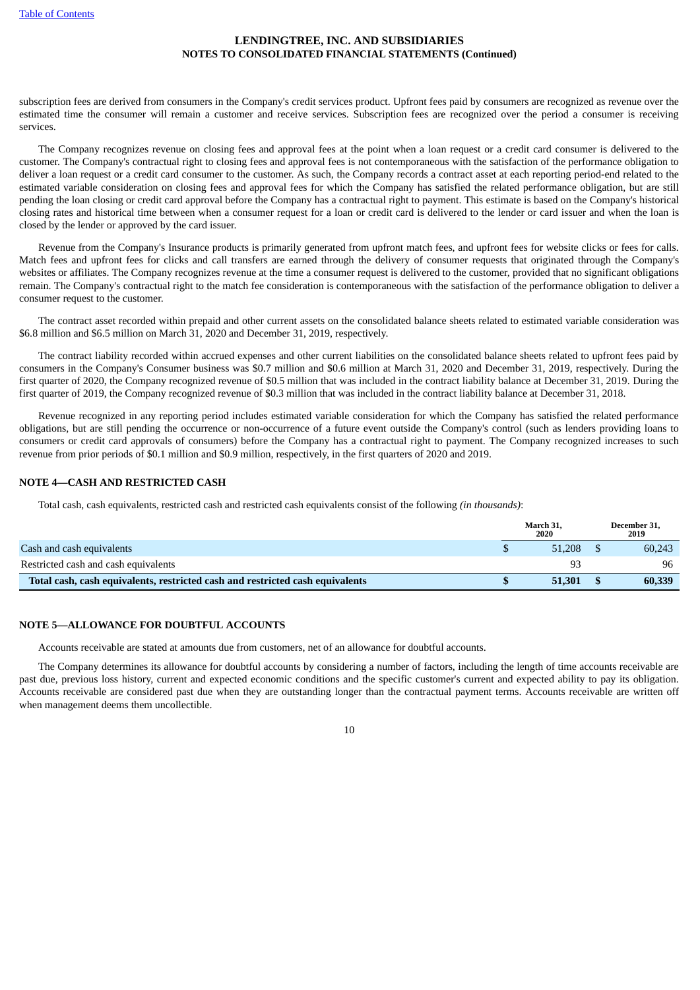subscription fees are derived from consumers in the Company's credit services product. Upfront fees paid by consumers are recognized as revenue over the estimated time the consumer will remain a customer and receive services. Subscription fees are recognized over the period a consumer is receiving services.

The Company recognizes revenue on closing fees and approval fees at the point when a loan request or a credit card consumer is delivered to the customer. The Company's contractual right to closing fees and approval fees is not contemporaneous with the satisfaction of the performance obligation to deliver a loan request or a credit card consumer to the customer. As such, the Company records a contract asset at each reporting period-end related to the estimated variable consideration on closing fees and approval fees for which the Company has satisfied the related performance obligation, but are still pending the loan closing or credit card approval before the Company has a contractual right to payment. This estimate is based on the Company's historical closing rates and historical time between when a consumer request for a loan or credit card is delivered to the lender or card issuer and when the loan is closed by the lender or approved by the card issuer.

Revenue from the Company's Insurance products is primarily generated from upfront match fees, and upfront fees for website clicks or fees for calls. Match fees and upfront fees for clicks and call transfers are earned through the delivery of consumer requests that originated through the Company's websites or affiliates. The Company recognizes revenue at the time a consumer request is delivered to the customer, provided that no significant obligations remain. The Company's contractual right to the match fee consideration is contemporaneous with the satisfaction of the performance obligation to deliver a consumer request to the customer.

The contract asset recorded within prepaid and other current assets on the consolidated balance sheets related to estimated variable consideration was \$6.8 million and \$6.5 million on March 31, 2020 and December 31, 2019, respectively.

The contract liability recorded within accrued expenses and other current liabilities on the consolidated balance sheets related to upfront fees paid by consumers in the Company's Consumer business was \$0.7 million and \$0.6 million at March 31, 2020 and December 31, 2019, respectively. During the first quarter of 2020, the Company recognized revenue of \$0.5 million that was included in the contract liability balance at December 31, 2019. During the first quarter of 2019, the Company recognized revenue of \$0.3 million that was included in the contract liability balance at December 31, 2018.

Revenue recognized in any reporting period includes estimated variable consideration for which the Company has satisfied the related performance obligations, but are still pending the occurrence or non-occurrence of a future event outside the Company's control (such as lenders providing loans to consumers or credit card approvals of consumers) before the Company has a contractual right to payment. The Company recognized increases to such revenue from prior periods of \$0.1 million and \$0.9 million, respectively, in the first quarters of 2020 and 2019.

### **NOTE 4—CASH AND RESTRICTED CASH**

Total cash, cash equivalents, restricted cash and restricted cash equivalents consist of the following *(in thousands)*:

|                                                                               | March 31,<br>2020 | December 31,<br>2019 |
|-------------------------------------------------------------------------------|-------------------|----------------------|
| Cash and cash equivalents                                                     | 51,208            | 60,243               |
| Restricted cash and cash equivalents                                          | 93                | 96                   |
| Total cash, cash equivalents, restricted cash and restricted cash equivalents | 51,301            | 60,339               |

### **NOTE 5—ALLOWANCE FOR DOUBTFUL ACCOUNTS**

Accounts receivable are stated at amounts due from customers, net of an allowance for doubtful accounts.

The Company determines its allowance for doubtful accounts by considering a number of factors, including the length of time accounts receivable are past due, previous loss history, current and expected economic conditions and the specific customer's current and expected ability to pay its obligation. Accounts receivable are considered past due when they are outstanding longer than the contractual payment terms. Accounts receivable are written off when management deems them uncollectible.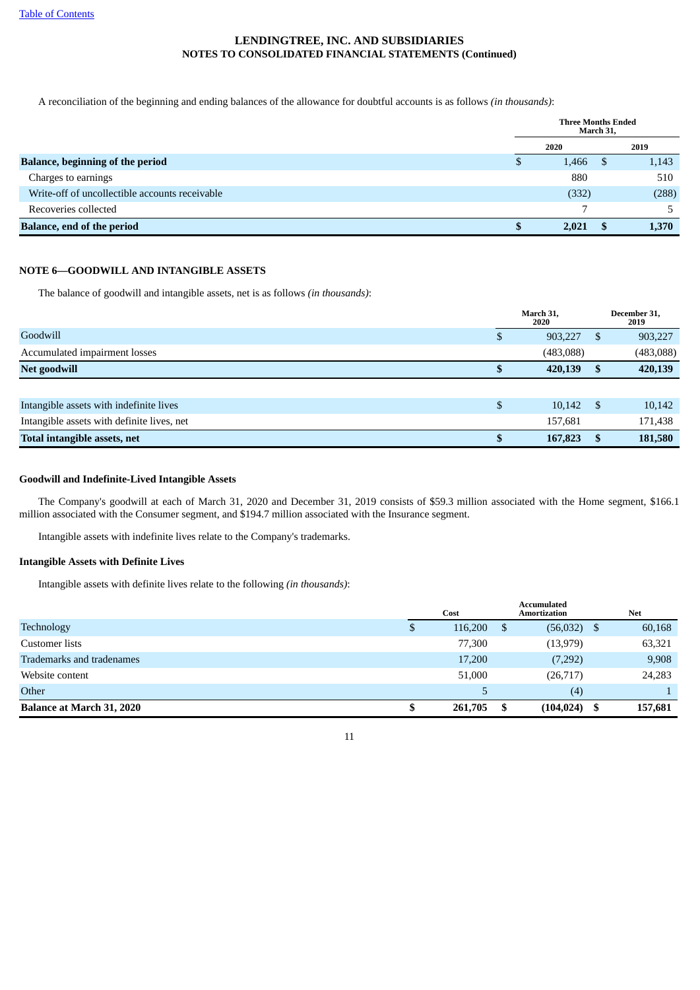A reconciliation of the beginning and ending balances of the allowance for doubtful accounts is as follows *(in thousands)*:

|                                                |    | <b>Three Months Ended</b> |    |       |
|------------------------------------------------|----|---------------------------|----|-------|
|                                                |    | 2020                      |    | 2019  |
| <b>Balance, beginning of the period</b>        | Э  | 1,466                     | S  | 1,143 |
| Charges to earnings                            |    | 880                       |    | 510   |
| Write-off of uncollectible accounts receivable |    | (332)                     |    | (288) |
| Recoveries collected                           |    | ∍                         |    |       |
| <b>Balance, end of the period</b>              | ٨D | 2,021                     | -S | 1,370 |

### **NOTE 6—GOODWILL AND INTANGIBLE ASSETS**

The balance of goodwill and intangible assets, net is as follows *(in thousands)*:

|                                            |    | March 31,<br>2020 |    | December 31,<br>2019 |
|--------------------------------------------|----|-------------------|----|----------------------|
| Goodwill                                   | S  | 903,227           | -S | 903,227              |
| Accumulated impairment losses              |    | (483,088)         |    | (483,088)            |
| Net goodwill                               |    | 420,139           | S  | 420,139              |
|                                            |    |                   |    |                      |
| Intangible assets with indefinite lives    | \$ | 10,142            | -S | 10,142               |
| Intangible assets with definite lives, net |    | 157,681           |    | 171,438              |
| Total intangible assets, net               | S  | 167,823           | S. | 181,580              |

### **Goodwill and Indefinite-Lived Intangible Assets**

The Company's goodwill at each of March 31, 2020 and December 31, 2019 consists of \$59.3 million associated with the Home segment, \$166.1 million associated with the Consumer segment, and \$194.7 million associated with the Insurance segment.

Intangible assets with indefinite lives relate to the Company's trademarks.

### **Intangible Assets with Definite Lives**

Intangible assets with definite lives relate to the following *(in thousands)*:

|                                  |   | Cost    | Accumulated<br>Amortization | <b>Net</b> |
|----------------------------------|---|---------|-----------------------------|------------|
| Technology                       | Φ | 116,200 | \$<br>$(56,032)$ \$         | 60,168     |
| Customer lists                   |   | 77,300  | (13, 979)                   | 63,321     |
| Trademarks and tradenames        |   | 17,200  | (7,292)                     | 9,908      |
| Website content                  |   | 51,000  | (26, 717)                   | 24,283     |
| Other                            |   |         | (4)                         |            |
| <b>Balance at March 31, 2020</b> |   | 261,705 | $(104, 024)$ \$             | 157,681    |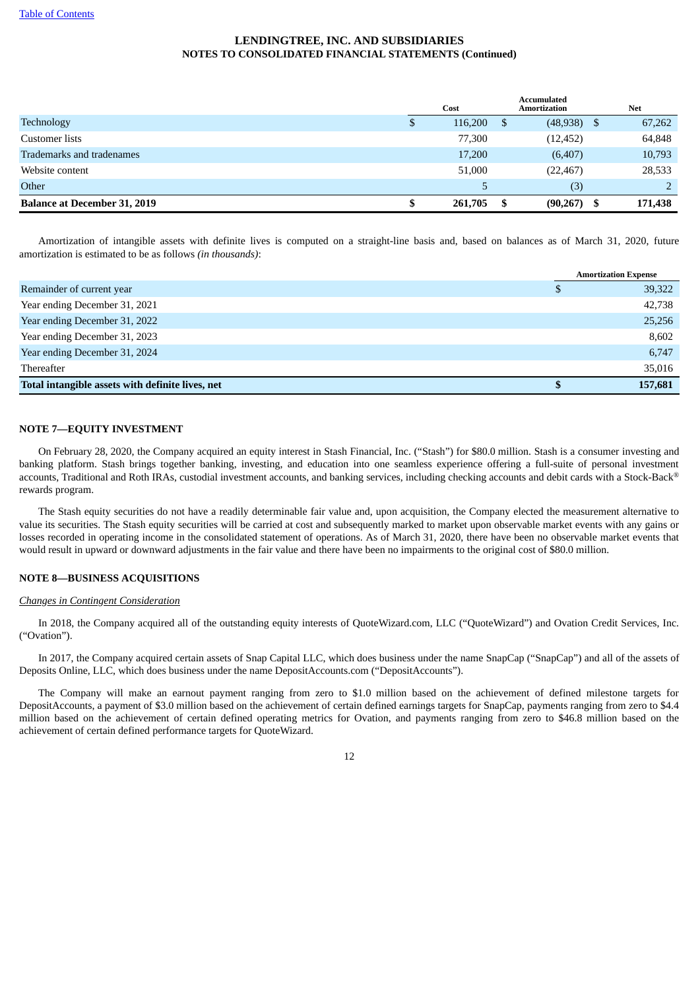|                                     |   | Cost    | Accumulated<br>Amortization |      | <b>Net</b> |
|-------------------------------------|---|---------|-----------------------------|------|------------|
| Technology                          | S | 116,200 | (48, 938)                   | - \$ | 67,262     |
| Customer lists                      |   | 77,300  | (12, 452)                   |      | 64,848     |
| Trademarks and tradenames           |   | 17,200  | (6, 407)                    |      | 10,793     |
| Website content                     |   | 51,000  | (22, 467)                   |      | 28,533     |
| Other                               |   | 5       | (3)                         |      |            |
| <b>Balance at December 31, 2019</b> | Φ | 261,705 | (90, 267)                   | - 5  | 171,438    |

Amortization of intangible assets with definite lives is computed on a straight-line basis and, based on balances as of March 31, 2020, future amortization is estimated to be as follows *(in thousands)*:

|                                                  | <b>Amortization Expense</b> |
|--------------------------------------------------|-----------------------------|
| Remainder of current year                        | 39,322                      |
| Year ending December 31, 2021                    | 42,738                      |
| Year ending December 31, 2022                    | 25,256                      |
| Year ending December 31, 2023                    | 8,602                       |
| Year ending December 31, 2024                    | 6.747                       |
| Thereafter                                       | 35,016                      |
| Total intangible assets with definite lives, net | 157,681                     |

### **NOTE 7—EQUITY INVESTMENT**

On February 28, 2020, the Company acquired an equity interest in Stash Financial, Inc. ("Stash") for \$80.0 million. Stash is a consumer investing and banking platform. Stash brings together banking, investing, and education into one seamless experience offering a full-suite of personal investment accounts, Traditional and Roth IRAs, custodial investment accounts, and banking services, including checking accounts and debit cards with a Stock-Back® rewards program.

The Stash equity securities do not have a readily determinable fair value and, upon acquisition, the Company elected the measurement alternative to value its securities. The Stash equity securities will be carried at cost and subsequently marked to market upon observable market events with any gains or losses recorded in operating income in the consolidated statement of operations. As of March 31, 2020, there have been no observable market events that would result in upward or downward adjustments in the fair value and there have been no impairments to the original cost of \$80.0 million.

#### **NOTE 8—BUSINESS ACQUISITIONS**

#### *Changes in Contingent Consideration*

In 2018, the Company acquired all of the outstanding equity interests of QuoteWizard.com, LLC ("QuoteWizard") and Ovation Credit Services, Inc. ("Ovation").

In 2017, the Company acquired certain assets of Snap Capital LLC, which does business under the name SnapCap ("SnapCap") and all of the assets of Deposits Online, LLC, which does business under the name DepositAccounts.com ("DepositAccounts").

The Company will make an earnout payment ranging from zero to \$1.0 million based on the achievement of defined milestone targets for DepositAccounts, a payment of \$3.0 million based on the achievement of certain defined earnings targets for SnapCap, payments ranging from zero to \$4.4 million based on the achievement of certain defined operating metrics for Ovation, and payments ranging from zero to \$46.8 million based on the achievement of certain defined performance targets for QuoteWizard.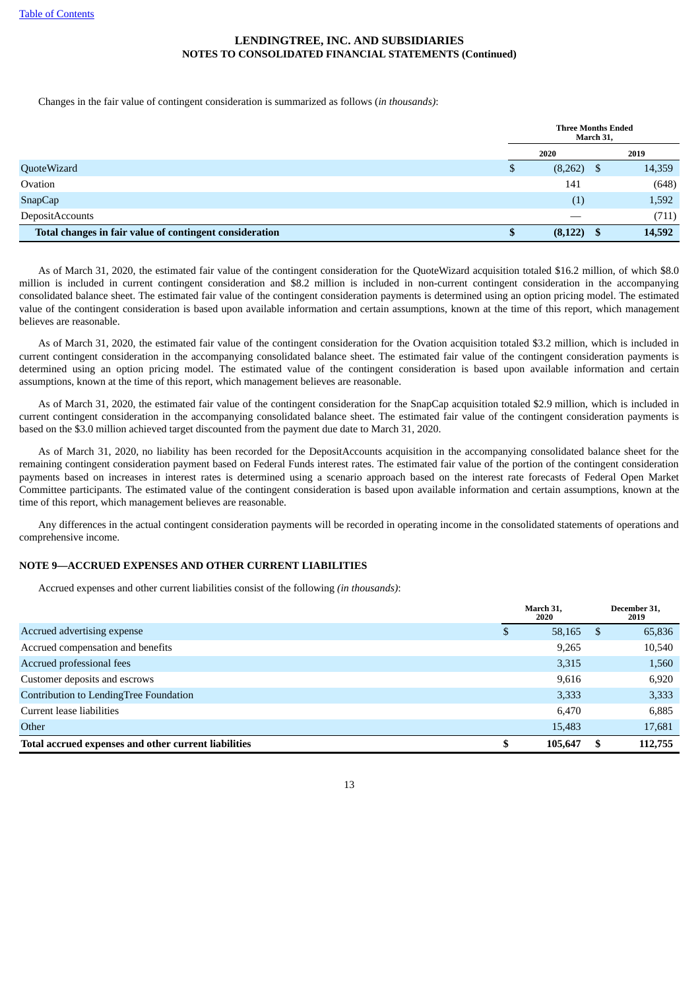Changes in the fair value of contingent consideration is summarized as follows (*in thousands)*:

|                                                         | <b>Three Months Ended</b><br>March 31, |          |      |        |
|---------------------------------------------------------|----------------------------------------|----------|------|--------|
|                                                         |                                        | 2020     |      | 2019   |
| QuoteWizard                                             | D                                      | (8,262)  | - \$ | 14,359 |
| Ovation                                                 |                                        | 141      |      | (648)  |
| <b>SnapCap</b>                                          |                                        | (1)      |      | 1,592  |
| DepositAccounts                                         |                                        |          |      | (711)  |
| Total changes in fair value of contingent consideration |                                        | (8, 122) | - 5  | 14,592 |

As of March 31, 2020, the estimated fair value of the contingent consideration for the QuoteWizard acquisition totaled \$16.2 million, of which \$8.0 million is included in current contingent consideration and \$8.2 million is included in non-current contingent consideration in the accompanying consolidated balance sheet. The estimated fair value of the contingent consideration payments is determined using an option pricing model. The estimated value of the contingent consideration is based upon available information and certain assumptions, known at the time of this report, which management believes are reasonable.

As of March 31, 2020, the estimated fair value of the contingent consideration for the Ovation acquisition totaled \$3.2 million, which is included in current contingent consideration in the accompanying consolidated balance sheet. The estimated fair value of the contingent consideration payments is determined using an option pricing model. The estimated value of the contingent consideration is based upon available information and certain assumptions, known at the time of this report, which management believes are reasonable.

As of March 31, 2020, the estimated fair value of the contingent consideration for the SnapCap acquisition totaled \$2.9 million, which is included in current contingent consideration in the accompanying consolidated balance sheet. The estimated fair value of the contingent consideration payments is based on the \$3.0 million achieved target discounted from the payment due date to March 31, 2020.

As of March 31, 2020, no liability has been recorded for the DepositAccounts acquisition in the accompanying consolidated balance sheet for the remaining contingent consideration payment based on Federal Funds interest rates. The estimated fair value of the portion of the contingent consideration payments based on increases in interest rates is determined using a scenario approach based on the interest rate forecasts of Federal Open Market Committee participants. The estimated value of the contingent consideration is based upon available information and certain assumptions, known at the time of this report, which management believes are reasonable.

Any differences in the actual contingent consideration payments will be recorded in operating income in the consolidated statements of operations and comprehensive income.

### **NOTE 9—ACCRUED EXPENSES AND OTHER CURRENT LIABILITIES**

Accrued expenses and other current liabilities consist of the following *(in thousands)*:

|                                                      |   | March 31,<br>2020 |    | December 31,<br>2019 |
|------------------------------------------------------|---|-------------------|----|----------------------|
| Accrued advertising expense                          | D | 58,165            | -S | 65,836               |
| Accrued compensation and benefits                    |   | 9,265             |    | 10,540               |
| Accrued professional fees                            |   | 3,315             |    | 1,560                |
| Customer deposits and escrows                        |   | 9,616             |    | 6,920                |
| Contribution to LendingTree Foundation               |   | 3,333             |    | 3,333                |
| Current lease liabilities                            |   | 6,470             |    | 6,885                |
| Other                                                |   | 15,483            |    | 17,681               |
| Total accrued expenses and other current liabilities |   | 105,647           | .S | 112,755              |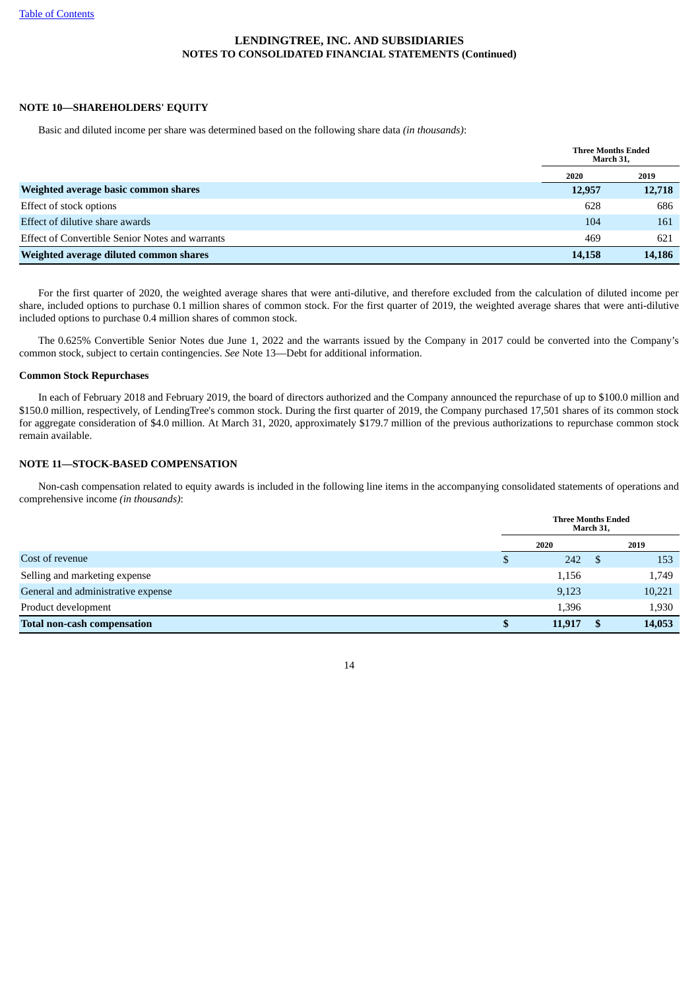#### **NOTE 10—SHAREHOLDERS' EQUITY**

Basic and diluted income per share was determined based on the following share data *(in thousands)*:

|                                                        | <b>Three Months Ended</b><br>March 31, |        |
|--------------------------------------------------------|----------------------------------------|--------|
|                                                        | 2020                                   | 2019   |
| Weighted average basic common shares                   | 12,957                                 | 12,718 |
| Effect of stock options                                | 628                                    | 686    |
| Effect of dilutive share awards                        | 104                                    | 161    |
| <b>Effect of Convertible Senior Notes and warrants</b> | 469                                    | 621    |
| Weighted average diluted common shares                 | 14,158                                 | 14,186 |

For the first quarter of 2020, the weighted average shares that were anti-dilutive, and therefore excluded from the calculation of diluted income per share, included options to purchase 0.1 million shares of common stock. For the first quarter of 2019, the weighted average shares that were anti-dilutive included options to purchase 0.4 million shares of common stock.

The 0.625% Convertible Senior Notes due June 1, 2022 and the warrants issued by the Company in 2017 could be converted into the Company's common stock, subject to certain contingencies. *See* Note 13—Debt for additional information.

#### **Common Stock Repurchases**

In each of February 2018 and February 2019, the board of directors authorized and the Company announced the repurchase of up to \$100.0 million and \$150.0 million, respectively, of LendingTree's common stock. During the first quarter of 2019, the Company purchased 17,501 shares of its common stock for aggregate consideration of \$4.0 million. At March 31, 2020, approximately \$179.7 million of the previous authorizations to repurchase common stock remain available.

### **NOTE 11—STOCK-BASED COMPENSATION**

Non-cash compensation related to equity awards is included in the following line items in the accompanying consolidated statements of operations and comprehensive income *(in thousands)*:

|                                    | <b>Three Months Ended</b><br>March 31, |        |          |        |
|------------------------------------|----------------------------------------|--------|----------|--------|
|                                    |                                        | 2020   |          | 2019   |
| Cost of revenue                    |                                        | 242    | -S       | 153    |
| Selling and marketing expense      |                                        | 1,156  |          | 1,749  |
| General and administrative expense |                                        | 9,123  |          | 10,221 |
| Product development                |                                        | 1,396  |          | 1,930  |
| <b>Total non-cash compensation</b> |                                        | 11,917 | <b>S</b> | 14,053 |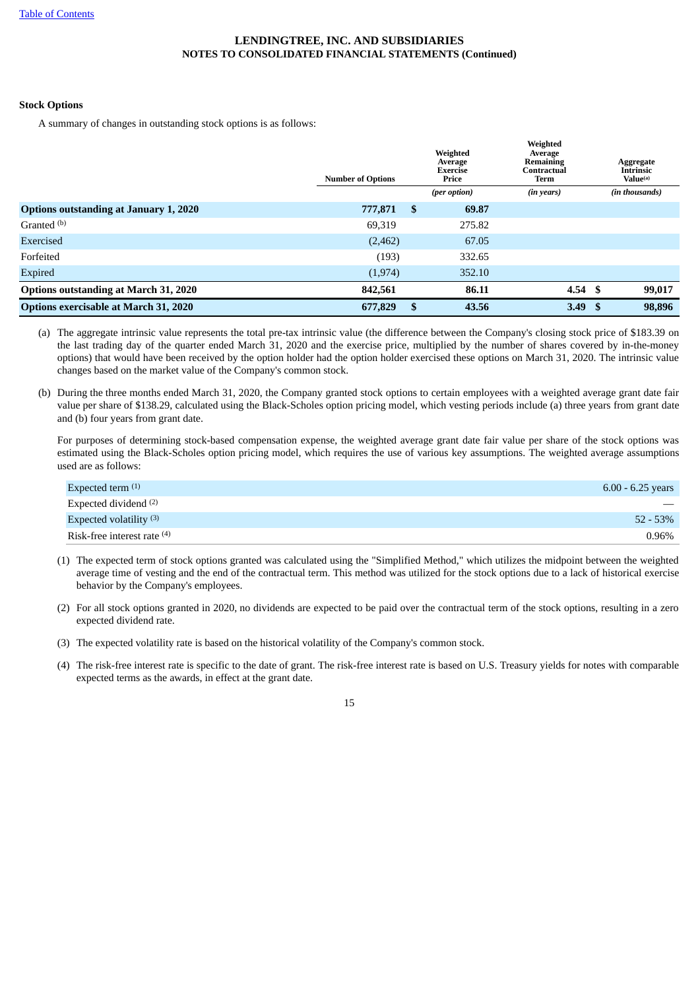### **Stock Options**

A summary of changes in outstanding stock options is as follows:

|                                               | <b>Number of Options</b> |      | Weighted<br>Average<br>Exercise<br>Price | Weighted<br>Average<br>Remaining<br>Contractual<br>Term |      | Aggregate<br><b>Intrinsic</b><br>Value <sup>(a)</sup> |
|-----------------------------------------------|--------------------------|------|------------------------------------------|---------------------------------------------------------|------|-------------------------------------------------------|
|                                               |                          |      | (per option)                             | (in years)                                              |      | (in thousands)                                        |
| <b>Options outstanding at January 1, 2020</b> | 777,871                  | - \$ | 69.87                                    |                                                         |      |                                                       |
| Granted <sup>(b)</sup>                        | 69,319                   |      | 275.82                                   |                                                         |      |                                                       |
| Exercised                                     | (2,462)                  |      | 67.05                                    |                                                         |      |                                                       |
| Forfeited                                     | (193)                    |      | 332.65                                   |                                                         |      |                                                       |
| Expired                                       | (1, 974)                 |      | 352.10                                   |                                                         |      |                                                       |
| <b>Options outstanding at March 31, 2020</b>  | 842,561                  |      | 86.11                                    | 4.54                                                    | - \$ | 99,017                                                |
| <b>Options exercisable at March 31, 2020</b>  | 677,829                  | -S   | 43.56                                    | 3.49                                                    | - \$ | 98,896                                                |

(a) The aggregate intrinsic value represents the total pre-tax intrinsic value (the difference between the Company's closing stock price of \$183.39 on the last trading day of the quarter ended March 31, 2020 and the exercise price, multiplied by the number of shares covered by in-the-money options) that would have been received by the option holder had the option holder exercised these options on March 31, 2020. The intrinsic value changes based on the market value of the Company's common stock.

(b) During the three months ended March 31, 2020, the Company granted stock options to certain employees with a weighted average grant date fair value per share of \$138.29, calculated using the Black-Scholes option pricing model, which vesting periods include (a) three years from grant date and (b) four years from grant date.

For purposes of determining stock-based compensation expense, the weighted average grant date fair value per share of the stock options was estimated using the Black-Scholes option pricing model, which requires the use of various key assumptions. The weighted average assumptions used are as follows:

| Expected term $(1)$                    | $6.00 - 6.25$ years |
|----------------------------------------|---------------------|
| Expected dividend (2)                  |                     |
| Expected volatility $(3)$              | $52 - 53%$          |
| Risk-free interest rate <sup>(4)</sup> | 0.96%               |

- (1) The expected term of stock options granted was calculated using the "Simplified Method," which utilizes the midpoint between the weighted average time of vesting and the end of the contractual term. This method was utilized for the stock options due to a lack of historical exercise behavior by the Company's employees.
- (2) For all stock options granted in 2020, no dividends are expected to be paid over the contractual term of the stock options, resulting in a zero expected dividend rate.
- (3) The expected volatility rate is based on the historical volatility of the Company's common stock.
- (4) The risk-free interest rate is specific to the date of grant. The risk-free interest rate is based on U.S. Treasury yields for notes with comparable expected terms as the awards, in effect at the grant date.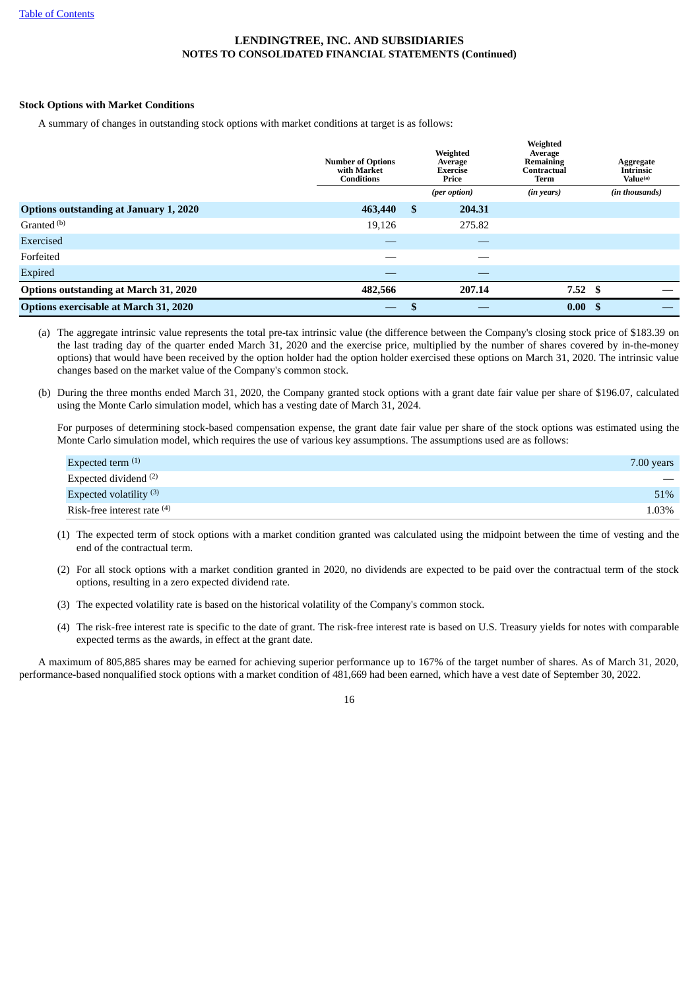### **Stock Options with Market Conditions**

A summary of changes in outstanding stock options with market conditions at target is as follows:

|                                               | <b>Number of Options</b><br>with Market<br><b>Conditions</b> |    | Weighted<br>Average<br>Exercise<br>Price | Weighted<br>Average<br>Remaining<br>Contractual<br>Term |      | Aggregate<br><b>Intrinsic</b><br>Value <sup>(a)</sup> |
|-----------------------------------------------|--------------------------------------------------------------|----|------------------------------------------|---------------------------------------------------------|------|-------------------------------------------------------|
|                                               |                                                              |    | (per option)                             | (in years)                                              |      | (in thousands)                                        |
| <b>Options outstanding at January 1, 2020</b> | 463,440                                                      | -S | 204.31                                   |                                                         |      |                                                       |
| Granted <sup>(b)</sup>                        | 19,126                                                       |    | 275.82                                   |                                                         |      |                                                       |
| Exercised                                     |                                                              |    |                                          |                                                         |      |                                                       |
| Forfeited                                     |                                                              |    |                                          |                                                         |      |                                                       |
| Expired                                       |                                                              |    | __                                       |                                                         |      |                                                       |
| <b>Options outstanding at March 31, 2020</b>  | 482,566                                                      |    | 207.14                                   | 7.52 <sub>5</sub>                                       |      |                                                       |
| Options exercisable at March 31, 2020         |                                                              |    |                                          | 0.00                                                    | - \$ |                                                       |

(a) The aggregate intrinsic value represents the total pre-tax intrinsic value (the difference between the Company's closing stock price of \$183.39 on the last trading day of the quarter ended March 31, 2020 and the exercise price, multiplied by the number of shares covered by in-the-money options) that would have been received by the option holder had the option holder exercised these options on March 31, 2020. The intrinsic value changes based on the market value of the Company's common stock.

(b) During the three months ended March 31, 2020, the Company granted stock options with a grant date fair value per share of \$196.07, calculated using the Monte Carlo simulation model, which has a vesting date of March 31, 2024.

For purposes of determining stock-based compensation expense, the grant date fair value per share of the stock options was estimated using the Monte Carlo simulation model, which requires the use of various key assumptions. The assumptions used are as follows:

| Expected term $(1)$           | 7.00 years |
|-------------------------------|------------|
| Expected dividend (2)         |            |
| Expected volatility $(3)$     | 51%        |
| Risk-free interest rate $(4)$ | 1.03%      |

- (1) The expected term of stock options with a market condition granted was calculated using the midpoint between the time of vesting and the end of the contractual term.
- (2) For all stock options with a market condition granted in 2020, no dividends are expected to be paid over the contractual term of the stock options, resulting in a zero expected dividend rate.
- (3) The expected volatility rate is based on the historical volatility of the Company's common stock.
- (4) The risk-free interest rate is specific to the date of grant. The risk-free interest rate is based on U.S. Treasury yields for notes with comparable expected terms as the awards, in effect at the grant date.

A maximum of 805,885 shares may be earned for achieving superior performance up to 167% of the target number of shares. As of March 31, 2020, performance-based nonqualified stock options with a market condition of 481,669 had been earned, which have a vest date of September 30, 2022.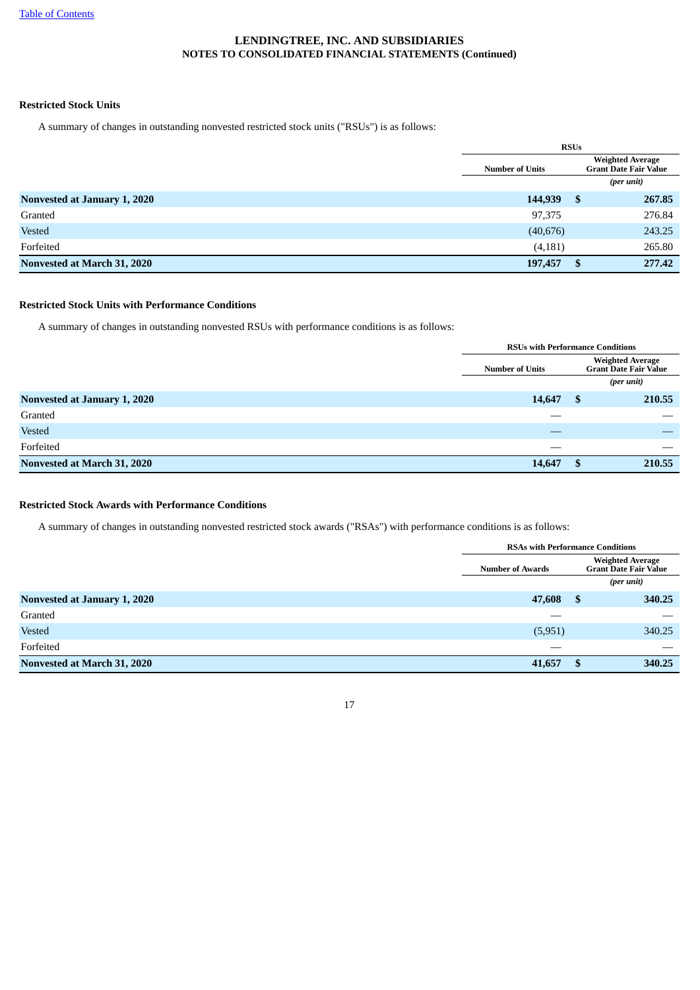### **Restricted Stock Units**

A summary of changes in outstanding nonvested restricted stock units ("RSUs") is as follows:

|                                     | <b>RSUs</b>            |     |                                                         |  |
|-------------------------------------|------------------------|-----|---------------------------------------------------------|--|
|                                     | <b>Number of Units</b> |     | <b>Weighted Average</b><br><b>Grant Date Fair Value</b> |  |
|                                     |                        |     | (per unit)                                              |  |
| <b>Nonvested at January 1, 2020</b> | 144,939                | - 5 | 267.85                                                  |  |
| Granted                             | 97,375                 |     | 276.84                                                  |  |
| <b>Vested</b>                       | (40, 676)              |     | 243.25                                                  |  |
| Forfeited                           | (4, 181)               |     | 265.80                                                  |  |
| Nonvested at March 31, 2020         | 197,457                | S   | 277.42                                                  |  |

### **Restricted Stock Units with Performance Conditions**

A summary of changes in outstanding nonvested RSUs with performance conditions is as follows:

|                                    | <b>RSUs with Performance Conditions</b> |              |                                                         |  |
|------------------------------------|-----------------------------------------|--------------|---------------------------------------------------------|--|
|                                    | <b>Number of Units</b>                  |              | <b>Weighted Average</b><br><b>Grant Date Fair Value</b> |  |
|                                    |                                         |              | (per unit)                                              |  |
| Nonvested at January 1, 2020       | 14,647                                  | $\mathbf{s}$ | 210.55                                                  |  |
| Granted                            |                                         |              |                                                         |  |
| <b>Vested</b>                      |                                         |              |                                                         |  |
| Forfeited                          |                                         |              |                                                         |  |
| <b>Nonvested at March 31, 2020</b> | 14,647                                  |              | 210.55                                                  |  |

### **Restricted Stock Awards with Performance Conditions**

A summary of changes in outstanding nonvested restricted stock awards ("RSAs") with performance conditions is as follows:

|                                    | <b>RSAs with Performance Conditions</b> |            |                                                         |  |  |
|------------------------------------|-----------------------------------------|------------|---------------------------------------------------------|--|--|
|                                    | <b>Number of Awards</b>                 |            | <b>Weighted Average</b><br><b>Grant Date Fair Value</b> |  |  |
|                                    |                                         | (per unit) |                                                         |  |  |
| Nonvested at January 1, 2020       | 47,608                                  | S,         | 340.25                                                  |  |  |
| Granted                            |                                         |            |                                                         |  |  |
| <b>Vested</b>                      | (5,951)                                 |            | 340.25                                                  |  |  |
| Forfeited                          |                                         |            | __                                                      |  |  |
| <b>Nonvested at March 31, 2020</b> | 41,657                                  | -S         | 340.25                                                  |  |  |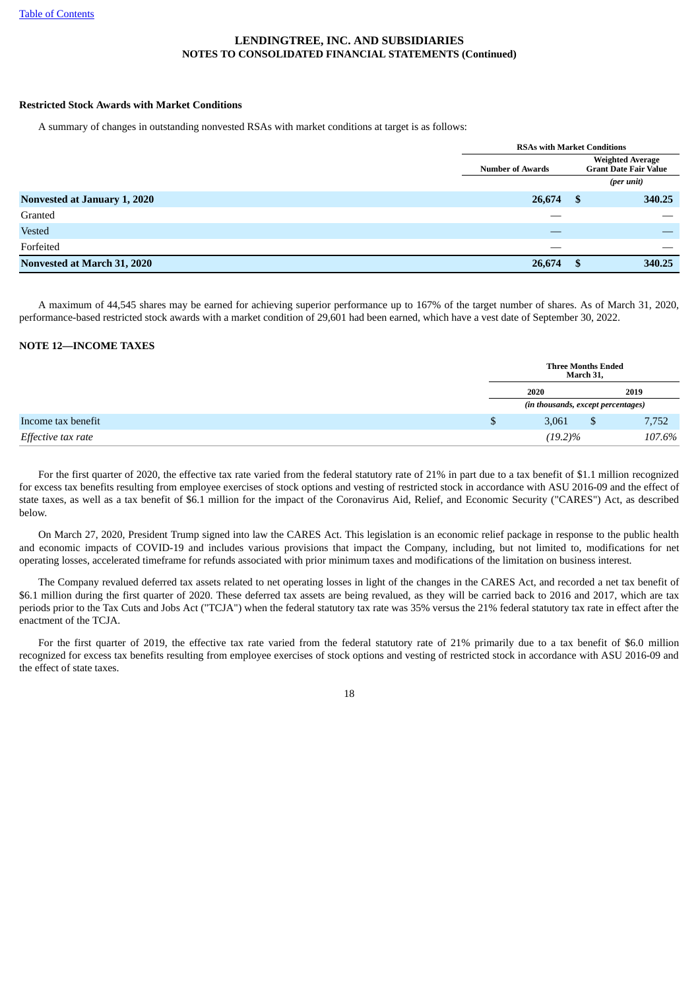#### **Restricted Stock Awards with Market Conditions**

A summary of changes in outstanding nonvested RSAs with market conditions at target is as follows:

|                                     | <b>RSAs with Market Conditions</b> |            |                                                         |  |  |
|-------------------------------------|------------------------------------|------------|---------------------------------------------------------|--|--|
|                                     | <b>Number of Awards</b>            |            | <b>Weighted Average</b><br><b>Grant Date Fair Value</b> |  |  |
|                                     |                                    | (per unit) |                                                         |  |  |
| <b>Nonvested at January 1, 2020</b> | 26,674                             | S.         | 340.25                                                  |  |  |
| Granted                             |                                    |            |                                                         |  |  |
| <b>Vested</b>                       |                                    |            |                                                         |  |  |
| Forfeited                           |                                    |            |                                                         |  |  |
| <b>Nonvested at March 31, 2020</b>  | 26,674                             | S.         | 340.25                                                  |  |  |

A maximum of 44,545 shares may be earned for achieving superior performance up to 167% of the target number of shares. As of March 31, 2020, performance-based restricted stock awards with a market condition of 29,601 had been earned, which have a vest date of September 30, 2022.

### **NOTE 12—INCOME TAXES**

|                    |   |                                    | <b>Three Months Ended</b><br>March 31, |      |        |  |  |
|--------------------|---|------------------------------------|----------------------------------------|------|--------|--|--|
|                    |   | 2020                               |                                        | 2019 |        |  |  |
|                    |   | (in thousands, except percentages) |                                        |      |        |  |  |
| Income tax benefit | J |                                    | 3,061                                  |      | 7,752  |  |  |
| Effective tax rate |   |                                    | $(19.2)\%$                             |      | 107.6% |  |  |

For the first quarter of 2020, the effective tax rate varied from the federal statutory rate of 21% in part due to a tax benefit of \$1.1 million recognized for excess tax benefits resulting from employee exercises of stock options and vesting of restricted stock in accordance with ASU 2016-09 and the effect of state taxes, as well as a tax benefit of \$6.1 million for the impact of the Coronavirus Aid, Relief, and Economic Security ("CARES") Act, as described below.

On March 27, 2020, President Trump signed into law the CARES Act. This legislation is an economic relief package in response to the public health and economic impacts of COVID-19 and includes various provisions that impact the Company, including, but not limited to, modifications for net operating losses, accelerated timeframe for refunds associated with prior minimum taxes and modifications of the limitation on business interest.

The Company revalued deferred tax assets related to net operating losses in light of the changes in the CARES Act, and recorded a net tax benefit of \$6.1 million during the first quarter of 2020. These deferred tax assets are being revalued, as they will be carried back to 2016 and 2017, which are tax periods prior to the Tax Cuts and Jobs Act ("TCJA") when the federal statutory tax rate was 35% versus the 21% federal statutory tax rate in effect after the enactment of the TCJA.

For the first quarter of 2019, the effective tax rate varied from the federal statutory rate of 21% primarily due to a tax benefit of \$6.0 million recognized for excess tax benefits resulting from employee exercises of stock options and vesting of restricted stock in accordance with ASU 2016-09 and the effect of state taxes.

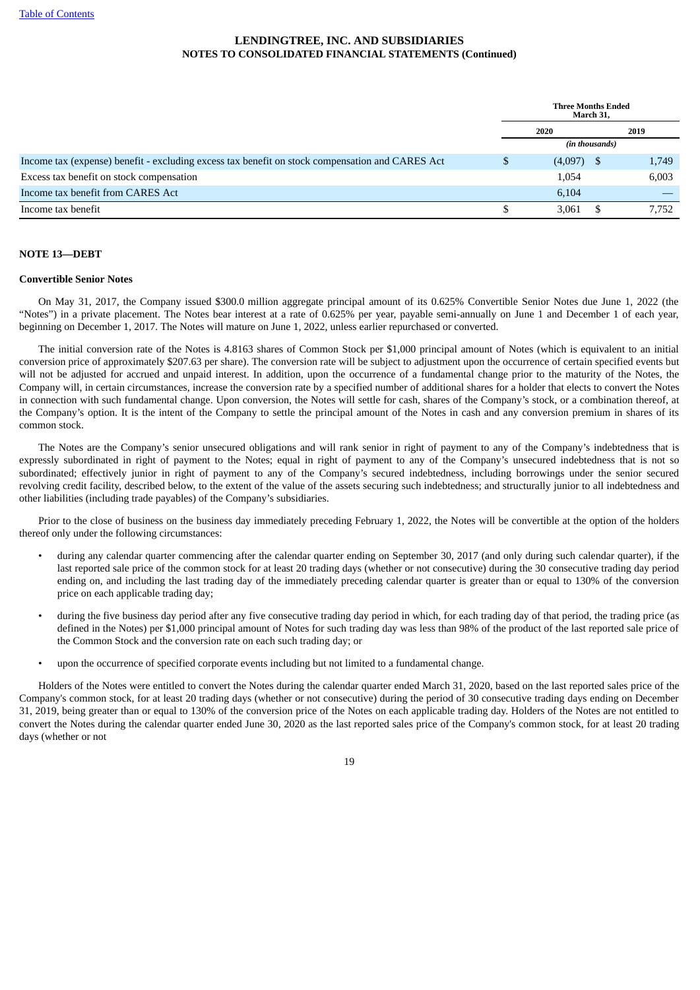|                                                                                                 | <b>Three Months Ended</b><br>March 31. |         |      |       |
|-------------------------------------------------------------------------------------------------|----------------------------------------|---------|------|-------|
|                                                                                                 | 2020                                   |         |      | 2019  |
|                                                                                                 |                                        |         |      |       |
| Income tax (expense) benefit - excluding excess tax benefit on stock compensation and CARES Act |                                        | (4,097) | - \$ | 1,749 |
| Excess tax benefit on stock compensation                                                        |                                        | 1,054   |      | 6,003 |
| Income tax benefit from CARES Act                                                               |                                        | 6,104   |      |       |
| Income tax benefit                                                                              |                                        | 3,061   |      | 7.752 |

### **NOTE 13—DEBT**

#### **Convertible Senior Notes**

On May 31, 2017, the Company issued \$300.0 million aggregate principal amount of its 0.625% Convertible Senior Notes due June 1, 2022 (the "Notes") in a private placement. The Notes bear interest at a rate of 0.625% per year, payable semi-annually on June 1 and December 1 of each year, beginning on December 1, 2017. The Notes will mature on June 1, 2022, unless earlier repurchased or converted.

The initial conversion rate of the Notes is 4.8163 shares of Common Stock per \$1,000 principal amount of Notes (which is equivalent to an initial conversion price of approximately \$207.63 per share). The conversion rate will be subject to adjustment upon the occurrence of certain specified events but will not be adjusted for accrued and unpaid interest. In addition, upon the occurrence of a fundamental change prior to the maturity of the Notes, the Company will, in certain circumstances, increase the conversion rate by a specified number of additional shares for a holder that elects to convert the Notes in connection with such fundamental change. Upon conversion, the Notes will settle for cash, shares of the Company's stock, or a combination thereof, at the Company's option. It is the intent of the Company to settle the principal amount of the Notes in cash and any conversion premium in shares of its common stock.

The Notes are the Company's senior unsecured obligations and will rank senior in right of payment to any of the Company's indebtedness that is expressly subordinated in right of payment to the Notes; equal in right of payment to any of the Company's unsecured indebtedness that is not so subordinated; effectively junior in right of payment to any of the Company's secured indebtedness, including borrowings under the senior secured revolving credit facility, described below, to the extent of the value of the assets securing such indebtedness; and structurally junior to all indebtedness and other liabilities (including trade payables) of the Company's subsidiaries.

Prior to the close of business on the business day immediately preceding February 1, 2022, the Notes will be convertible at the option of the holders thereof only under the following circumstances:

- during any calendar quarter commencing after the calendar quarter ending on September 30, 2017 (and only during such calendar quarter), if the last reported sale price of the common stock for at least 20 trading days (whether or not consecutive) during the 30 consecutive trading day period ending on, and including the last trading day of the immediately preceding calendar quarter is greater than or equal to 130% of the conversion price on each applicable trading day;
- during the five business day period after any five consecutive trading day period in which, for each trading day of that period, the trading price (as defined in the Notes) per \$1,000 principal amount of Notes for such trading day was less than 98% of the product of the last reported sale price of the Common Stock and the conversion rate on each such trading day; or
- upon the occurrence of specified corporate events including but not limited to a fundamental change.

Holders of the Notes were entitled to convert the Notes during the calendar quarter ended March 31, 2020, based on the last reported sales price of the Company's common stock, for at least 20 trading days (whether or not consecutive) during the period of 30 consecutive trading days ending on December 31, 2019, being greater than or equal to 130% of the conversion price of the Notes on each applicable trading day. Holders of the Notes are not entitled to convert the Notes during the calendar quarter ended June 30, 2020 as the last reported sales price of the Company's common stock, for at least 20 trading days (whether or not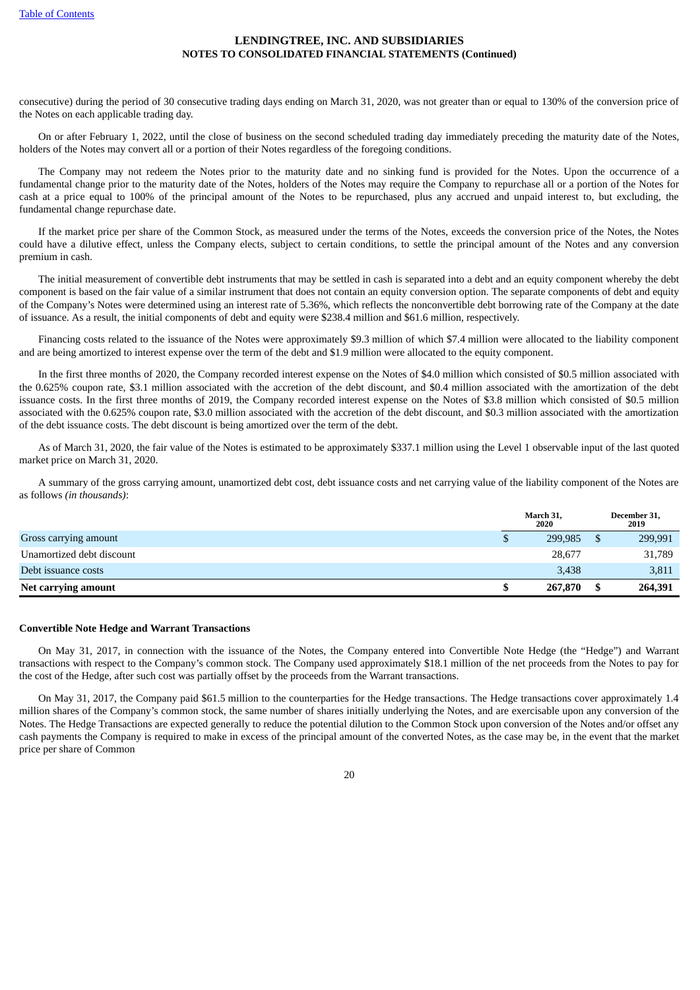consecutive) during the period of 30 consecutive trading days ending on March 31, 2020, was not greater than or equal to 130% of the conversion price of the Notes on each applicable trading day.

On or after February 1, 2022, until the close of business on the second scheduled trading day immediately preceding the maturity date of the Notes, holders of the Notes may convert all or a portion of their Notes regardless of the foregoing conditions.

The Company may not redeem the Notes prior to the maturity date and no sinking fund is provided for the Notes. Upon the occurrence of a fundamental change prior to the maturity date of the Notes, holders of the Notes may require the Company to repurchase all or a portion of the Notes for cash at a price equal to 100% of the principal amount of the Notes to be repurchased, plus any accrued and unpaid interest to, but excluding, the fundamental change repurchase date.

If the market price per share of the Common Stock, as measured under the terms of the Notes, exceeds the conversion price of the Notes, the Notes could have a dilutive effect, unless the Company elects, subject to certain conditions, to settle the principal amount of the Notes and any conversion premium in cash.

The initial measurement of convertible debt instruments that may be settled in cash is separated into a debt and an equity component whereby the debt component is based on the fair value of a similar instrument that does not contain an equity conversion option. The separate components of debt and equity of the Company's Notes were determined using an interest rate of 5.36%, which reflects the nonconvertible debt borrowing rate of the Company at the date of issuance. As a result, the initial components of debt and equity were \$238.4 million and \$61.6 million, respectively.

Financing costs related to the issuance of the Notes were approximately \$9.3 million of which \$7.4 million were allocated to the liability component and are being amortized to interest expense over the term of the debt and \$1.9 million were allocated to the equity component.

In the first three months of 2020, the Company recorded interest expense on the Notes of \$4.0 million which consisted of \$0.5 million associated with the 0.625% coupon rate, \$3.1 million associated with the accretion of the debt discount, and \$0.4 million associated with the amortization of the debt issuance costs. In the first three months of 2019, the Company recorded interest expense on the Notes of \$3.8 million which consisted of \$0.5 million associated with the 0.625% coupon rate, \$3.0 million associated with the accretion of the debt discount, and \$0.3 million associated with the amortization of the debt issuance costs. The debt discount is being amortized over the term of the debt.

As of March 31, 2020, the fair value of the Notes is estimated to be approximately \$337.1 million using the Level 1 observable input of the last quoted market price on March 31, 2020.

A summary of the gross carrying amount, unamortized debt cost, debt issuance costs and net carrying value of the liability component of the Notes are as follows *(in thousands)*:

|                           | March 31,<br>2020 | December 31,<br>2019 |
|---------------------------|-------------------|----------------------|
| Gross carrying amount     | 299,985           | 299,991              |
| Unamortized debt discount | 28,677            | 31,789               |
| Debt issuance costs       | 3,438             | 3,811                |
| Net carrying amount       | 267,870           | 264,391              |

#### **Convertible Note Hedge and Warrant Transactions**

On May 31, 2017, in connection with the issuance of the Notes, the Company entered into Convertible Note Hedge (the "Hedge") and Warrant transactions with respect to the Company's common stock. The Company used approximately \$18.1 million of the net proceeds from the Notes to pay for the cost of the Hedge, after such cost was partially offset by the proceeds from the Warrant transactions.

On May 31, 2017, the Company paid \$61.5 million to the counterparties for the Hedge transactions. The Hedge transactions cover approximately 1.4 million shares of the Company's common stock, the same number of shares initially underlying the Notes, and are exercisable upon any conversion of the Notes. The Hedge Transactions are expected generally to reduce the potential dilution to the Common Stock upon conversion of the Notes and/or offset any cash payments the Company is required to make in excess of the principal amount of the converted Notes, as the case may be, in the event that the market price per share of Common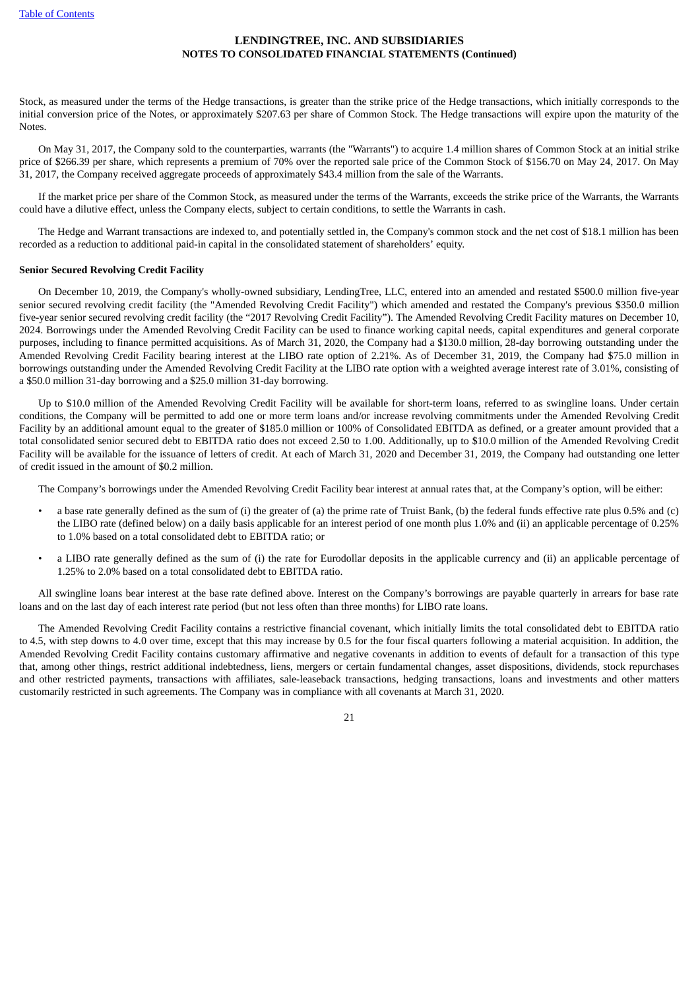Stock, as measured under the terms of the Hedge transactions, is greater than the strike price of the Hedge transactions, which initially corresponds to the initial conversion price of the Notes, or approximately \$207.63 per share of Common Stock. The Hedge transactions will expire upon the maturity of the **Notes** 

On May 31, 2017, the Company sold to the counterparties, warrants (the "Warrants") to acquire 1.4 million shares of Common Stock at an initial strike price of \$266.39 per share, which represents a premium of 70% over the reported sale price of the Common Stock of \$156.70 on May 24, 2017. On May 31, 2017, the Company received aggregate proceeds of approximately \$43.4 million from the sale of the Warrants.

If the market price per share of the Common Stock, as measured under the terms of the Warrants, exceeds the strike price of the Warrants, the Warrants could have a dilutive effect, unless the Company elects, subject to certain conditions, to settle the Warrants in cash.

The Hedge and Warrant transactions are indexed to, and potentially settled in, the Company's common stock and the net cost of \$18.1 million has been recorded as a reduction to additional paid-in capital in the consolidated statement of shareholders' equity.

### **Senior Secured Revolving Credit Facility**

On December 10, 2019, the Company's wholly-owned subsidiary, LendingTree, LLC, entered into an amended and restated \$500.0 million five-year senior secured revolving credit facility (the "Amended Revolving Credit Facility") which amended and restated the Company's previous \$350.0 million five-year senior secured revolving credit facility (the "2017 Revolving Credit Facility"). The Amended Revolving Credit Facility matures on December 10, 2024. Borrowings under the Amended Revolving Credit Facility can be used to finance working capital needs, capital expenditures and general corporate purposes, including to finance permitted acquisitions. As of March 31, 2020, the Company had a \$130.0 million, 28-day borrowing outstanding under the Amended Revolving Credit Facility bearing interest at the LIBO rate option of 2.21%. As of December 31, 2019, the Company had \$75.0 million in borrowings outstanding under the Amended Revolving Credit Facility at the LIBO rate option with a weighted average interest rate of 3.01%, consisting of a \$50.0 million 31-day borrowing and a \$25.0 million 31-day borrowing.

Up to \$10.0 million of the Amended Revolving Credit Facility will be available for short-term loans, referred to as swingline loans. Under certain conditions, the Company will be permitted to add one or more term loans and/or increase revolving commitments under the Amended Revolving Credit Facility by an additional amount equal to the greater of \$185.0 million or 100% of Consolidated EBITDA as defined, or a greater amount provided that a total consolidated senior secured debt to EBITDA ratio does not exceed 2.50 to 1.00. Additionally, up to \$10.0 million of the Amended Revolving Credit Facility will be available for the issuance of letters of credit. At each of March 31, 2020 and December 31, 2019, the Company had outstanding one letter of credit issued in the amount of \$0.2 million.

The Company's borrowings under the Amended Revolving Credit Facility bear interest at annual rates that, at the Company's option, will be either:

- a base rate generally defined as the sum of (i) the greater of (a) the prime rate of Truist Bank, (b) the federal funds effective rate plus 0.5% and (c) the LIBO rate (defined below) on a daily basis applicable for an interest period of one month plus 1.0% and (ii) an applicable percentage of 0.25% to 1.0% based on a total consolidated debt to EBITDA ratio; or
- a LIBO rate generally defined as the sum of (i) the rate for Eurodollar deposits in the applicable currency and (ii) an applicable percentage of 1.25% to 2.0% based on a total consolidated debt to EBITDA ratio.

All swingline loans bear interest at the base rate defined above. Interest on the Company's borrowings are payable quarterly in arrears for base rate loans and on the last day of each interest rate period (but not less often than three months) for LIBO rate loans.

The Amended Revolving Credit Facility contains a restrictive financial covenant, which initially limits the total consolidated debt to EBITDA ratio to 4.5, with step downs to 4.0 over time, except that this may increase by 0.5 for the four fiscal quarters following a material acquisition. In addition, the Amended Revolving Credit Facility contains customary affirmative and negative covenants in addition to events of default for a transaction of this type that, among other things, restrict additional indebtedness, liens, mergers or certain fundamental changes, asset dispositions, dividends, stock repurchases and other restricted payments, transactions with affiliates, sale-leaseback transactions, hedging transactions, loans and investments and other matters customarily restricted in such agreements. The Company was in compliance with all covenants at March 31, 2020.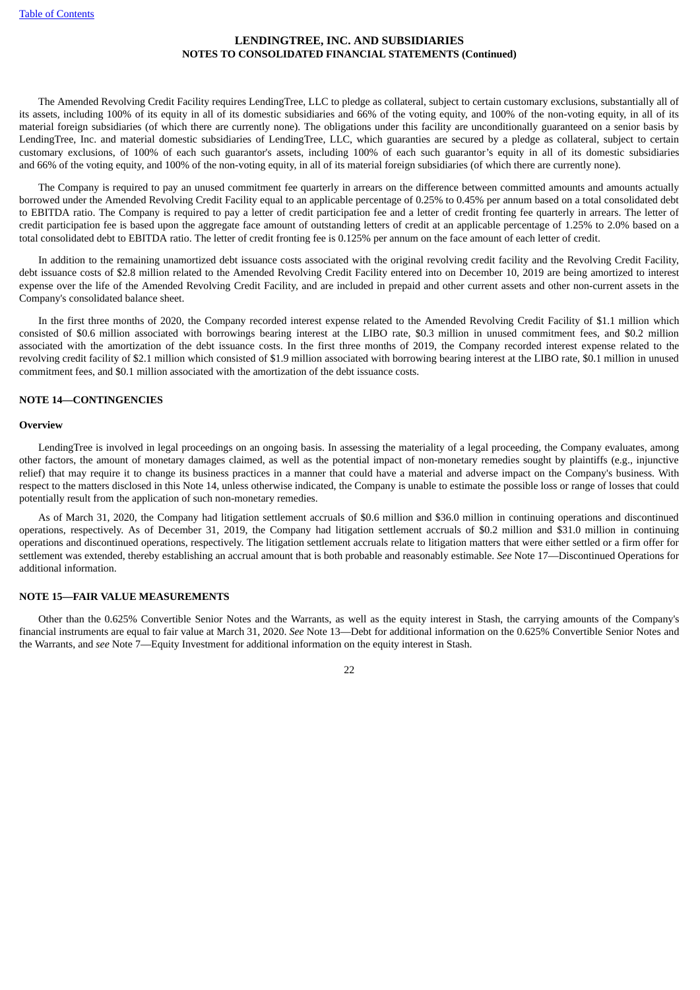The Amended Revolving Credit Facility requires LendingTree, LLC to pledge as collateral, subject to certain customary exclusions, substantially all of its assets, including 100% of its equity in all of its domestic subsidiaries and 66% of the voting equity, and 100% of the non-voting equity, in all of its material foreign subsidiaries (of which there are currently none). The obligations under this facility are unconditionally guaranteed on a senior basis by LendingTree, Inc. and material domestic subsidiaries of LendingTree, LLC, which guaranties are secured by a pledge as collateral, subject to certain customary exclusions, of 100% of each such guarantor's assets, including 100% of each such guarantor's equity in all of its domestic subsidiaries and 66% of the voting equity, and 100% of the non-voting equity, in all of its material foreign subsidiaries (of which there are currently none).

The Company is required to pay an unused commitment fee quarterly in arrears on the difference between committed amounts and amounts actually borrowed under the Amended Revolving Credit Facility equal to an applicable percentage of 0.25% to 0.45% per annum based on a total consolidated debt to EBITDA ratio. The Company is required to pay a letter of credit participation fee and a letter of credit fronting fee quarterly in arrears. The letter of credit participation fee is based upon the aggregate face amount of outstanding letters of credit at an applicable percentage of 1.25% to 2.0% based on a total consolidated debt to EBITDA ratio. The letter of credit fronting fee is 0.125% per annum on the face amount of each letter of credit.

In addition to the remaining unamortized debt issuance costs associated with the original revolving credit facility and the Revolving Credit Facility, debt issuance costs of \$2.8 million related to the Amended Revolving Credit Facility entered into on December 10, 2019 are being amortized to interest expense over the life of the Amended Revolving Credit Facility, and are included in prepaid and other current assets and other non-current assets in the Company's consolidated balance sheet.

In the first three months of 2020, the Company recorded interest expense related to the Amended Revolving Credit Facility of \$1.1 million which consisted of \$0.6 million associated with borrowings bearing interest at the LIBO rate, \$0.3 million in unused commitment fees, and \$0.2 million associated with the amortization of the debt issuance costs. In the first three months of 2019, the Company recorded interest expense related to the revolving credit facility of \$2.1 million which consisted of \$1.9 million associated with borrowing bearing interest at the LIBO rate, \$0.1 million in unused commitment fees, and \$0.1 million associated with the amortization of the debt issuance costs.

#### **NOTE 14—CONTINGENCIES**

#### **Overview**

LendingTree is involved in legal proceedings on an ongoing basis. In assessing the materiality of a legal proceeding, the Company evaluates, among other factors, the amount of monetary damages claimed, as well as the potential impact of non-monetary remedies sought by plaintiffs (e.g., injunctive relief) that may require it to change its business practices in a manner that could have a material and adverse impact on the Company's business. With respect to the matters disclosed in this Note 14, unless otherwise indicated, the Company is unable to estimate the possible loss or range of losses that could potentially result from the application of such non-monetary remedies.

As of March 31, 2020, the Company had litigation settlement accruals of \$0.6 million and \$36.0 million in continuing operations and discontinued operations, respectively. As of December 31, 2019, the Company had litigation settlement accruals of \$0.2 million and \$31.0 million in continuing operations and discontinued operations, respectively. The litigation settlement accruals relate to litigation matters that were either settled or a firm offer for settlement was extended, thereby establishing an accrual amount that is both probable and reasonably estimable. *See* Note 17—Discontinued Operations for additional information.

#### **NOTE 15—FAIR VALUE MEASUREMENTS**

Other than the 0.625% Convertible Senior Notes and the Warrants, as well as the equity interest in Stash, the carrying amounts of the Company's financial instruments are equal to fair value at March 31, 2020. *See* Note 13—Debt for additional information on the 0.625% Convertible Senior Notes and the Warrants, and *see* Note 7—Equity Investment for additional information on the equity interest in Stash.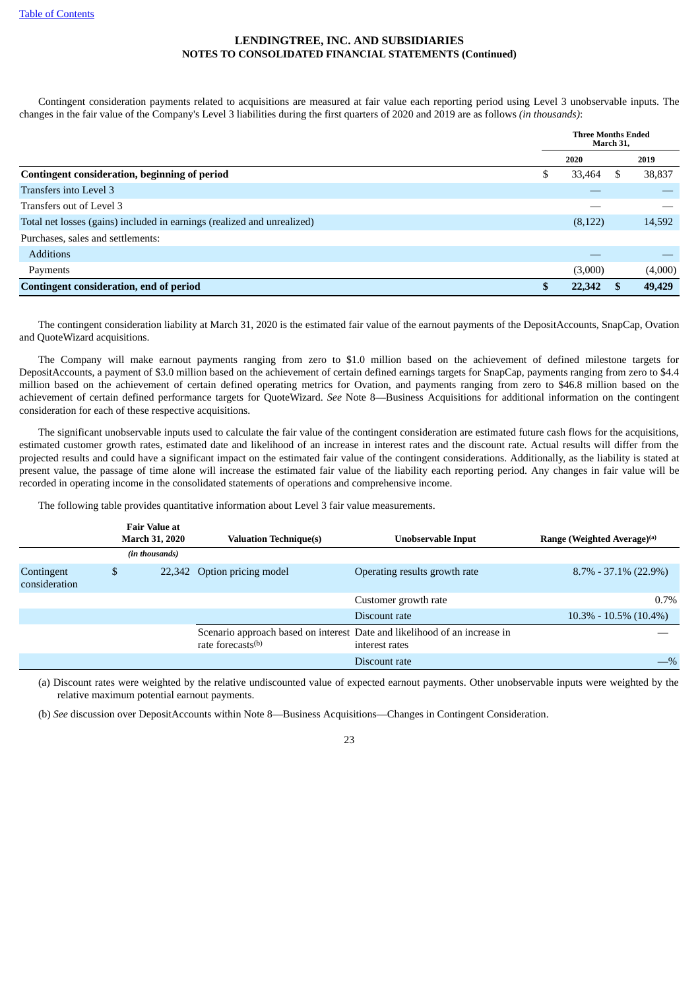Contingent consideration payments related to acquisitions are measured at fair value each reporting period using Level 3 unobservable inputs. The changes in the fair value of the Company's Level 3 liabilities during the first quarters of 2020 and 2019 are as follows *(in thousands)*:

|                                                                         | <b>Three Months Ended</b><br>March 31, |         |   |         |  |
|-------------------------------------------------------------------------|----------------------------------------|---------|---|---------|--|
|                                                                         |                                        | 2020    |   | 2019    |  |
| Contingent consideration, beginning of period                           | J                                      | 33,464  | S | 38,837  |  |
| Transfers into Level 3                                                  |                                        |         |   |         |  |
| Transfers out of Level 3                                                |                                        |         |   |         |  |
| Total net losses (gains) included in earnings (realized and unrealized) |                                        | (8,122) |   | 14,592  |  |
| Purchases, sales and settlements:                                       |                                        |         |   |         |  |
| <b>Additions</b>                                                        |                                        |         |   |         |  |
| Payments                                                                |                                        | (3,000) |   | (4,000) |  |
| Contingent consideration, end of period                                 |                                        | 22,342  |   | 49,429  |  |

The contingent consideration liability at March 31, 2020 is the estimated fair value of the earnout payments of the DepositAccounts, SnapCap, Ovation and QuoteWizard acquisitions.

The Company will make earnout payments ranging from zero to \$1.0 million based on the achievement of defined milestone targets for DepositAccounts, a payment of \$3.0 million based on the achievement of certain defined earnings targets for SnapCap, payments ranging from zero to \$4.4 million based on the achievement of certain defined operating metrics for Ovation, and payments ranging from zero to \$46.8 million based on the achievement of certain defined performance targets for QuoteWizard. *See* Note 8—Business Acquisitions for additional information on the contingent consideration for each of these respective acquisitions.

The significant unobservable inputs used to calculate the fair value of the contingent consideration are estimated future cash flows for the acquisitions, estimated customer growth rates, estimated date and likelihood of an increase in interest rates and the discount rate. Actual results will differ from the projected results and could have a significant impact on the estimated fair value of the contingent considerations. Additionally, as the liability is stated at present value, the passage of time alone will increase the estimated fair value of the liability each reporting period. Any changes in fair value will be recorded in operating income in the consolidated statements of operations and comprehensive income.

The following table provides quantitative information about Level 3 fair value measurements.

|                             | <b>Fair Value at</b><br><b>March 31, 2020</b> | <b>Valuation Technique(s)</b> | Unobservable Input                                                                          | Range (Weighted Average) <sup>(a)</sup> |
|-----------------------------|-----------------------------------------------|-------------------------------|---------------------------------------------------------------------------------------------|-----------------------------------------|
|                             | (in thousands)                                |                               |                                                                                             |                                         |
| Contingent<br>consideration | \$                                            | 22,342 Option pricing model   | Operating results growth rate                                                               | $8.7\% - 37.1\%$ (22.9%)                |
|                             |                                               |                               | Customer growth rate                                                                        | $0.7\%$                                 |
|                             |                                               |                               | Discount rate                                                                               | $10.3\% - 10.5\%$ (10.4%)               |
|                             |                                               | rate forecasts <sup>(b)</sup> | Scenario approach based on interest Date and likelihood of an increase in<br>interest rates |                                         |
|                             |                                               |                               | Discount rate                                                                               | $-$ %                                   |

(a) Discount rates were weighted by the relative undiscounted value of expected earnout payments. Other unobservable inputs were weighted by the relative maximum potential earnout payments.

(b) *See* discussion over DepositAccounts within Note 8—Business Acquisitions—Changes in Contingent Consideration.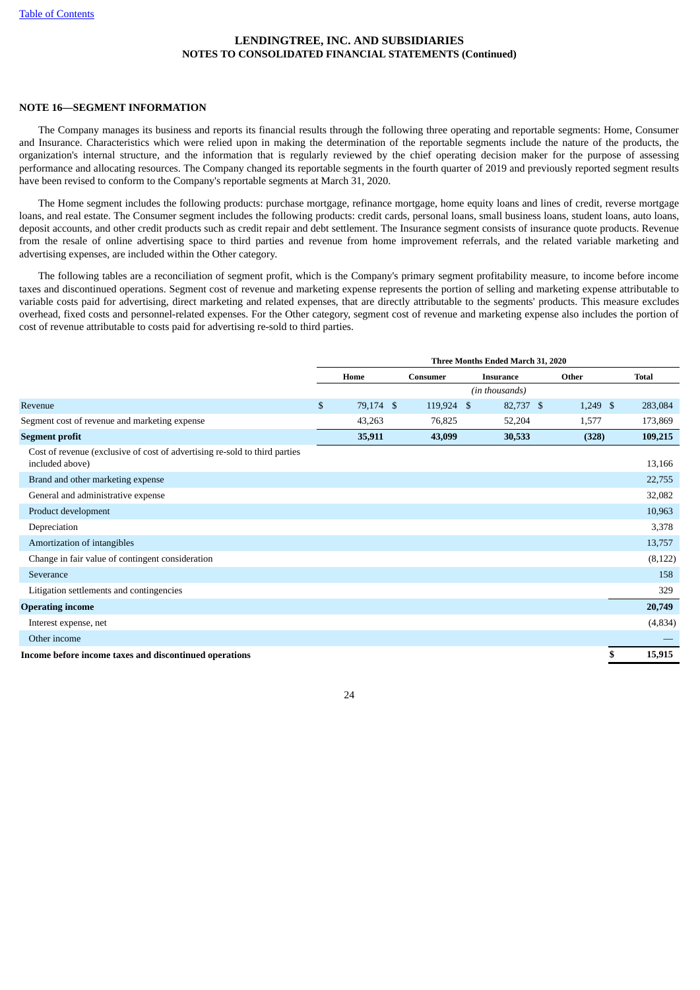#### **NOTE 16—SEGMENT INFORMATION**

The Company manages its business and reports its financial results through the following three operating and reportable segments: Home, Consumer and Insurance. Characteristics which were relied upon in making the determination of the reportable segments include the nature of the products, the organization's internal structure, and the information that is regularly reviewed by the chief operating decision maker for the purpose of assessing performance and allocating resources. The Company changed its reportable segments in the fourth quarter of 2019 and previously reported segment results have been revised to conform to the Company's reportable segments at March 31, 2020.

The Home segment includes the following products: purchase mortgage, refinance mortgage, home equity loans and lines of credit, reverse mortgage loans, and real estate. The Consumer segment includes the following products: credit cards, personal loans, small business loans, student loans, auto loans, deposit accounts, and other credit products such as credit repair and debt settlement. The Insurance segment consists of insurance quote products. Revenue from the resale of online advertising space to third parties and revenue from home improvement referrals, and the related variable marketing and advertising expenses, are included within the Other category.

The following tables are a reconciliation of segment profit, which is the Company's primary segment profitability measure, to income before income taxes and discontinued operations. Segment cost of revenue and marketing expense represents the portion of selling and marketing expense attributable to variable costs paid for advertising, direct marketing and related expenses, that are directly attributable to the segments' products. This measure excludes overhead, fixed costs and personnel-related expenses. For the Other category, segment cost of revenue and marketing expense also includes the portion of cost of revenue attributable to costs paid for advertising re-sold to third parties.

|                                                                                               | Three Months Ended March 31, 2020 |           |  |            |  |                  |       |            |              |
|-----------------------------------------------------------------------------------------------|-----------------------------------|-----------|--|------------|--|------------------|-------|------------|--------------|
|                                                                                               |                                   | Home      |  | Consumer   |  | <b>Insurance</b> | Other |            | <b>Total</b> |
|                                                                                               |                                   |           |  |            |  | (in thousands)   |       |            |              |
| Revenue                                                                                       | \$                                | 79,174 \$ |  | 119,924 \$ |  | 82,737 \$        |       | $1,249$ \$ | 283,084      |
| Segment cost of revenue and marketing expense                                                 |                                   | 43,263    |  | 76,825     |  | 52,204           |       | 1,577      | 173,869      |
| <b>Segment profit</b>                                                                         |                                   | 35,911    |  | 43,099     |  | 30,533           |       | (328)      | 109,215      |
| Cost of revenue (exclusive of cost of advertising re-sold to third parties<br>included above) |                                   |           |  |            |  |                  |       |            | 13,166       |
| Brand and other marketing expense                                                             |                                   |           |  |            |  |                  |       |            | 22,755       |
| General and administrative expense                                                            |                                   |           |  |            |  |                  |       |            | 32,082       |
| Product development                                                                           |                                   |           |  |            |  |                  |       |            | 10,963       |
| Depreciation                                                                                  |                                   |           |  |            |  |                  |       |            | 3,378        |
| Amortization of intangibles                                                                   |                                   |           |  |            |  |                  |       |            | 13,757       |
| Change in fair value of contingent consideration                                              |                                   |           |  |            |  |                  |       |            | (8, 122)     |
| Severance                                                                                     |                                   |           |  |            |  |                  |       |            | 158          |
| Litigation settlements and contingencies                                                      |                                   |           |  |            |  |                  |       |            | 329          |
| <b>Operating income</b>                                                                       |                                   |           |  |            |  |                  |       |            | 20,749       |
| Interest expense, net                                                                         |                                   |           |  |            |  |                  |       |            | (4,834)      |
| Other income                                                                                  |                                   |           |  |            |  |                  |       |            |              |
| Income before income taxes and discontinued operations                                        |                                   |           |  |            |  |                  |       | \$         | 15,915       |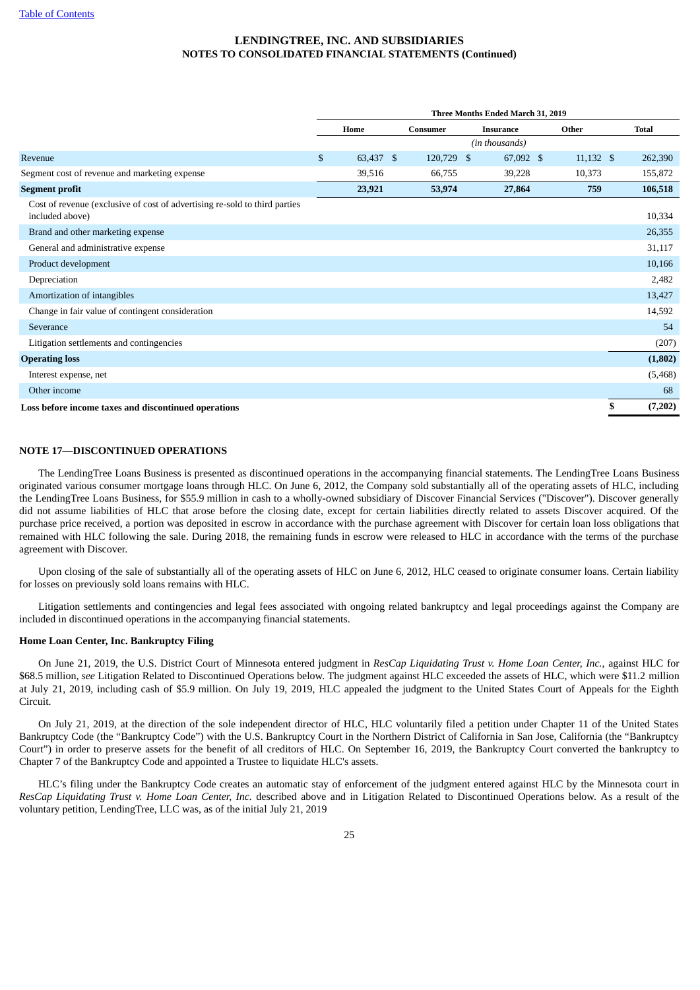|                                                                                               | Three Months Ended March 31, 2019 |           |  |          |     |                |             |    |              |
|-----------------------------------------------------------------------------------------------|-----------------------------------|-----------|--|----------|-----|----------------|-------------|----|--------------|
|                                                                                               |                                   | Home      |  | Consumer |     | Insurance      | Other       |    | <b>Total</b> |
|                                                                                               |                                   |           |  |          |     | (in thousands) |             |    |              |
| Revenue                                                                                       | \$                                | 63,437 \$ |  | 120,729  | -\$ | 67,092 \$      | $11,132$ \$ |    | 262,390      |
| Segment cost of revenue and marketing expense                                                 |                                   | 39,516    |  | 66,755   |     | 39,228         | 10,373      |    | 155,872      |
| <b>Segment profit</b>                                                                         |                                   | 23,921    |  | 53,974   |     | 27,864         | 759         |    | 106,518      |
| Cost of revenue (exclusive of cost of advertising re-sold to third parties<br>included above) |                                   |           |  |          |     |                |             |    | 10,334       |
| Brand and other marketing expense                                                             |                                   |           |  |          |     |                |             |    | 26,355       |
| General and administrative expense                                                            |                                   |           |  |          |     |                |             |    | 31,117       |
| Product development                                                                           |                                   |           |  |          |     |                |             |    | 10,166       |
| Depreciation                                                                                  |                                   |           |  |          |     |                |             |    | 2,482        |
| Amortization of intangibles                                                                   |                                   |           |  |          |     |                |             |    | 13,427       |
| Change in fair value of contingent consideration                                              |                                   |           |  |          |     |                |             |    | 14,592       |
| Severance                                                                                     |                                   |           |  |          |     |                |             |    | 54           |
| Litigation settlements and contingencies                                                      |                                   |           |  |          |     |                |             |    | (207)        |
| <b>Operating loss</b>                                                                         |                                   |           |  |          |     |                |             |    | (1,802)      |
| Interest expense, net                                                                         |                                   |           |  |          |     |                |             |    | (5,468)      |
| Other income                                                                                  |                                   |           |  |          |     |                |             |    | 68           |
| Loss before income taxes and discontinued operations                                          |                                   |           |  |          |     |                |             | \$ | (7,202)      |

#### **NOTE 17—DISCONTINUED OPERATIONS**

The LendingTree Loans Business is presented as discontinued operations in the accompanying financial statements. The LendingTree Loans Business originated various consumer mortgage loans through HLC. On June 6, 2012, the Company sold substantially all of the operating assets of HLC, including the LendingTree Loans Business, for \$55.9 million in cash to a wholly-owned subsidiary of Discover Financial Services ("Discover"). Discover generally did not assume liabilities of HLC that arose before the closing date, except for certain liabilities directly related to assets Discover acquired. Of the purchase price received, a portion was deposited in escrow in accordance with the purchase agreement with Discover for certain loan loss obligations that remained with HLC following the sale. During 2018, the remaining funds in escrow were released to HLC in accordance with the terms of the purchase agreement with Discover.

Upon closing of the sale of substantially all of the operating assets of HLC on June 6, 2012, HLC ceased to originate consumer loans. Certain liability for losses on previously sold loans remains with HLC.

Litigation settlements and contingencies and legal fees associated with ongoing related bankruptcy and legal proceedings against the Company are included in discontinued operations in the accompanying financial statements.

### **Home Loan Center, Inc. Bankruptcy Filing**

On June 21, 2019, the U.S. District Court of Minnesota entered judgment in *ResCap Liquidating Trust v. Home Loan Center, Inc.*, against HLC for \$68.5 million, *see* Litigation Related to Discontinued Operations below. The judgment against HLC exceeded the assets of HLC, which were \$11.2 million at July 21, 2019, including cash of \$5.9 million. On July 19, 2019, HLC appealed the judgment to the United States Court of Appeals for the Eighth Circuit.

On July 21, 2019, at the direction of the sole independent director of HLC, HLC voluntarily filed a petition under Chapter 11 of the United States Bankruptcy Code (the "Bankruptcy Code") with the U.S. Bankruptcy Court in the Northern District of California in San Jose, California (the "Bankruptcy Court") in order to preserve assets for the benefit of all creditors of HLC. On September 16, 2019, the Bankruptcy Court converted the bankruptcy to Chapter 7 of the Bankruptcy Code and appointed a Trustee to liquidate HLC's assets.

HLC's filing under the Bankruptcy Code creates an automatic stay of enforcement of the judgment entered against HLC by the Minnesota court in *ResCap Liquidating Trust v. Home Loan Center, Inc.* described above and in Litigation Related to Discontinued Operations below. As a result of the voluntary petition, LendingTree, LLC was, as of the initial July 21, 2019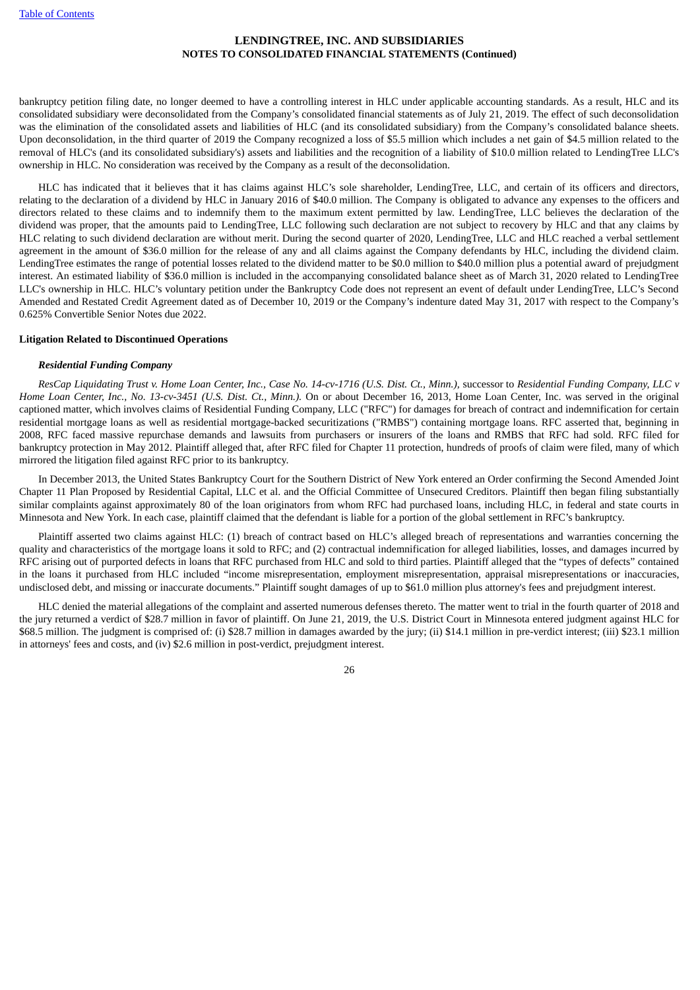bankruptcy petition filing date, no longer deemed to have a controlling interest in HLC under applicable accounting standards. As a result, HLC and its consolidated subsidiary were deconsolidated from the Company's consolidated financial statements as of July 21, 2019. The effect of such deconsolidation was the elimination of the consolidated assets and liabilities of HLC (and its consolidated subsidiary) from the Company's consolidated balance sheets. Upon deconsolidation, in the third quarter of 2019 the Company recognized a loss of \$5.5 million which includes a net gain of \$4.5 million related to the removal of HLC's (and its consolidated subsidiary's) assets and liabilities and the recognition of a liability of \$10.0 million related to LendingTree LLC's ownership in HLC. No consideration was received by the Company as a result of the deconsolidation.

HLC has indicated that it believes that it has claims against HLC's sole shareholder, LendingTree, LLC, and certain of its officers and directors, relating to the declaration of a dividend by HLC in January 2016 of \$40.0 million. The Company is obligated to advance any expenses to the officers and directors related to these claims and to indemnify them to the maximum extent permitted by law. LendingTree, LLC believes the declaration of the dividend was proper, that the amounts paid to LendingTree, LLC following such declaration are not subject to recovery by HLC and that any claims by HLC relating to such dividend declaration are without merit. During the second quarter of 2020, LendingTree, LLC and HLC reached a verbal settlement agreement in the amount of \$36.0 million for the release of any and all claims against the Company defendants by HLC, including the dividend claim. LendingTree estimates the range of potential losses related to the dividend matter to be \$0.0 million to \$40.0 million plus a potential award of prejudgment interest. An estimated liability of \$36.0 million is included in the accompanying consolidated balance sheet as of March 31, 2020 related to LendingTree LLC's ownership in HLC. HLC's voluntary petition under the Bankruptcy Code does not represent an event of default under LendingTree, LLC's Second Amended and Restated Credit Agreement dated as of December 10, 2019 or the Company's indenture dated May 31, 2017 with respect to the Company's 0.625% Convertible Senior Notes due 2022.

### **Litigation Related to Discontinued Operations**

### *Residential Funding Company*

ResCap Liquidating Trust v. Home Loan Center, Inc., Case No. 14-cv-1716 (U.S. Dist. Ct., Minn.), successor to Residential Funding Company, LLC v *Home Loan Center, Inc., No. 13-cv-3451 (U.S. Dist. Ct., Minn.).* On or about December 16, 2013, Home Loan Center, Inc. was served in the original captioned matter, which involves claims of Residential Funding Company, LLC ("RFC") for damages for breach of contract and indemnification for certain residential mortgage loans as well as residential mortgage-backed securitizations ("RMBS") containing mortgage loans. RFC asserted that, beginning in 2008, RFC faced massive repurchase demands and lawsuits from purchasers or insurers of the loans and RMBS that RFC had sold. RFC filed for bankruptcy protection in May 2012. Plaintiff alleged that, after RFC filed for Chapter 11 protection, hundreds of proofs of claim were filed, many of which mirrored the litigation filed against RFC prior to its bankruptcy.

In December 2013, the United States Bankruptcy Court for the Southern District of New York entered an Order confirming the Second Amended Joint Chapter 11 Plan Proposed by Residential Capital, LLC et al. and the Official Committee of Unsecured Creditors. Plaintiff then began filing substantially similar complaints against approximately 80 of the loan originators from whom RFC had purchased loans, including HLC, in federal and state courts in Minnesota and New York. In each case, plaintiff claimed that the defendant is liable for a portion of the global settlement in RFC's bankruptcy.

Plaintiff asserted two claims against HLC: (1) breach of contract based on HLC's alleged breach of representations and warranties concerning the quality and characteristics of the mortgage loans it sold to RFC; and (2) contractual indemnification for alleged liabilities, losses, and damages incurred by RFC arising out of purported defects in loans that RFC purchased from HLC and sold to third parties. Plaintiff alleged that the "types of defects" contained in the loans it purchased from HLC included "income misrepresentation, employment misrepresentation, appraisal misrepresentations or inaccuracies, undisclosed debt, and missing or inaccurate documents." Plaintiff sought damages of up to \$61.0 million plus attorney's fees and prejudgment interest.

HLC denied the material allegations of the complaint and asserted numerous defenses thereto. The matter went to trial in the fourth quarter of 2018 and the jury returned a verdict of \$28.7 million in favor of plaintiff. On June 21, 2019, the U.S. District Court in Minnesota entered judgment against HLC for \$68.5 million. The judgment is comprised of: (i) \$28.7 million in damages awarded by the jury; (ii) \$14.1 million in pre-verdict interest; (iii) \$23.1 million in attorneys' fees and costs, and (iv) \$2.6 million in post-verdict, prejudgment interest.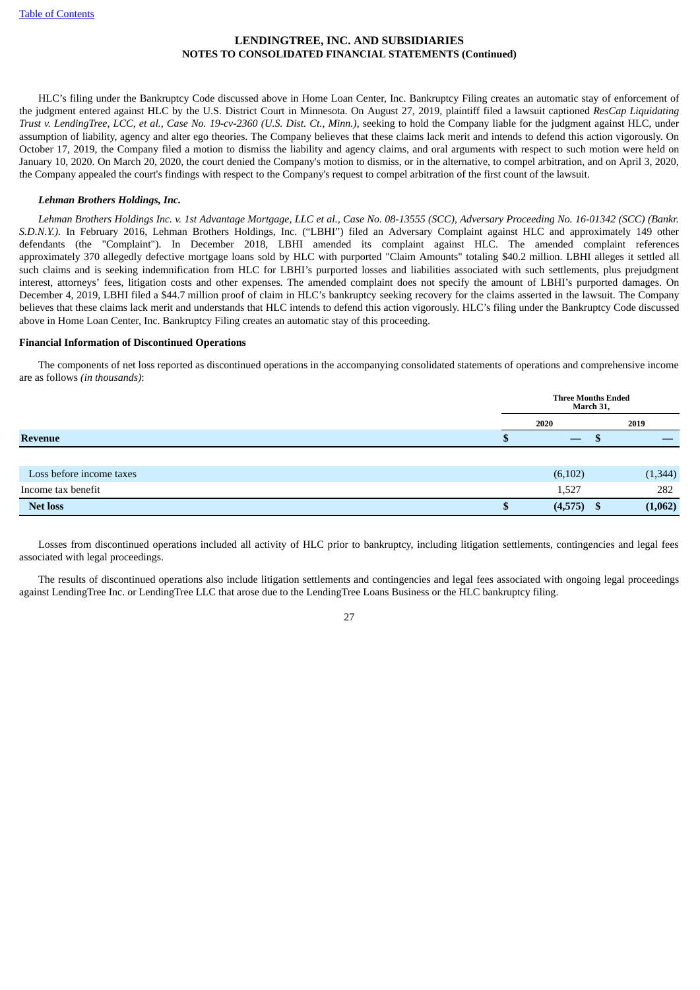HLC's filing under the Bankruptcy Code discussed above in Home Loan Center, Inc. Bankruptcy Filing creates an automatic stay of enforcement of the judgment entered against HLC by the U.S. District Court in Minnesota. On August 27, 2019, plaintiff filed a lawsuit captioned *ResCap Liquidating* Trust v. LendingTree, LCC, et al., Case No. 19-cv-2360 (U.S. Dist. Ct., Minn.), seeking to hold the Company liable for the judgment against HLC, under assumption of liability, agency and alter ego theories. The Company believes that these claims lack merit and intends to defend this action vigorously. On October 17, 2019, the Company filed a motion to dismiss the liability and agency claims, and oral arguments with respect to such motion were held on January 10, 2020. On March 20, 2020, the court denied the Company's motion to dismiss, or in the alternative, to compel arbitration, and on April 3, 2020, the Company appealed the court's findings with respect to the Company's request to compel arbitration of the first count of the lawsuit.

#### *Lehman Brothers Holdings, Inc.*

Lehman Brothers Holdings Inc. v. 1st Advantage Mortgage, LLC et al., Case No. 08-13555 (SCC), Adversary Proceeding No. 16-01342 (SCC) (Bankr. *S.D.N.Y.).* In February 2016, Lehman Brothers Holdings, Inc. ("LBHI") filed an Adversary Complaint against HLC and approximately 149 other defendants (the "Complaint"). In December 2018, LBHI amended its complaint against HLC. The amended complaint references approximately 370 allegedly defective mortgage loans sold by HLC with purported "Claim Amounts" totaling \$40.2 million. LBHI alleges it settled all such claims and is seeking indemnification from HLC for LBHI's purported losses and liabilities associated with such settlements, plus prejudgment interest, attorneys' fees, litigation costs and other expenses. The amended complaint does not specify the amount of LBHI's purported damages. On December 4, 2019, LBHI filed a \$44.7 million proof of claim in HLC's bankruptcy seeking recovery for the claims asserted in the lawsuit. The Company believes that these claims lack merit and understands that HLC intends to defend this action vigorously. HLC's filing under the Bankruptcy Code discussed above in Home Loan Center, Inc. Bankruptcy Filing creates an automatic stay of this proceeding.

### **Financial Information of Discontinued Operations**

The components of net loss reported as discontinued operations in the accompanying consolidated statements of operations and comprehensive income are as follows *(in thousands)*:

|                          |  | <b>Three Months Ended</b> |     |         |
|--------------------------|--|---------------------------|-----|---------|
|                          |  | 2020                      |     | 2019    |
| <b>Revenue</b>           |  |                           |     |         |
|                          |  |                           |     |         |
| Loss before income taxes |  | (6,102)                   |     | (1,344) |
| Income tax benefit       |  | 1,527                     |     | 282     |
| <b>Net loss</b>          |  | (4,575)                   | -\$ | (1,062) |

Losses from discontinued operations included all activity of HLC prior to bankruptcy, including litigation settlements, contingencies and legal fees associated with legal proceedings.

The results of discontinued operations also include litigation settlements and contingencies and legal fees associated with ongoing legal proceedings against LendingTree Inc. or LendingTree LLC that arose due to the LendingTree Loans Business or the HLC bankruptcy filing.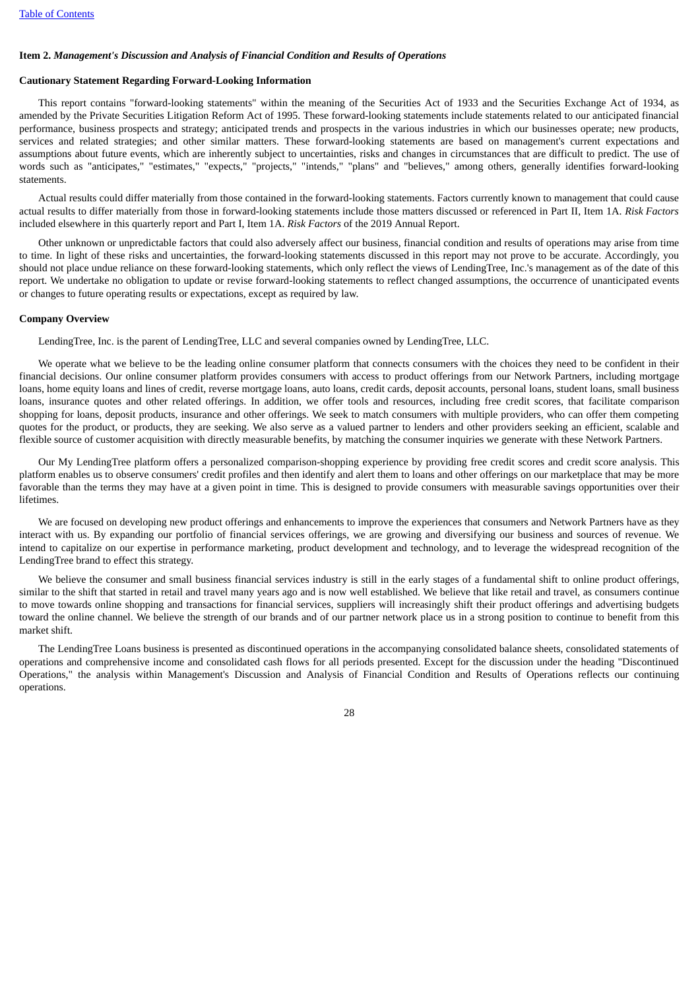#### <span id="page-27-0"></span>**Item 2.** *Management's Discussion and Analysis of Financial Condition and Results of Operations*

#### **Cautionary Statement Regarding Forward-Looking Information**

This report contains "forward-looking statements" within the meaning of the Securities Act of 1933 and the Securities Exchange Act of 1934, as amended by the Private Securities Litigation Reform Act of 1995. These forward-looking statements include statements related to our anticipated financial performance, business prospects and strategy; anticipated trends and prospects in the various industries in which our businesses operate; new products, services and related strategies; and other similar matters. These forward-looking statements are based on management's current expectations and assumptions about future events, which are inherently subject to uncertainties, risks and changes in circumstances that are difficult to predict. The use of words such as "anticipates," "estimates," "expects," "projects," "intends," "plans" and "believes," among others, generally identifies forward-looking statements.

Actual results could differ materially from those contained in the forward-looking statements. Factors currently known to management that could cause actual results to differ materially from those in forward-looking statements include those matters discussed or referenced in Part II, Item 1A. *Risk Factors* included elsewhere in this quarterly report and Part I, Item 1A. *Risk Factors* of the 2019 Annual Report.

Other unknown or unpredictable factors that could also adversely affect our business, financial condition and results of operations may arise from time to time. In light of these risks and uncertainties, the forward-looking statements discussed in this report may not prove to be accurate. Accordingly, you should not place undue reliance on these forward-looking statements, which only reflect the views of LendingTree, Inc.'s management as of the date of this report. We undertake no obligation to update or revise forward-looking statements to reflect changed assumptions, the occurrence of unanticipated events or changes to future operating results or expectations, except as required by law.

#### **Company Overview**

LendingTree, Inc. is the parent of LendingTree, LLC and several companies owned by LendingTree, LLC.

We operate what we believe to be the leading online consumer platform that connects consumers with the choices they need to be confident in their financial decisions. Our online consumer platform provides consumers with access to product offerings from our Network Partners, including mortgage loans, home equity loans and lines of credit, reverse mortgage loans, auto loans, credit cards, deposit accounts, personal loans, student loans, small business loans, insurance quotes and other related offerings. In addition, we offer tools and resources, including free credit scores, that facilitate comparison shopping for loans, deposit products, insurance and other offerings. We seek to match consumers with multiple providers, who can offer them competing quotes for the product, or products, they are seeking. We also serve as a valued partner to lenders and other providers seeking an efficient, scalable and flexible source of customer acquisition with directly measurable benefits, by matching the consumer inquiries we generate with these Network Partners.

Our My LendingTree platform offers a personalized comparison-shopping experience by providing free credit scores and credit score analysis. This platform enables us to observe consumers' credit profiles and then identify and alert them to loans and other offerings on our marketplace that may be more favorable than the terms they may have at a given point in time. This is designed to provide consumers with measurable savings opportunities over their lifetimes.

We are focused on developing new product offerings and enhancements to improve the experiences that consumers and Network Partners have as they interact with us. By expanding our portfolio of financial services offerings, we are growing and diversifying our business and sources of revenue. We intend to capitalize on our expertise in performance marketing, product development and technology, and to leverage the widespread recognition of the LendingTree brand to effect this strategy.

We believe the consumer and small business financial services industry is still in the early stages of a fundamental shift to online product offerings, similar to the shift that started in retail and travel many years ago and is now well established. We believe that like retail and travel, as consumers continue to move towards online shopping and transactions for financial services, suppliers will increasingly shift their product offerings and advertising budgets toward the online channel. We believe the strength of our brands and of our partner network place us in a strong position to continue to benefit from this market shift.

The LendingTree Loans business is presented as discontinued operations in the accompanying consolidated balance sheets, consolidated statements of operations and comprehensive income and consolidated cash flows for all periods presented. Except for the discussion under the heading "Discontinued Operations," the analysis within Management's Discussion and Analysis of Financial Condition and Results of Operations reflects our continuing operations.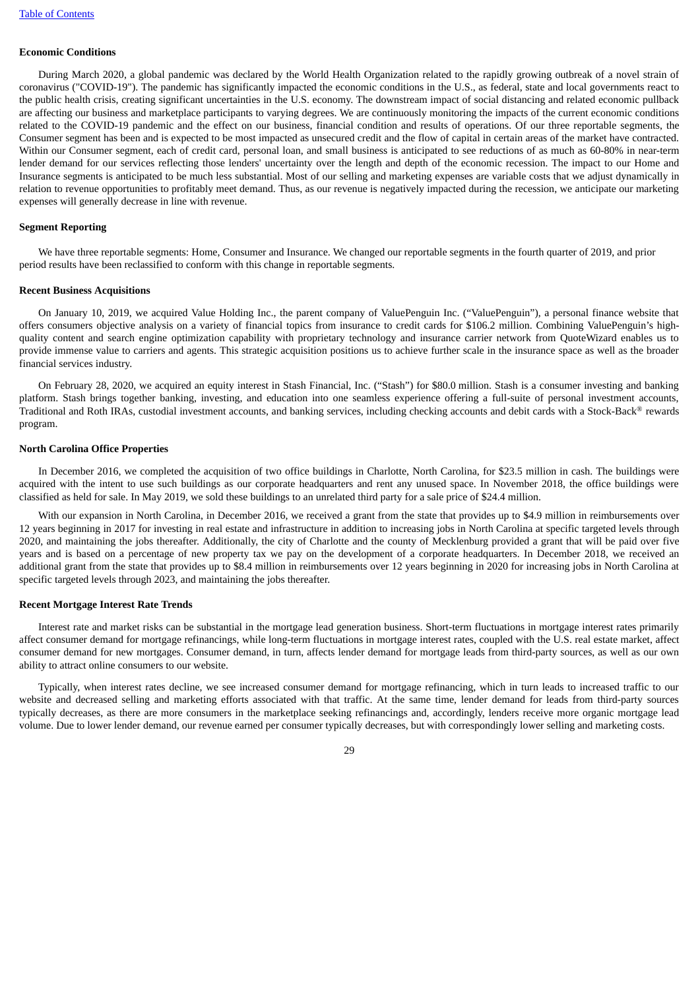#### **Economic Conditions**

During March 2020, a global pandemic was declared by the World Health Organization related to the rapidly growing outbreak of a novel strain of coronavirus ("COVID-19"). The pandemic has significantly impacted the economic conditions in the U.S., as federal, state and local governments react to the public health crisis, creating significant uncertainties in the U.S. economy. The downstream impact of social distancing and related economic pullback are affecting our business and marketplace participants to varying degrees. We are continuously monitoring the impacts of the current economic conditions related to the COVID-19 pandemic and the effect on our business, financial condition and results of operations. Of our three reportable segments, the Consumer segment has been and is expected to be most impacted as unsecured credit and the flow of capital in certain areas of the market have contracted. Within our Consumer segment, each of credit card, personal loan, and small business is anticipated to see reductions of as much as 60-80% in near-term lender demand for our services reflecting those lenders' uncertainty over the length and depth of the economic recession. The impact to our Home and Insurance segments is anticipated to be much less substantial. Most of our selling and marketing expenses are variable costs that we adjust dynamically in relation to revenue opportunities to profitably meet demand. Thus, as our revenue is negatively impacted during the recession, we anticipate our marketing expenses will generally decrease in line with revenue.

#### **Segment Reporting**

We have three reportable segments: Home, Consumer and Insurance. We changed our reportable segments in the fourth quarter of 2019, and prior period results have been reclassified to conform with this change in reportable segments.

#### **Recent Business Acquisitions**

On January 10, 2019, we acquired Value Holding Inc., the parent company of ValuePenguin Inc. ("ValuePenguin"), a personal finance website that offers consumers objective analysis on a variety of financial topics from insurance to credit cards for \$106.2 million. Combining ValuePenguin's highquality content and search engine optimization capability with proprietary technology and insurance carrier network from QuoteWizard enables us to provide immense value to carriers and agents. This strategic acquisition positions us to achieve further scale in the insurance space as well as the broader financial services industry.

On February 28, 2020, we acquired an equity interest in Stash Financial, Inc. ("Stash") for \$80.0 million. Stash is a consumer investing and banking platform. Stash brings together banking, investing, and education into one seamless experience offering a full-suite of personal investment accounts, Traditional and Roth IRAs, custodial investment accounts, and banking services, including checking accounts and debit cards with a Stock-Back® rewards program.

#### **North Carolina Office Properties**

In December 2016, we completed the acquisition of two office buildings in Charlotte, North Carolina, for \$23.5 million in cash. The buildings were acquired with the intent to use such buildings as our corporate headquarters and rent any unused space. In November 2018, the office buildings were classified as held for sale. In May 2019, we sold these buildings to an unrelated third party for a sale price of \$24.4 million.

With our expansion in North Carolina, in December 2016, we received a grant from the state that provides up to \$4.9 million in reimbursements over 12 years beginning in 2017 for investing in real estate and infrastructure in addition to increasing jobs in North Carolina at specific targeted levels through 2020, and maintaining the jobs thereafter. Additionally, the city of Charlotte and the county of Mecklenburg provided a grant that will be paid over five years and is based on a percentage of new property tax we pay on the development of a corporate headquarters. In December 2018, we received an additional grant from the state that provides up to \$8.4 million in reimbursements over 12 years beginning in 2020 for increasing jobs in North Carolina at specific targeted levels through 2023, and maintaining the jobs thereafter.

#### **Recent Mortgage Interest Rate Trends**

Interest rate and market risks can be substantial in the mortgage lead generation business. Short-term fluctuations in mortgage interest rates primarily affect consumer demand for mortgage refinancings, while long-term fluctuations in mortgage interest rates, coupled with the U.S. real estate market, affect consumer demand for new mortgages. Consumer demand, in turn, affects lender demand for mortgage leads from third-party sources, as well as our own ability to attract online consumers to our website.

Typically, when interest rates decline, we see increased consumer demand for mortgage refinancing, which in turn leads to increased traffic to our website and decreased selling and marketing efforts associated with that traffic. At the same time, lender demand for leads from third-party sources typically decreases, as there are more consumers in the marketplace seeking refinancings and, accordingly, lenders receive more organic mortgage lead volume. Due to lower lender demand, our revenue earned per consumer typically decreases, but with correspondingly lower selling and marketing costs.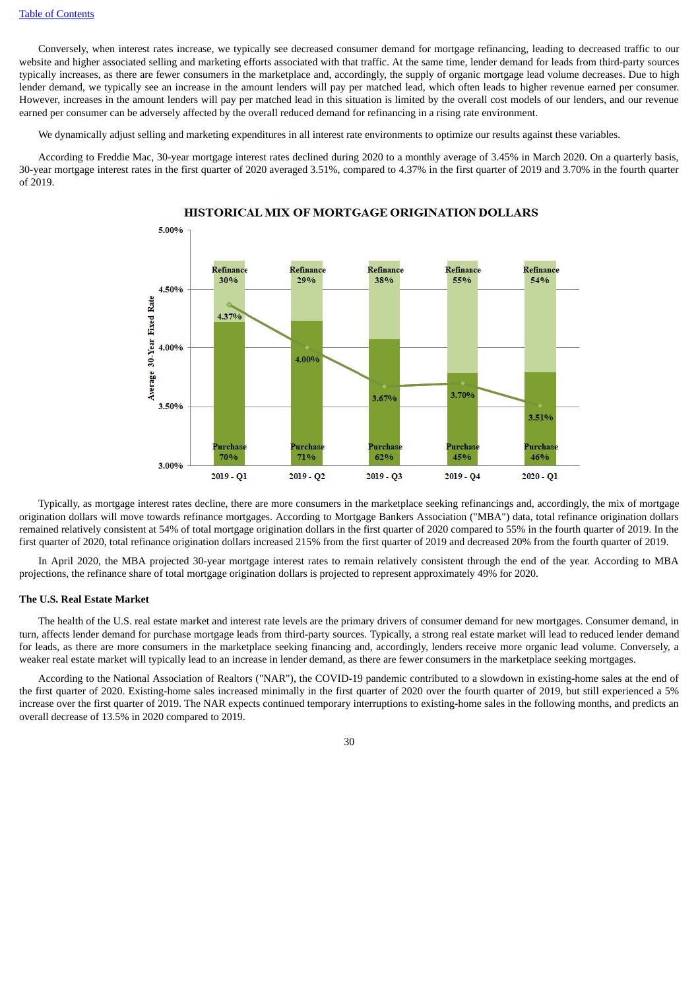Conversely, when interest rates increase, we typically see decreased consumer demand for mortgage refinancing, leading to decreased traffic to our website and higher associated selling and marketing efforts associated with that traffic. At the same time, lender demand for leads from third-party sources typically increases, as there are fewer consumers in the marketplace and, accordingly, the supply of organic mortgage lead volume decreases. Due to high lender demand, we typically see an increase in the amount lenders will pay per matched lead, which often leads to higher revenue earned per consumer. However, increases in the amount lenders will pay per matched lead in this situation is limited by the overall cost models of our lenders, and our revenue earned per consumer can be adversely affected by the overall reduced demand for refinancing in a rising rate environment.

We dynamically adjust selling and marketing expenditures in all interest rate environments to optimize our results against these variables.

According to Freddie Mac, 30-year mortgage interest rates declined during 2020 to a monthly average of 3.45% in March 2020. On a quarterly basis, 30-year mortgage interest rates in the first quarter of 2020 averaged 3.51%, compared to 4.37% in the first quarter of 2019 and 3.70% in the fourth quarter of 2019.



HISTORICAL MIX OF MORTGAGE ORIGINATION DOLLARS

Typically, as mortgage interest rates decline, there are more consumers in the marketplace seeking refinancings and, accordingly, the mix of mortgage origination dollars will move towards refinance mortgages. According to Mortgage Bankers Association ("MBA") data, total refinance origination dollars remained relatively consistent at 54% of total mortgage origination dollars in the first quarter of 2020 compared to 55% in the fourth quarter of 2019. In the first quarter of 2020, total refinance origination dollars increased 215% from the first quarter of 2019 and decreased 20% from the fourth quarter of 2019.

In April 2020, the MBA projected 30-year mortgage interest rates to remain relatively consistent through the end of the year. According to MBA projections, the refinance share of total mortgage origination dollars is projected to represent approximately 49% for 2020.

#### **The U.S. Real Estate Market**

The health of the U.S. real estate market and interest rate levels are the primary drivers of consumer demand for new mortgages. Consumer demand, in turn, affects lender demand for purchase mortgage leads from third-party sources. Typically, a strong real estate market will lead to reduced lender demand for leads, as there are more consumers in the marketplace seeking financing and, accordingly, lenders receive more organic lead volume. Conversely, a weaker real estate market will typically lead to an increase in lender demand, as there are fewer consumers in the marketplace seeking mortgages.

According to the National Association of Realtors ("NAR"), the COVID-19 pandemic contributed to a slowdown in existing-home sales at the end of the first quarter of 2020. Existing-home sales increased minimally in the first quarter of 2020 over the fourth quarter of 2019, but still experienced a 5% increase over the first quarter of 2019. The NAR expects continued temporary interruptions to existing-home sales in the following months, and predicts an overall decrease of 13.5% in 2020 compared to 2019.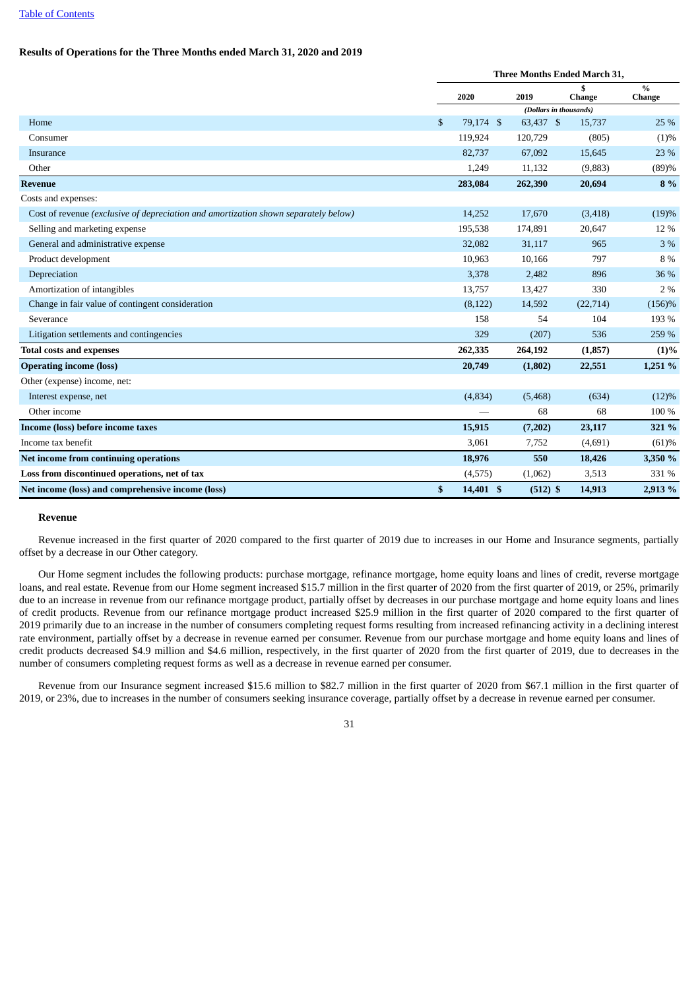### **Results of Operations for the Three Months ended March 31, 2020 and 2019**

|                                                                                     | Three Months Ended March 31, |           |                        |           |                         |
|-------------------------------------------------------------------------------------|------------------------------|-----------|------------------------|-----------|-------------------------|
|                                                                                     |                              | 2020      | 2019                   | Change    | $\frac{0}{0}$<br>Change |
|                                                                                     |                              |           | (Dollars in thousands) |           |                         |
| Home                                                                                | \$                           | 79,174 \$ | 63,437 \$              | 15,737    | 25 %                    |
| Consumer                                                                            |                              | 119,924   | 120,729                | (805)     | (1)%                    |
| Insurance                                                                           |                              | 82,737    | 67,092                 | 15,645    | 23 %                    |
| Other                                                                               |                              | 1,249     | 11,132                 | (9,883)   | (89)%                   |
| <b>Revenue</b>                                                                      |                              | 283,084   | 262,390                | 20,694    | 8 %                     |
| Costs and expenses:                                                                 |                              |           |                        |           |                         |
| Cost of revenue (exclusive of depreciation and amortization shown separately below) |                              | 14,252    | 17,670                 | (3, 418)  | (19)%                   |
| Selling and marketing expense                                                       |                              | 195,538   | 174,891                | 20,647    | 12 %                    |
| General and administrative expense                                                  |                              | 32,082    | 31,117                 | 965       | 3 %                     |
| Product development                                                                 |                              | 10,963    | 10,166                 | 797       | 8 %                     |
| Depreciation                                                                        |                              | 3,378     | 2,482                  | 896       | 36 %                    |
| Amortization of intangibles                                                         |                              | 13,757    | 13,427                 | 330       | $2\%$                   |
| Change in fair value of contingent consideration                                    |                              | (8, 122)  | 14,592                 | (22, 714) | (156)%                  |
| Severance                                                                           |                              | 158       | 54                     | 104       | 193 %                   |
| Litigation settlements and contingencies                                            |                              | 329       | (207)                  | 536       | 259 %                   |
| <b>Total costs and expenses</b>                                                     |                              | 262,335   | 264,192                | (1, 857)  | $(1)\%$                 |
| <b>Operating income (loss)</b>                                                      |                              | 20,749    | (1,802)                | 22,551    | 1,251 %                 |
| Other (expense) income, net:                                                        |                              |           |                        |           |                         |
| Interest expense, net                                                               |                              | (4,834)   | (5,468)                | (634)     | (12)%                   |
| Other income                                                                        |                              |           | 68                     | 68        | 100 %                   |
| Income (loss) before income taxes                                                   |                              | 15,915    | (7,202)                | 23,117    | 321 %                   |
| Income tax benefit                                                                  |                              | 3,061     | 7,752                  | (4,691)   | (61)%                   |
| Net income from continuing operations                                               |                              | 18,976    | 550                    | 18,426    | 3,350 %                 |
| Loss from discontinued operations, net of tax                                       |                              | (4,575)   | (1,062)                | 3,513     | 331 %                   |
| Net income (loss) and comprehensive income (loss)                                   | \$                           | 14,401 \$ | $(512)$ \$             | 14,913    | 2,913 %                 |

#### **Revenue**

Revenue increased in the first quarter of 2020 compared to the first quarter of 2019 due to increases in our Home and Insurance segments, partially offset by a decrease in our Other category.

Our Home segment includes the following products: purchase mortgage, refinance mortgage, home equity loans and lines of credit, reverse mortgage loans, and real estate. Revenue from our Home segment increased \$15.7 million in the first quarter of 2020 from the first quarter of 2019, or 25%, primarily due to an increase in revenue from our refinance mortgage product, partially offset by decreases in our purchase mortgage and home equity loans and lines of credit products. Revenue from our refinance mortgage product increased \$25.9 million in the first quarter of 2020 compared to the first quarter of 2019 primarily due to an increase in the number of consumers completing request forms resulting from increased refinancing activity in a declining interest rate environment, partially offset by a decrease in revenue earned per consumer. Revenue from our purchase mortgage and home equity loans and lines of credit products decreased \$4.9 million and \$4.6 million, respectively, in the first quarter of 2020 from the first quarter of 2019, due to decreases in the number of consumers completing request forms as well as a decrease in revenue earned per consumer.

Revenue from our Insurance segment increased \$15.6 million to \$82.7 million in the first quarter of 2020 from \$67.1 million in the first quarter of 2019, or 23%, due to increases in the number of consumers seeking insurance coverage, partially offset by a decrease in revenue earned per consumer.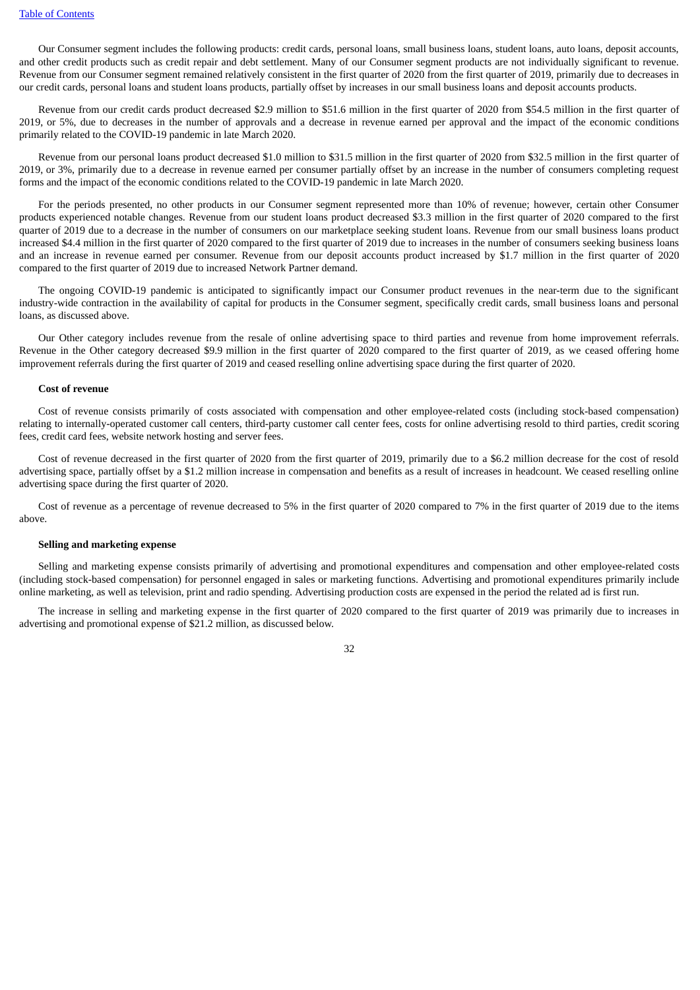Our Consumer segment includes the following products: credit cards, personal loans, small business loans, student loans, auto loans, deposit accounts, and other credit products such as credit repair and debt settlement. Many of our Consumer segment products are not individually significant to revenue. Revenue from our Consumer segment remained relatively consistent in the first quarter of 2020 from the first quarter of 2019, primarily due to decreases in our credit cards, personal loans and student loans products, partially offset by increases in our small business loans and deposit accounts products.

Revenue from our credit cards product decreased \$2.9 million to \$51.6 million in the first quarter of 2020 from \$54.5 million in the first quarter of 2019, or 5%, due to decreases in the number of approvals and a decrease in revenue earned per approval and the impact of the economic conditions primarily related to the COVID-19 pandemic in late March 2020.

Revenue from our personal loans product decreased \$1.0 million to \$31.5 million in the first quarter of 2020 from \$32.5 million in the first quarter of 2019, or 3%, primarily due to a decrease in revenue earned per consumer partially offset by an increase in the number of consumers completing request forms and the impact of the economic conditions related to the COVID-19 pandemic in late March 2020.

For the periods presented, no other products in our Consumer segment represented more than 10% of revenue; however, certain other Consumer products experienced notable changes. Revenue from our student loans product decreased \$3.3 million in the first quarter of 2020 compared to the first quarter of 2019 due to a decrease in the number of consumers on our marketplace seeking student loans. Revenue from our small business loans product increased \$4.4 million in the first quarter of 2020 compared to the first quarter of 2019 due to increases in the number of consumers seeking business loans and an increase in revenue earned per consumer. Revenue from our deposit accounts product increased by \$1.7 million in the first quarter of 2020 compared to the first quarter of 2019 due to increased Network Partner demand.

The ongoing COVID-19 pandemic is anticipated to significantly impact our Consumer product revenues in the near-term due to the significant industry-wide contraction in the availability of capital for products in the Consumer segment, specifically credit cards, small business loans and personal loans, as discussed above.

Our Other category includes revenue from the resale of online advertising space to third parties and revenue from home improvement referrals. Revenue in the Other category decreased \$9.9 million in the first quarter of 2020 compared to the first quarter of 2019, as we ceased offering home improvement referrals during the first quarter of 2019 and ceased reselling online advertising space during the first quarter of 2020.

#### **Cost of revenue**

Cost of revenue consists primarily of costs associated with compensation and other employee-related costs (including stock-based compensation) relating to internally-operated customer call centers, third-party customer call center fees, costs for online advertising resold to third parties, credit scoring fees, credit card fees, website network hosting and server fees.

Cost of revenue decreased in the first quarter of 2020 from the first quarter of 2019, primarily due to a \$6.2 million decrease for the cost of resold advertising space, partially offset by a \$1.2 million increase in compensation and benefits as a result of increases in headcount. We ceased reselling online advertising space during the first quarter of 2020.

Cost of revenue as a percentage of revenue decreased to 5% in the first quarter of 2020 compared to 7% in the first quarter of 2019 due to the items above.

#### **Selling and marketing expense**

Selling and marketing expense consists primarily of advertising and promotional expenditures and compensation and other employee-related costs (including stock-based compensation) for personnel engaged in sales or marketing functions. Advertising and promotional expenditures primarily include online marketing, as well as television, print and radio spending. Advertising production costs are expensed in the period the related ad is first run.

The increase in selling and marketing expense in the first quarter of 2020 compared to the first quarter of 2019 was primarily due to increases in advertising and promotional expense of \$21.2 million, as discussed below.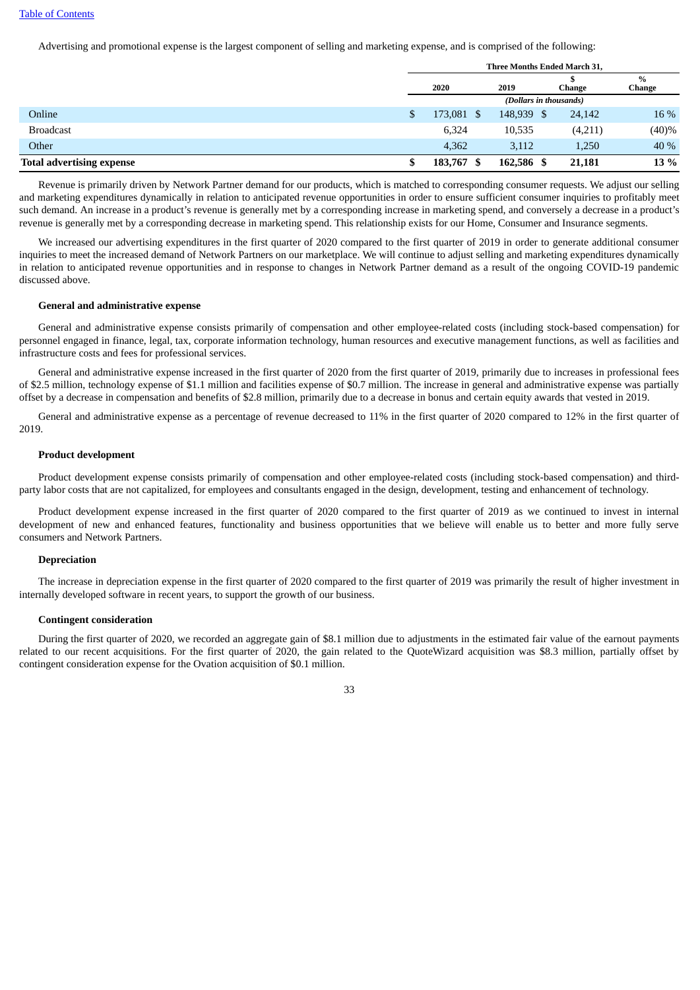Advertising and promotional expense is the largest component of selling and marketing expense, and is comprised of the following:

|                                  | Three Months Ended March 31, |            |         |                |  |  |  |  |
|----------------------------------|------------------------------|------------|---------|----------------|--|--|--|--|
|                                  | 2020                         | 2019       | Change  | $\%$<br>Change |  |  |  |  |
|                                  | (Dollars in thousands)       |            |         |                |  |  |  |  |
| Online                           | \$<br>173,081 \$             | 148,939 \$ | 24,142  | 16 %           |  |  |  |  |
| <b>Broadcast</b>                 | 6,324                        | 10,535     | (4,211) | (40)%          |  |  |  |  |
| Other                            | 4,362                        | 3,112      | 1,250   | 40 %           |  |  |  |  |
| <b>Total advertising expense</b> | \$<br>183,767 \$             | 162,586    | 21,181  | <b>13 %</b>    |  |  |  |  |

Revenue is primarily driven by Network Partner demand for our products, which is matched to corresponding consumer requests. We adjust our selling and marketing expenditures dynamically in relation to anticipated revenue opportunities in order to ensure sufficient consumer inquiries to profitably meet such demand. An increase in a product's revenue is generally met by a corresponding increase in marketing spend, and conversely a decrease in a product's revenue is generally met by a corresponding decrease in marketing spend. This relationship exists for our Home, Consumer and Insurance segments.

We increased our advertising expenditures in the first quarter of 2020 compared to the first quarter of 2019 in order to generate additional consumer inquiries to meet the increased demand of Network Partners on our marketplace. We will continue to adjust selling and marketing expenditures dynamically in relation to anticipated revenue opportunities and in response to changes in Network Partner demand as a result of the ongoing COVID-19 pandemic discussed above.

#### **General and administrative expense**

General and administrative expense consists primarily of compensation and other employee-related costs (including stock-based compensation) for personnel engaged in finance, legal, tax, corporate information technology, human resources and executive management functions, as well as facilities and infrastructure costs and fees for professional services.

General and administrative expense increased in the first quarter of 2020 from the first quarter of 2019, primarily due to increases in professional fees of \$2.5 million, technology expense of \$1.1 million and facilities expense of \$0.7 million. The increase in general and administrative expense was partially offset by a decrease in compensation and benefits of \$2.8 million, primarily due to a decrease in bonus and certain equity awards that vested in 2019.

General and administrative expense as a percentage of revenue decreased to 11% in the first quarter of 2020 compared to 12% in the first quarter of 2019.

#### **Product development**

Product development expense consists primarily of compensation and other employee-related costs (including stock-based compensation) and thirdparty labor costs that are not capitalized, for employees and consultants engaged in the design, development, testing and enhancement of technology.

Product development expense increased in the first quarter of 2020 compared to the first quarter of 2019 as we continued to invest in internal development of new and enhanced features, functionality and business opportunities that we believe will enable us to better and more fully serve consumers and Network Partners.

#### **Depreciation**

The increase in depreciation expense in the first quarter of 2020 compared to the first quarter of 2019 was primarily the result of higher investment in internally developed software in recent years, to support the growth of our business.

#### **Contingent consideration**

During the first quarter of 2020, we recorded an aggregate gain of \$8.1 million due to adjustments in the estimated fair value of the earnout payments related to our recent acquisitions. For the first quarter of 2020, the gain related to the QuoteWizard acquisition was \$8.3 million, partially offset by contingent consideration expense for the Ovation acquisition of \$0.1 million.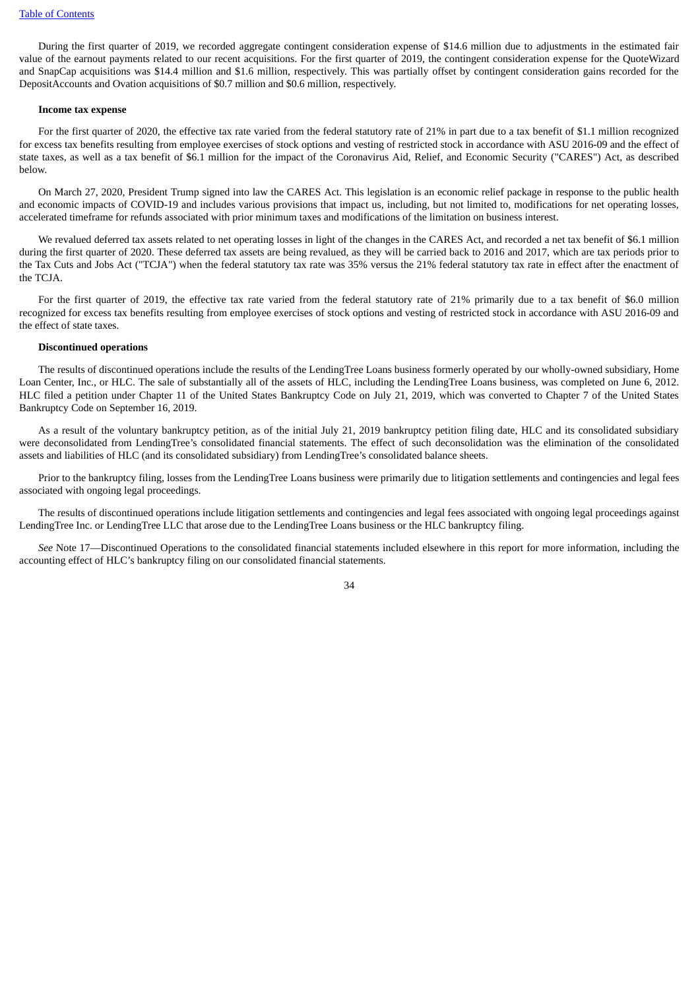During the first quarter of 2019, we recorded aggregate contingent consideration expense of \$14.6 million due to adjustments in the estimated fair value of the earnout payments related to our recent acquisitions. For the first quarter of 2019, the contingent consideration expense for the QuoteWizard and SnapCap acquisitions was \$14.4 million and \$1.6 million, respectively. This was partially offset by contingent consideration gains recorded for the DepositAccounts and Ovation acquisitions of \$0.7 million and \$0.6 million, respectively.

#### **Income tax expense**

For the first quarter of 2020, the effective tax rate varied from the federal statutory rate of 21% in part due to a tax benefit of \$1.1 million recognized for excess tax benefits resulting from employee exercises of stock options and vesting of restricted stock in accordance with ASU 2016-09 and the effect of state taxes, as well as a tax benefit of \$6.1 million for the impact of the Coronavirus Aid, Relief, and Economic Security ("CARES") Act, as described below.

On March 27, 2020, President Trump signed into law the CARES Act. This legislation is an economic relief package in response to the public health and economic impacts of COVID-19 and includes various provisions that impact us, including, but not limited to, modifications for net operating losses, accelerated timeframe for refunds associated with prior minimum taxes and modifications of the limitation on business interest.

We revalued deferred tax assets related to net operating losses in light of the changes in the CARES Act, and recorded a net tax benefit of \$6.1 million during the first quarter of 2020. These deferred tax assets are being revalued, as they will be carried back to 2016 and 2017, which are tax periods prior to the Tax Cuts and Jobs Act ("TCJA") when the federal statutory tax rate was 35% versus the 21% federal statutory tax rate in effect after the enactment of the TCJA.

For the first quarter of 2019, the effective tax rate varied from the federal statutory rate of 21% primarily due to a tax benefit of \$6.0 million recognized for excess tax benefits resulting from employee exercises of stock options and vesting of restricted stock in accordance with ASU 2016-09 and the effect of state taxes.

#### **Discontinued operations**

The results of discontinued operations include the results of the LendingTree Loans business formerly operated by our wholly-owned subsidiary, Home Loan Center, Inc., or HLC. The sale of substantially all of the assets of HLC, including the LendingTree Loans business, was completed on June 6, 2012. HLC filed a petition under Chapter 11 of the United States Bankruptcy Code on July 21, 2019, which was converted to Chapter 7 of the United States Bankruptcy Code on September 16, 2019.

As a result of the voluntary bankruptcy petition, as of the initial July 21, 2019 bankruptcy petition filing date, HLC and its consolidated subsidiary were deconsolidated from LendingTree's consolidated financial statements. The effect of such deconsolidation was the elimination of the consolidated assets and liabilities of HLC (and its consolidated subsidiary) from LendingTree's consolidated balance sheets.

Prior to the bankruptcy filing, losses from the LendingTree Loans business were primarily due to litigation settlements and contingencies and legal fees associated with ongoing legal proceedings.

The results of discontinued operations include litigation settlements and contingencies and legal fees associated with ongoing legal proceedings against LendingTree Inc. or LendingTree LLC that arose due to the LendingTree Loans business or the HLC bankruptcy filing.

*See* Note 17—Discontinued Operations to the consolidated financial statements included elsewhere in this report for more information, including the accounting effect of HLC's bankruptcy filing on our consolidated financial statements.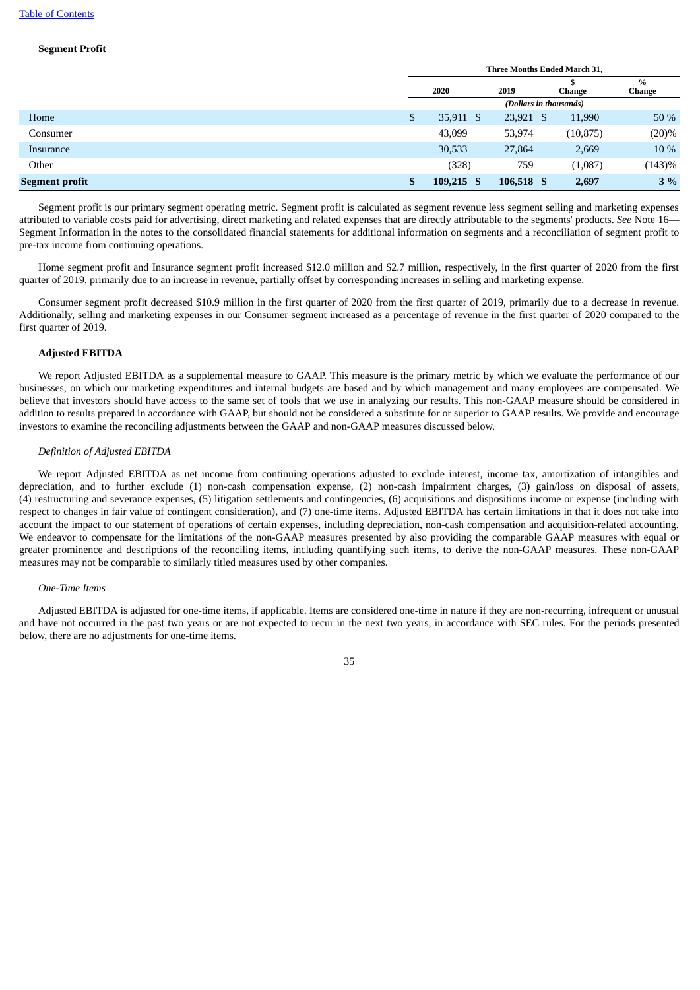#### Table of [Contents](#page-1-0)

### **Segment Profit**

|                | Three Months Ended March 31. |                        |           |                       |
|----------------|------------------------------|------------------------|-----------|-----------------------|
|                | 2020                         | 2019                   | Change    | $\%$<br><b>Change</b> |
|                |                              | (Dollars in thousands) |           |                       |
| Home           | \$<br>35,911 \$              | 23,921<br>- \$         | 11,990    | 50 %                  |
| Consumer       | 43,099                       | 53,974                 | (10, 875) | (20)%                 |
| Insurance      | 30,533                       | 27,864                 | 2,669     | 10 %                  |
| Other          | (328)                        | 759                    | (1,087)   | (143)%                |
| Segment profit | \$<br>$109,215$ \$           | $106,518$ \$           | 2,697     | 3%                    |

Segment profit is our primary segment operating metric. Segment profit is calculated as segment revenue less segment selling and marketing expenses attributed to variable costs paid for advertising, direct marketing and related expenses that are directly attributable to the segments' products. *See* Note 16— Segment Information in the notes to the consolidated financial statements for additional information on segments and a reconciliation of segment profit to pre-tax income from continuing operations.

Home segment profit and Insurance segment profit increased \$12.0 million and \$2.7 million, respectively, in the first quarter of 2020 from the first quarter of 2019, primarily due to an increase in revenue, partially offset by corresponding increases in selling and marketing expense.

Consumer segment profit decreased \$10.9 million in the first quarter of 2020 from the first quarter of 2019, primarily due to a decrease in revenue. Additionally, selling and marketing expenses in our Consumer segment increased as a percentage of revenue in the first quarter of 2020 compared to the first quarter of 2019.

### **Adjusted EBITDA**

We report Adjusted EBITDA as a supplemental measure to GAAP. This measure is the primary metric by which we evaluate the performance of our businesses, on which our marketing expenditures and internal budgets are based and by which management and many employees are compensated. We believe that investors should have access to the same set of tools that we use in analyzing our results. This non-GAAP measure should be considered in addition to results prepared in accordance with GAAP, but should not be considered a substitute for or superior to GAAP results. We provide and encourage investors to examine the reconciling adjustments between the GAAP and non-GAAP measures discussed below.

#### *Definition of Adjusted EBITDA*

We report Adjusted EBITDA as net income from continuing operations adjusted to exclude interest, income tax, amortization of intangibles and depreciation, and to further exclude (1) non-cash compensation expense, (2) non-cash impairment charges, (3) gain/loss on disposal of assets, (4) restructuring and severance expenses, (5) litigation settlements and contingencies, (6) acquisitions and dispositions income or expense (including with respect to changes in fair value of contingent consideration), and (7) one-time items. Adjusted EBITDA has certain limitations in that it does not take into account the impact to our statement of operations of certain expenses, including depreciation, non-cash compensation and acquisition-related accounting. We endeavor to compensate for the limitations of the non-GAAP measures presented by also providing the comparable GAAP measures with equal or greater prominence and descriptions of the reconciling items, including quantifying such items, to derive the non-GAAP measures. These non-GAAP measures may not be comparable to similarly titled measures used by other companies.

#### *One-Time Items*

Adjusted EBITDA is adjusted for one-time items, if applicable. Items are considered one-time in nature if they are non-recurring, infrequent or unusual and have not occurred in the past two years or are not expected to recur in the next two years, in accordance with SEC rules. For the periods presented below, there are no adjustments for one-time items.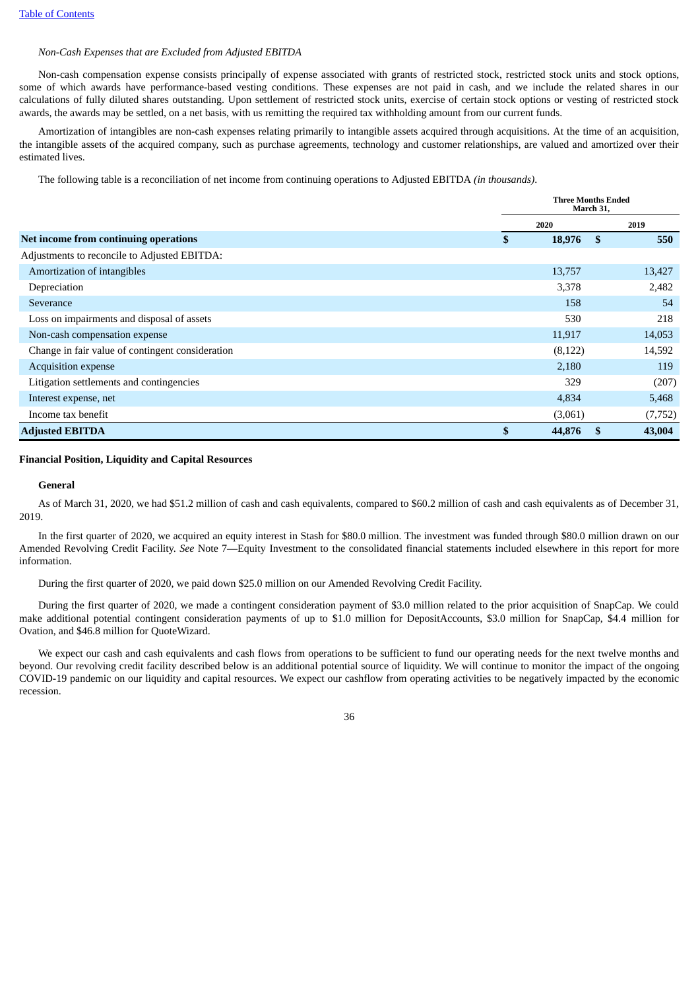### *Non-Cash Expenses that are Excluded from Adjusted EBITDA*

Non-cash compensation expense consists principally of expense associated with grants of restricted stock, restricted stock units and stock options, some of which awards have performance-based vesting conditions. These expenses are not paid in cash, and we include the related shares in our calculations of fully diluted shares outstanding. Upon settlement of restricted stock units, exercise of certain stock options or vesting of restricted stock awards, the awards may be settled, on a net basis, with us remitting the required tax withholding amount from our current funds.

Amortization of intangibles are non-cash expenses relating primarily to intangible assets acquired through acquisitions. At the time of an acquisition, the intangible assets of the acquired company, such as purchase agreements, technology and customer relationships, are valued and amortized over their estimated lives.

The following table is a reconciliation of net income from continuing operations to Adjusted EBITDA *(in thousands)*.

|                                                  | <b>Three Months Ended</b><br>March 31, |         |    |          |
|--------------------------------------------------|----------------------------------------|---------|----|----------|
|                                                  |                                        | 2020    |    | 2019     |
| Net income from continuing operations            | <sup>\$</sup>                          | 18,976  | \$ | 550      |
| Adjustments to reconcile to Adjusted EBITDA:     |                                        |         |    |          |
| Amortization of intangibles                      |                                        | 13,757  |    | 13,427   |
| Depreciation                                     |                                        | 3,378   |    | 2,482    |
| Severance                                        |                                        | 158     |    | 54       |
| Loss on impairments and disposal of assets       |                                        | 530     |    | 218      |
| Non-cash compensation expense                    |                                        | 11,917  |    | 14,053   |
| Change in fair value of contingent consideration |                                        | (8,122) |    | 14,592   |
| Acquisition expense                              |                                        | 2,180   |    | 119      |
| Litigation settlements and contingencies         |                                        | 329     |    | (207)    |
| Interest expense, net                            |                                        | 4,834   |    | 5,468    |
| Income tax benefit                               |                                        | (3,061) |    | (7, 752) |
| <b>Adjusted EBITDA</b>                           | \$                                     | 44,876  | \$ | 43,004   |

### **Financial Position, Liquidity and Capital Resources**

### **General**

As of March 31, 2020, we had \$51.2 million of cash and cash equivalents, compared to \$60.2 million of cash and cash equivalents as of December 31, 2019.

In the first quarter of 2020, we acquired an equity interest in Stash for \$80.0 million. The investment was funded through \$80.0 million drawn on our Amended Revolving Credit Facility. *See* Note 7—Equity Investment to the consolidated financial statements included elsewhere in this report for more information.

During the first quarter of 2020, we paid down \$25.0 million on our Amended Revolving Credit Facility.

During the first quarter of 2020, we made a contingent consideration payment of \$3.0 million related to the prior acquisition of SnapCap. We could make additional potential contingent consideration payments of up to \$1.0 million for DepositAccounts, \$3.0 million for SnapCap, \$4.4 million for Ovation, and \$46.8 million for QuoteWizard.

We expect our cash and cash equivalents and cash flows from operations to be sufficient to fund our operating needs for the next twelve months and beyond. Our revolving credit facility described below is an additional potential source of liquidity. We will continue to monitor the impact of the ongoing COVID-19 pandemic on our liquidity and capital resources. We expect our cashflow from operating activities to be negatively impacted by the economic recession.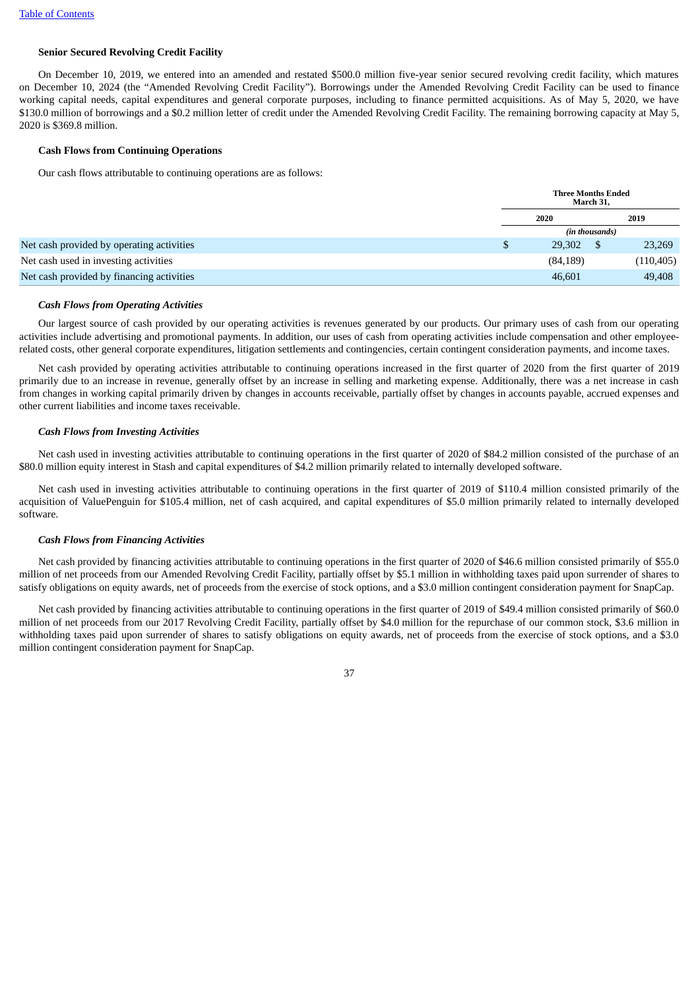### **Senior Secured Revolving Credit Facility**

On December 10, 2019, we entered into an amended and restated \$500.0 million five-year senior secured revolving credit facility, which matures on December 10, 2024 (the "Amended Revolving Credit Facility"). Borrowings under the Amended Revolving Credit Facility can be used to finance working capital needs, capital expenditures and general corporate purposes, including to finance permitted acquisitions. As of May 5, 2020, we have \$130.0 million of borrowings and a \$0.2 million letter of credit under the Amended Revolving Credit Facility. The remaining borrowing capacity at May 5, 2020 is \$369.8 million.

### **Cash Flows from Continuing Operations**

Our cash flows attributable to continuing operations are as follows:

|                                           |      | <b>Three Months Ended</b><br>March 31, |      |            |  |
|-------------------------------------------|------|----------------------------------------|------|------------|--|
|                                           | 2020 |                                        | 2019 |            |  |
|                                           |      | (in thousands)                         |      |            |  |
| Net cash provided by operating activities |      | 29,302                                 |      | 23,269     |  |
| Net cash used in investing activities     |      | (84, 189)                              |      | (110, 405) |  |
| Net cash provided by financing activities |      | 46,601                                 |      | 49,408     |  |

#### *Cash Flows from Operating Activities*

Our largest source of cash provided by our operating activities is revenues generated by our products. Our primary uses of cash from our operating activities include advertising and promotional payments. In addition, our uses of cash from operating activities include compensation and other employeerelated costs, other general corporate expenditures, litigation settlements and contingencies, certain contingent consideration payments, and income taxes.

Net cash provided by operating activities attributable to continuing operations increased in the first quarter of 2020 from the first quarter of 2019 primarily due to an increase in revenue, generally offset by an increase in selling and marketing expense. Additionally, there was a net increase in cash from changes in working capital primarily driven by changes in accounts receivable, partially offset by changes in accounts payable, accrued expenses and other current liabilities and income taxes receivable.

### *Cash Flows from Investing Activities*

Net cash used in investing activities attributable to continuing operations in the first quarter of 2020 of \$84.2 million consisted of the purchase of an \$80.0 million equity interest in Stash and capital expenditures of \$4.2 million primarily related to internally developed software.

Net cash used in investing activities attributable to continuing operations in the first quarter of 2019 of \$110.4 million consisted primarily of the acquisition of ValuePenguin for \$105.4 million, net of cash acquired, and capital expenditures of \$5.0 million primarily related to internally developed software.

#### *Cash Flows from Financing Activities*

Net cash provided by financing activities attributable to continuing operations in the first quarter of 2020 of \$46.6 million consisted primarily of \$55.0 million of net proceeds from our Amended Revolving Credit Facility, partially offset by \$5.1 million in withholding taxes paid upon surrender of shares to satisfy obligations on equity awards, net of proceeds from the exercise of stock options, and a \$3.0 million contingent consideration payment for SnapCap.

Net cash provided by financing activities attributable to continuing operations in the first quarter of 2019 of \$49.4 million consisted primarily of \$60.0 million of net proceeds from our 2017 Revolving Credit Facility, partially offset by \$4.0 million for the repurchase of our common stock, \$3.6 million in withholding taxes paid upon surrender of shares to satisfy obligations on equity awards, net of proceeds from the exercise of stock options, and a \$3.0 million contingent consideration payment for SnapCap.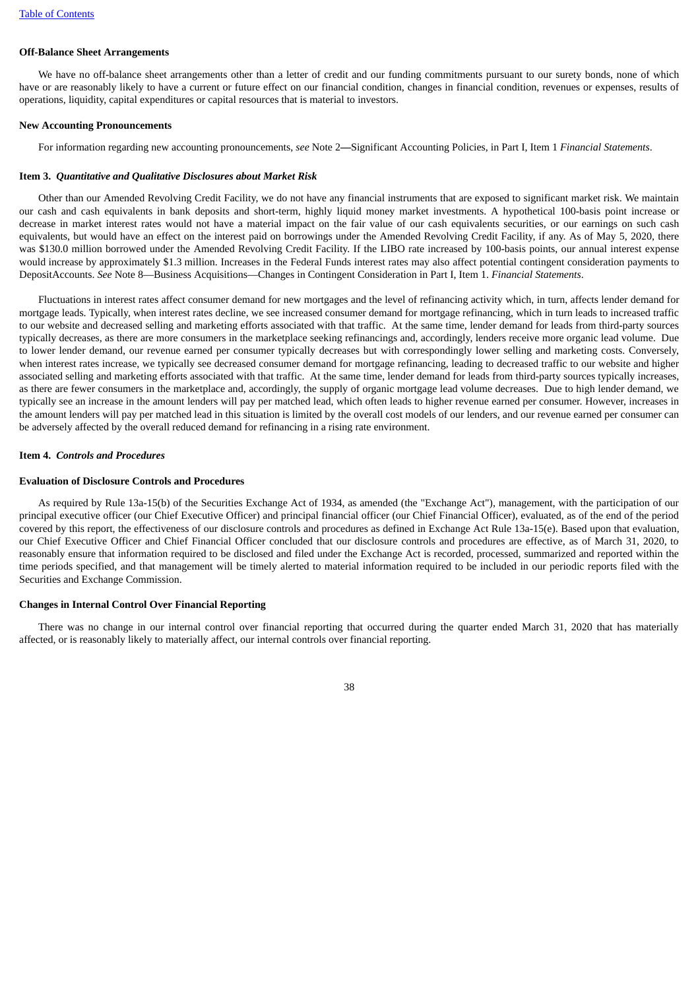### **Off-Balance Sheet Arrangements**

We have no off-balance sheet arrangements other than a letter of credit and our funding commitments pursuant to our surety bonds, none of which have or are reasonably likely to have a current or future effect on our financial condition, changes in financial condition, revenues or expenses, results of operations, liquidity, capital expenditures or capital resources that is material to investors.

#### **New Accounting Pronouncements**

For information regarding new accounting pronouncements, *see* Note 2**—**Significant Accounting Policies, in Part I, Item 1 *Financial Statements*.

#### <span id="page-37-0"></span>**Item 3.** *Quantitative and Qualitative Disclosures about Market Risk*

Other than our Amended Revolving Credit Facility, we do not have any financial instruments that are exposed to significant market risk. We maintain our cash and cash equivalents in bank deposits and short-term, highly liquid money market investments. A hypothetical 100-basis point increase or decrease in market interest rates would not have a material impact on the fair value of our cash equivalents securities, or our earnings on such cash equivalents, but would have an effect on the interest paid on borrowings under the Amended Revolving Credit Facility, if any. As of May 5, 2020, there was \$130.0 million borrowed under the Amended Revolving Credit Facility. If the LIBO rate increased by 100-basis points, our annual interest expense would increase by approximately \$1.3 million. Increases in the Federal Funds interest rates may also affect potential contingent consideration payments to DepositAccounts. *See* Note 8—Business Acquisitions—Changes in Contingent Consideration in Part I, Item 1. *Financial Statements*.

Fluctuations in interest rates affect consumer demand for new mortgages and the level of refinancing activity which, in turn, affects lender demand for mortgage leads. Typically, when interest rates decline, we see increased consumer demand for mortgage refinancing, which in turn leads to increased traffic to our website and decreased selling and marketing efforts associated with that traffic. At the same time, lender demand for leads from third-party sources typically decreases, as there are more consumers in the marketplace seeking refinancings and, accordingly, lenders receive more organic lead volume. Due to lower lender demand, our revenue earned per consumer typically decreases but with correspondingly lower selling and marketing costs. Conversely, when interest rates increase, we typically see decreased consumer demand for mortgage refinancing, leading to decreased traffic to our website and higher associated selling and marketing efforts associated with that traffic. At the same time, lender demand for leads from third-party sources typically increases, as there are fewer consumers in the marketplace and, accordingly, the supply of organic mortgage lead volume decreases. Due to high lender demand, we typically see an increase in the amount lenders will pay per matched lead, which often leads to higher revenue earned per consumer. However, increases in the amount lenders will pay per matched lead in this situation is limited by the overall cost models of our lenders, and our revenue earned per consumer can be adversely affected by the overall reduced demand for refinancing in a rising rate environment.

### <span id="page-37-1"></span>**Item 4.** *Controls and Procedures*

#### **Evaluation of Disclosure Controls and Procedures**

As required by Rule 13a-15(b) of the Securities Exchange Act of 1934, as amended (the "Exchange Act"), management, with the participation of our principal executive officer (our Chief Executive Officer) and principal financial officer (our Chief Financial Officer), evaluated, as of the end of the period covered by this report, the effectiveness of our disclosure controls and procedures as defined in Exchange Act Rule 13a-15(e). Based upon that evaluation, our Chief Executive Officer and Chief Financial Officer concluded that our disclosure controls and procedures are effective, as of March 31, 2020, to reasonably ensure that information required to be disclosed and filed under the Exchange Act is recorded, processed, summarized and reported within the time periods specified, and that management will be timely alerted to material information required to be included in our periodic reports filed with the Securities and Exchange Commission.

### **Changes in Internal Control Over Financial Reporting**

There was no change in our internal control over financial reporting that occurred during the quarter ended March 31, 2020 that has materially affected, or is reasonably likely to materially affect, our internal controls over financial reporting.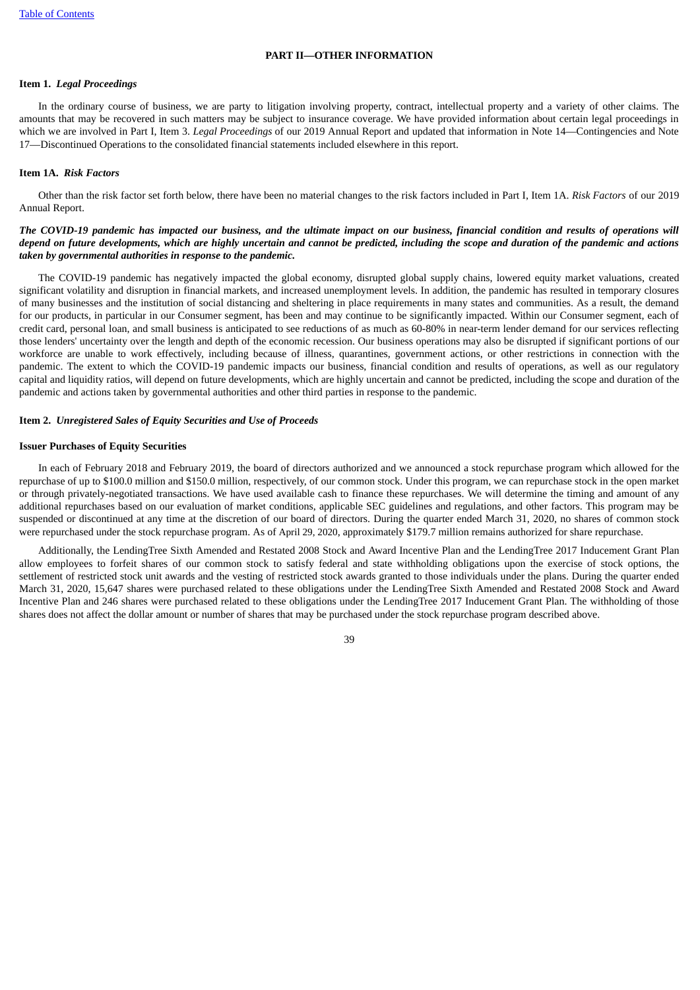#### **PART II—OTHER INFORMATION**

#### <span id="page-38-1"></span><span id="page-38-0"></span>**Item 1.** *Legal Proceedings*

In the ordinary course of business, we are party to litigation involving property, contract, intellectual property and a variety of other claims. The amounts that may be recovered in such matters may be subject to insurance coverage. We have provided information about certain legal proceedings in which we are involved in Part I, Item 3. *Legal Proceedings* of our 2019 Annual Report and updated that information in Note 14—Contingencies and Note 17—Discontinued Operations to the consolidated financial statements included elsewhere in this report.

### <span id="page-38-2"></span>**Item 1A.** *Risk Factors*

Other than the risk factor set forth below, there have been no material changes to the risk factors included in Part I, Item 1A. *Risk Factors* of our 2019 Annual Report.

### The COVID-19 pandemic has impacted our business, and the ultimate impact on our business, financial condition and results of operations will depend on future developments, which are highly uncertain and cannot be predicted, including the scope and duration of the pandemic and actions *taken by governmental authorities in response to the pandemic.*

The COVID-19 pandemic has negatively impacted the global economy, disrupted global supply chains, lowered equity market valuations, created significant volatility and disruption in financial markets, and increased unemployment levels. In addition, the pandemic has resulted in temporary closures of many businesses and the institution of social distancing and sheltering in place requirements in many states and communities. As a result, the demand for our products, in particular in our Consumer segment, has been and may continue to be significantly impacted. Within our Consumer segment, each of credit card, personal loan, and small business is anticipated to see reductions of as much as 60-80% in near-term lender demand for our services reflecting those lenders' uncertainty over the length and depth of the economic recession. Our business operations may also be disrupted if significant portions of our workforce are unable to work effectively, including because of illness, quarantines, government actions, or other restrictions in connection with the pandemic. The extent to which the COVID-19 pandemic impacts our business, financial condition and results of operations, as well as our regulatory capital and liquidity ratios, will depend on future developments, which are highly uncertain and cannot be predicted, including the scope and duration of the pandemic and actions taken by governmental authorities and other third parties in response to the pandemic.

### <span id="page-38-3"></span>**Item 2.** *Unregistered Sales of Equity Securities and Use of Proceeds*

### **Issuer Purchases of Equity Securities**

In each of February 2018 and February 2019, the board of directors authorized and we announced a stock repurchase program which allowed for the repurchase of up to \$100.0 million and \$150.0 million, respectively, of our common stock. Under this program, we can repurchase stock in the open market or through privately-negotiated transactions. We have used available cash to finance these repurchases. We will determine the timing and amount of any additional repurchases based on our evaluation of market conditions, applicable SEC guidelines and regulations, and other factors. This program may be suspended or discontinued at any time at the discretion of our board of directors. During the quarter ended March 31, 2020, no shares of common stock were repurchased under the stock repurchase program. As of April 29, 2020, approximately \$179.7 million remains authorized for share repurchase.

Additionally, the LendingTree Sixth Amended and Restated 2008 Stock and Award Incentive Plan and the LendingTree 2017 Inducement Grant Plan allow employees to forfeit shares of our common stock to satisfy federal and state withholding obligations upon the exercise of stock options, the settlement of restricted stock unit awards and the vesting of restricted stock awards granted to those individuals under the plans. During the quarter ended March 31, 2020, 15,647 shares were purchased related to these obligations under the LendingTree Sixth Amended and Restated 2008 Stock and Award Incentive Plan and 246 shares were purchased related to these obligations under the LendingTree 2017 Inducement Grant Plan. The withholding of those shares does not affect the dollar amount or number of shares that may be purchased under the stock repurchase program described above.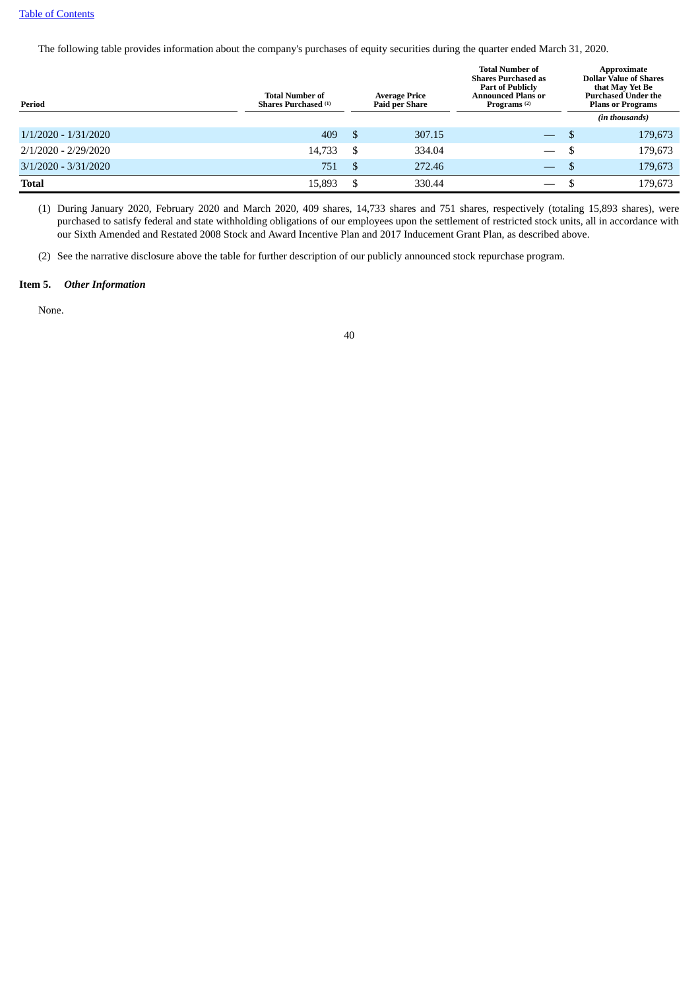The following table provides information about the company's purchases of equity securities during the quarter ended March 31, 2020.

| Period               | <b>Total Number of</b><br>Shares Purchased <sup>(1)</sup> |   | <b>Average Price</b><br>Paid per Share | <b>Total Number of</b><br><b>Shares Purchased as</b><br><b>Part of Publicly</b><br><b>Announced Plans or</b><br>Programs $(2)$ |    | Approximate<br><b>Dollar Value of Shares</b><br>that May Yet Be<br><b>Purchased Under the</b><br><b>Plans or Programs</b> |  |
|----------------------|-----------------------------------------------------------|---|----------------------------------------|--------------------------------------------------------------------------------------------------------------------------------|----|---------------------------------------------------------------------------------------------------------------------------|--|
|                      |                                                           |   |                                        |                                                                                                                                |    | (in thousands)                                                                                                            |  |
| 1/1/2020 - 1/31/2020 | 409                                                       | S | 307.15                                 |                                                                                                                                | Ъ  | 179,673                                                                                                                   |  |
| 2/1/2020 - 2/29/2020 | 14,733                                                    | S | 334.04                                 | $\overline{\phantom{0}}$                                                                                                       | -S | 179,673                                                                                                                   |  |
| 3/1/2020 - 3/31/2020 | 751                                                       | S | 272.46                                 | $\overbrace{\phantom{13333}}$                                                                                                  |    | 179,673                                                                                                                   |  |
| <b>Total</b>         | 15,893                                                    |   | 330.44                                 | $\hspace{0.1mm}-\hspace{0.1mm}$                                                                                                |    | 179,673                                                                                                                   |  |

(1) During January 2020, February 2020 and March 2020, 409 shares, 14,733 shares and 751 shares, respectively (totaling 15,893 shares), were purchased to satisfy federal and state withholding obligations of our employees upon the settlement of restricted stock units, all in accordance with our Sixth Amended and Restated 2008 Stock and Award Incentive Plan and 2017 Inducement Grant Plan, as described above.

(2) See the narrative disclosure above the table for further description of our publicly announced stock repurchase program.

### <span id="page-39-0"></span>**Item 5.** *Other Information*

None.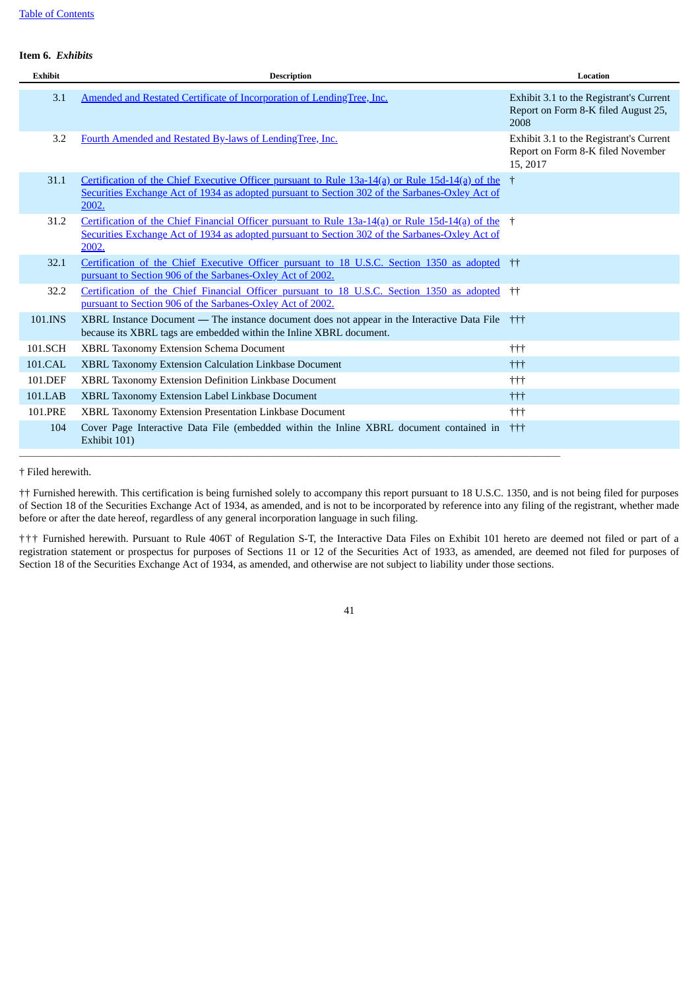### <span id="page-40-0"></span>**Item 6.** *Exhibits*

| <b>Exhibit</b> | <b>Description</b>                                                                                                                                                                                                        | Location                                                                                 |
|----------------|---------------------------------------------------------------------------------------------------------------------------------------------------------------------------------------------------------------------------|------------------------------------------------------------------------------------------|
| 3.1            | Amended and Restated Certificate of Incorporation of LendingTree, Inc.                                                                                                                                                    | Exhibit 3.1 to the Registrant's Current<br>Report on Form 8-K filed August 25,<br>2008   |
| 3.2            | Fourth Amended and Restated By-laws of LendingTree, Inc.                                                                                                                                                                  | Exhibit 3.1 to the Registrant's Current<br>Report on Form 8-K filed November<br>15, 2017 |
| 31.1           | Certification of the Chief Executive Officer pursuant to Rule 13a-14(a) or Rule 15d-14(a) of the $\dagger$<br>Securities Exchange Act of 1934 as adopted pursuant to Section 302 of the Sarbanes-Oxley Act of<br>2002.    |                                                                                          |
| 31.2           | Certification of the Chief Financial Officer pursuant to Rule 13a-14(a) or Rule 15d-14(a) of the <sup>†</sup><br>Securities Exchange Act of 1934 as adopted pursuant to Section 302 of the Sarbanes-Oxley Act of<br>2002. |                                                                                          |
| 32.1           | Certification of the Chief Executive Officer pursuant to 18 U.S.C. Section 1350 as adopted <sup>†</sup><br>pursuant to Section 906 of the Sarbanes-Oxley Act of 2002.                                                     |                                                                                          |
| 32.2           | Certification of the Chief Financial Officer pursuant to 18 U.S.C. Section 1350 as adopted<br>pursuant to Section 906 of the Sarbanes-Oxley Act of 2002.                                                                  | $^{\dagger\dagger}$                                                                      |
| 101.INS        | XBRL Instance Document — The instance document does not appear in the Interactive Data File<br>because its XBRL tags are embedded within the Inline XBRL document.                                                        | ナナナ                                                                                      |
| 101.SCH        | XBRL Taxonomy Extension Schema Document                                                                                                                                                                                   | $^{\dagger\dagger\dagger}$                                                               |
| 101.CAL        | XBRL Taxonomy Extension Calculation Linkbase Document                                                                                                                                                                     | $+ + +$                                                                                  |
| 101.DEF        | XBRL Taxonomy Extension Definition Linkbase Document                                                                                                                                                                      | $^{\dagger\dagger\dagger}$                                                               |
| 101.LAB        | XBRL Taxonomy Extension Label Linkbase Document                                                                                                                                                                           | $+ + +$                                                                                  |
| 101.PRE        | XBRL Taxonomy Extension Presentation Linkbase Document                                                                                                                                                                    | $^{\dagger\dagger\dagger}$                                                               |
| 104            | Cover Page Interactive Data File (embedded within the Inline XBRL document contained in<br>Exhibit 101)                                                                                                                   | $+ + +$                                                                                  |

† Filed herewith.

†† Furnished herewith. This certification is being furnished solely to accompany this report pursuant to 18 U.S.C. 1350, and is not being filed for purposes of Section 18 of the Securities Exchange Act of 1934, as amended, and is not to be incorporated by reference into any filing of the registrant, whether made before or after the date hereof, regardless of any general incorporation language in such filing.

††† Furnished herewith. Pursuant to Rule 406T of Regulation S-T, the Interactive Data Files on Exhibit 101 hereto are deemed not filed or part of a registration statement or prospectus for purposes of Sections 11 or 12 of the Securities Act of 1933, as amended, are deemed not filed for purposes of Section 18 of the Securities Exchange Act of 1934, as amended, and otherwise are not subject to liability under those sections.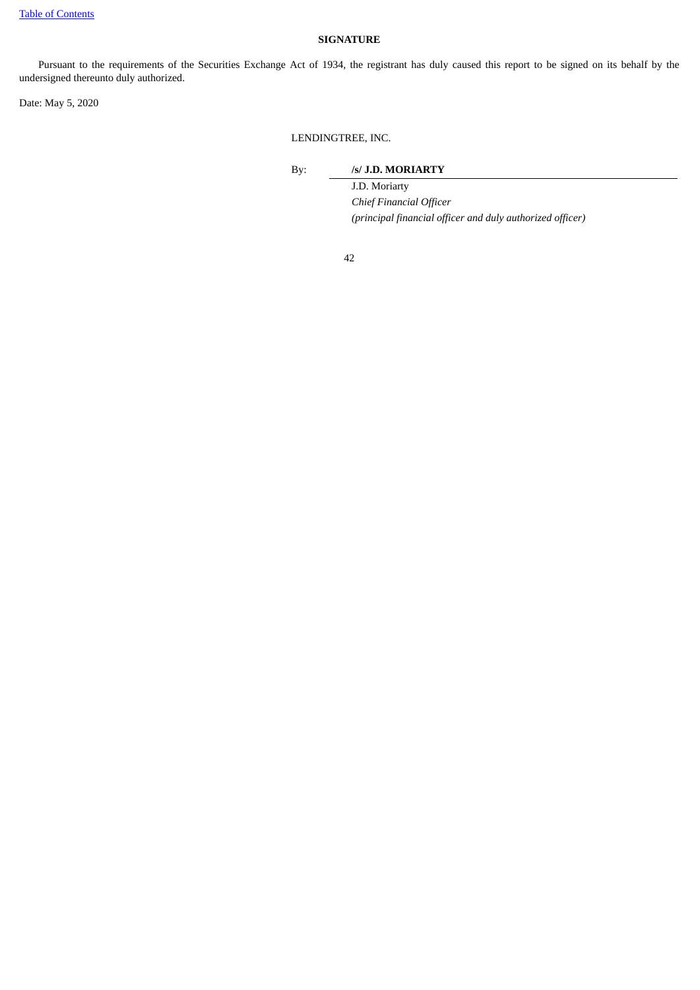### **SIGNATURE**

Pursuant to the requirements of the Securities Exchange Act of 1934, the registrant has duly caused this report to be signed on its behalf by the undersigned thereunto duly authorized.

Date: May 5, 2020

LENDINGTREE, INC.

By: **/s/ J.D. MORIARTY**

J.D. Moriarty *Chief Financial Officer (principal financial officer and duly authorized officer)*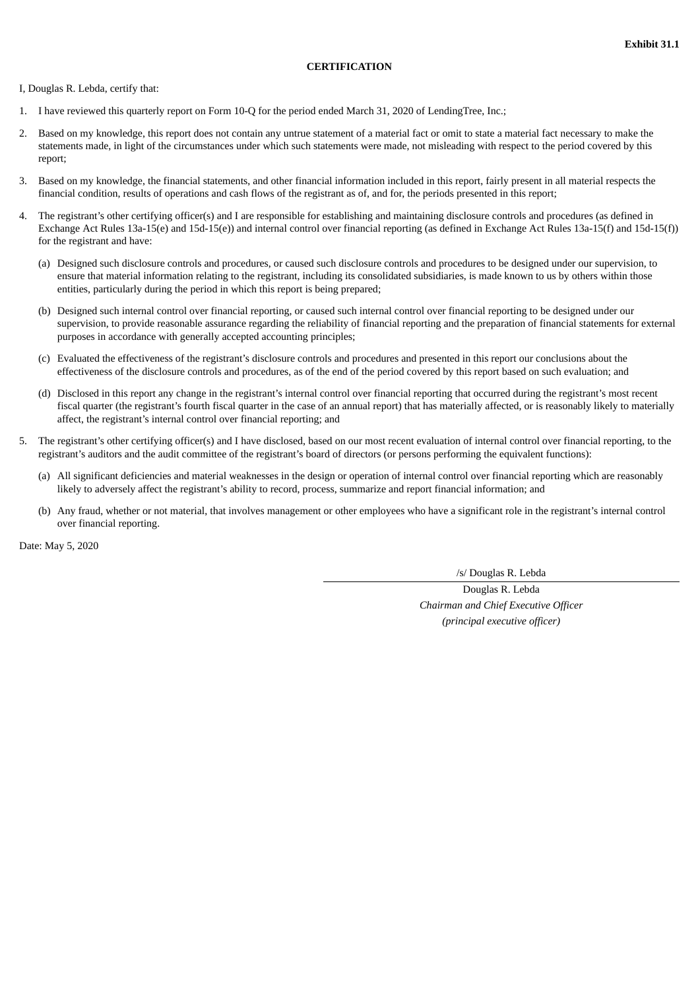### **CERTIFICATION**

<span id="page-42-0"></span>I, Douglas R. Lebda, certify that:

- 1. I have reviewed this quarterly report on Form 10-Q for the period ended March 31, 2020 of LendingTree, Inc.;
- 2. Based on my knowledge, this report does not contain any untrue statement of a material fact or omit to state a material fact necessary to make the statements made, in light of the circumstances under which such statements were made, not misleading with respect to the period covered by this report;
- 3. Based on my knowledge, the financial statements, and other financial information included in this report, fairly present in all material respects the financial condition, results of operations and cash flows of the registrant as of, and for, the periods presented in this report;
- 4. The registrant's other certifying officer(s) and I are responsible for establishing and maintaining disclosure controls and procedures (as defined in Exchange Act Rules 13a-15(e) and 15d-15(e)) and internal control over financial reporting (as defined in Exchange Act Rules 13a-15(f) and 15d-15(f)) for the registrant and have:
	- (a) Designed such disclosure controls and procedures, or caused such disclosure controls and procedures to be designed under our supervision, to ensure that material information relating to the registrant, including its consolidated subsidiaries, is made known to us by others within those entities, particularly during the period in which this report is being prepared;
	- (b) Designed such internal control over financial reporting, or caused such internal control over financial reporting to be designed under our supervision, to provide reasonable assurance regarding the reliability of financial reporting and the preparation of financial statements for external purposes in accordance with generally accepted accounting principles;
	- (c) Evaluated the effectiveness of the registrant's disclosure controls and procedures and presented in this report our conclusions about the effectiveness of the disclosure controls and procedures, as of the end of the period covered by this report based on such evaluation; and
	- (d) Disclosed in this report any change in the registrant's internal control over financial reporting that occurred during the registrant's most recent fiscal quarter (the registrant's fourth fiscal quarter in the case of an annual report) that has materially affected, or is reasonably likely to materially affect, the registrant's internal control over financial reporting; and
- 5. The registrant's other certifying officer(s) and I have disclosed, based on our most recent evaluation of internal control over financial reporting, to the registrant's auditors and the audit committee of the registrant's board of directors (or persons performing the equivalent functions):
	- (a) All significant deficiencies and material weaknesses in the design or operation of internal control over financial reporting which are reasonably likely to adversely affect the registrant's ability to record, process, summarize and report financial information; and
	- (b) Any fraud, whether or not material, that involves management or other employees who have a significant role in the registrant's internal control over financial reporting.

Date: May 5, 2020

/s/ Douglas R. Lebda

Douglas R. Lebda *Chairman and Chief Executive Officer (principal executive officer)*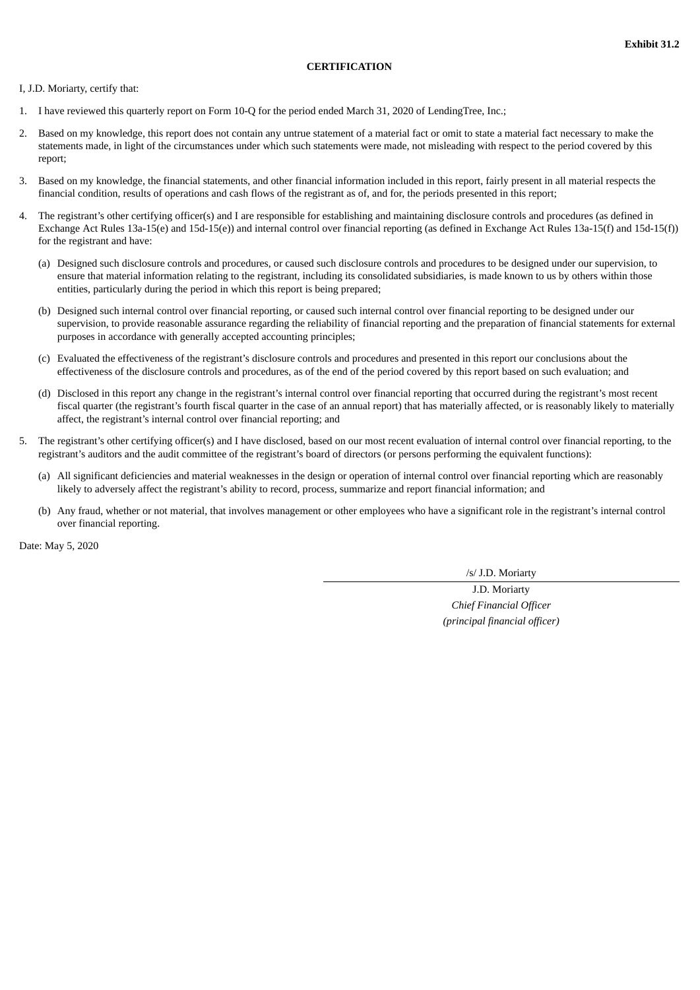### **CERTIFICATION**

<span id="page-43-0"></span>I, J.D. Moriarty, certify that:

- 1. I have reviewed this quarterly report on Form 10-Q for the period ended March 31, 2020 of LendingTree, Inc.;
- 2. Based on my knowledge, this report does not contain any untrue statement of a material fact or omit to state a material fact necessary to make the statements made, in light of the circumstances under which such statements were made, not misleading with respect to the period covered by this report;
- 3. Based on my knowledge, the financial statements, and other financial information included in this report, fairly present in all material respects the financial condition, results of operations and cash flows of the registrant as of, and for, the periods presented in this report;
- 4. The registrant's other certifying officer(s) and I are responsible for establishing and maintaining disclosure controls and procedures (as defined in Exchange Act Rules 13a-15(e) and 15d-15(e)) and internal control over financial reporting (as defined in Exchange Act Rules 13a-15(f) and 15d-15(f)) for the registrant and have:
	- (a) Designed such disclosure controls and procedures, or caused such disclosure controls and procedures to be designed under our supervision, to ensure that material information relating to the registrant, including its consolidated subsidiaries, is made known to us by others within those entities, particularly during the period in which this report is being prepared;
	- (b) Designed such internal control over financial reporting, or caused such internal control over financial reporting to be designed under our supervision, to provide reasonable assurance regarding the reliability of financial reporting and the preparation of financial statements for external purposes in accordance with generally accepted accounting principles;
	- (c) Evaluated the effectiveness of the registrant's disclosure controls and procedures and presented in this report our conclusions about the effectiveness of the disclosure controls and procedures, as of the end of the period covered by this report based on such evaluation; and
	- (d) Disclosed in this report any change in the registrant's internal control over financial reporting that occurred during the registrant's most recent fiscal quarter (the registrant's fourth fiscal quarter in the case of an annual report) that has materially affected, or is reasonably likely to materially affect, the registrant's internal control over financial reporting; and
- 5. The registrant's other certifying officer(s) and I have disclosed, based on our most recent evaluation of internal control over financial reporting, to the registrant's auditors and the audit committee of the registrant's board of directors (or persons performing the equivalent functions):
	- (a) All significant deficiencies and material weaknesses in the design or operation of internal control over financial reporting which are reasonably likely to adversely affect the registrant's ability to record, process, summarize and report financial information; and
	- (b) Any fraud, whether or not material, that involves management or other employees who have a significant role in the registrant's internal control over financial reporting.

Date: May 5, 2020

/s/ J.D. Moriarty

J.D. Moriarty *Chief Financial Officer (principal financial officer)*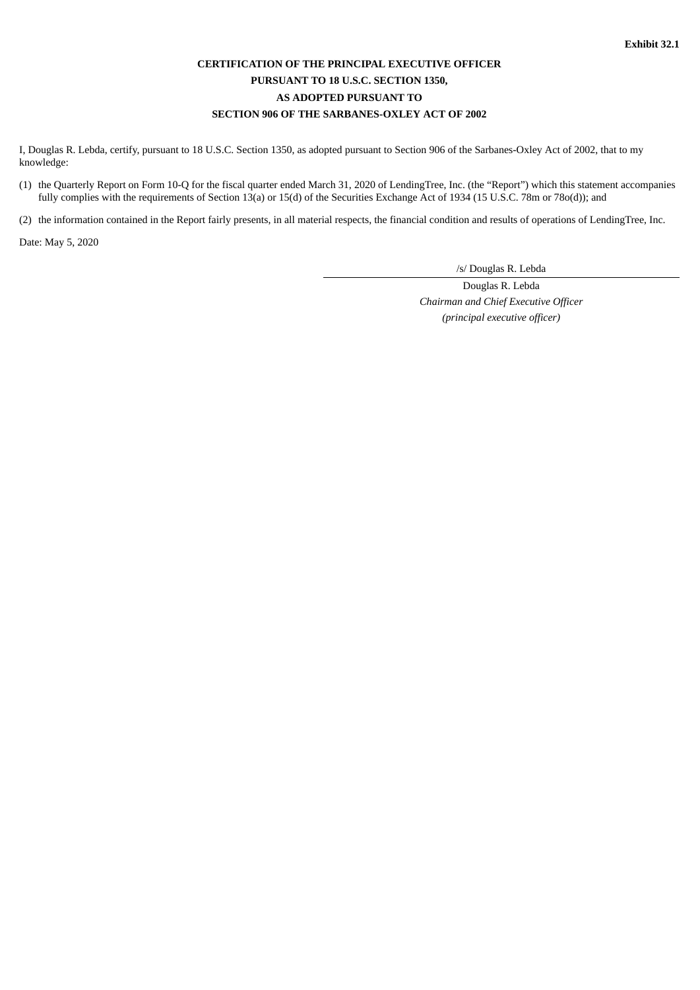# **CERTIFICATION OF THE PRINCIPAL EXECUTIVE OFFICER PURSUANT TO 18 U.S.C. SECTION 1350, AS ADOPTED PURSUANT TO SECTION 906 OF THE SARBANES-OXLEY ACT OF 2002**

<span id="page-44-0"></span>I, Douglas R. Lebda, certify, pursuant to 18 U.S.C. Section 1350, as adopted pursuant to Section 906 of the Sarbanes-Oxley Act of 2002, that to my knowledge:

(1) the Quarterly Report on Form 10-Q for the fiscal quarter ended March 31, 2020 of LendingTree, Inc. (the "Report") which this statement accompanies fully complies with the requirements of Section 13(a) or 15(d) of the Securities Exchange Act of 1934 (15 U.S.C. 78m or 78o(d)); and

(2) the information contained in the Report fairly presents, in all material respects, the financial condition and results of operations of LendingTree, Inc.

Date: May 5, 2020

/s/ Douglas R. Lebda

Douglas R. Lebda *Chairman and Chief Executive Officer (principal executive officer)*